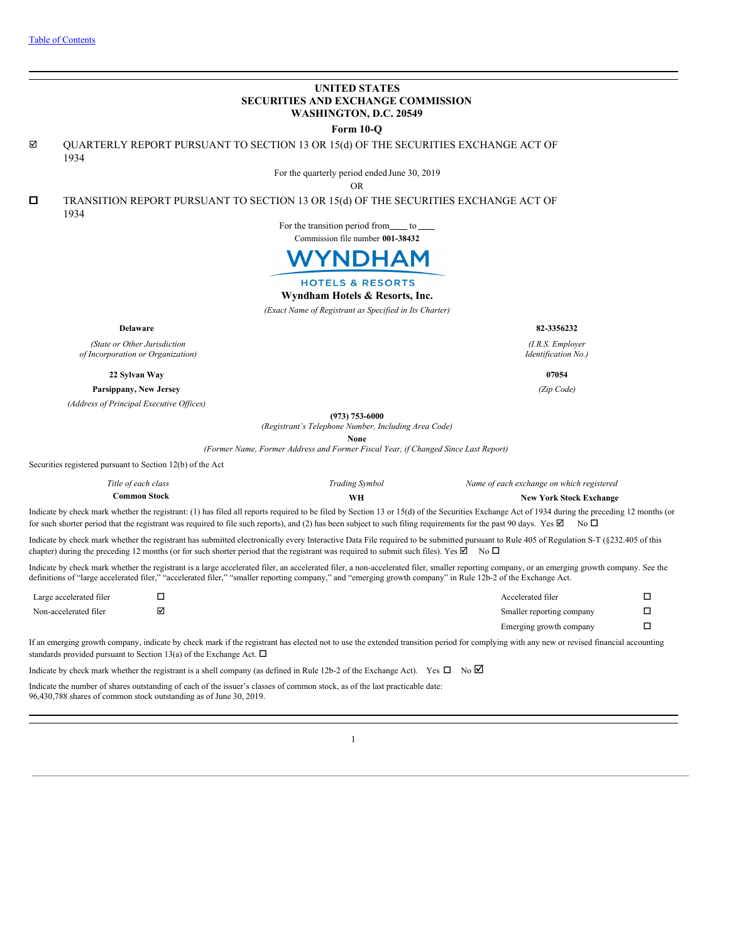### **UNITED STATES SECURITIES AND EXCHANGE COMMISSION WASHINGTON, D.C. 20549 Form 10-Q**  $\boxtimes$  QUARTERLY REPORT PURSUANT TO SECTION 13 OR 15(d) OF THE SECURITIES EXCHANGE ACT OF 1934 For the quarterly period ended June 30, 2019 OR  $\square$  TRANSITION REPORT PURSUANT TO SECTION 13 OR 15(d) OF THE SECURITIES EXCHANGE ACT OF 1934 For the transition period from to Commission file number **001-38432 NDHAM HOTELS & RESORTS Wyndham Hotels & Resorts, Inc.** *(Exact Name of Registrant as Specified in Its Charter)* **Delaware 82-3356232** *(I.R.S. Employer (State or Other Jurisdiction of Incorporation or Organization) Identification No.)* **22 Sylvan Way 07054 Parsippany, New Jersey** *(Zip Code) (Address of Principal Executive Of ices)* **(973) 753-6000** *(Registrant's Telephone Number, Including Area Code)* **None** *(Former Name, Former Address and Former Fiscal Year, if Changed Since Last Report)* Securities registered pursuant to Section 12(b) of the Act *Title of each class Trading Symbol Name of each exchange on which registered* **Common Stock WH New York Stock Exchange** Indicate by check mark whether the registrant: (1) has filed all reports required to be filed by Section 13 or 15(d) of the Securities Exchange Act of 1934 during the preceding 12 months (or for such shorter period that the registrant was required to file such reports), and (2) has been subject to such filing requirements for the past 90 days. Yes  $\boxtimes$  No  $\Box$ Indicate by check mark whether the registrant has submitted electronically every Interactive Data File required to be submitted pursuant to Rule 405 of Regulation S-T (§232.405 of this chapter) during the preceding 12 months (or for such shorter period that the registrant was required to submit such files). Yes  $\boxtimes$  No  $\Box$ Indicate by check mark whether the registrant is a large accelerated filer, an accelerated filer, a non-accelerated filer, smaller reporting company, or an emerging growth company. See the definitions of "large accelerated filer," "accelerated filer," "smaller reporting company," and "emerging growth company" in Rule 12b-2 of the Exchange Act.

| Large accelerated filer | - | Accelerated filer         |  |
|-------------------------|---|---------------------------|--|
| Non-accelerated filer   | ☑ | Smaller reporting company |  |
|                         |   | Emerging growth company   |  |

If an emerging growth company, indicate by check mark if the registrant has elected not to use the extended transition period for complying with any new or revised financial accounting standards provided pursuant to Section 13(a) of the Exchange Act.  $\Box$ 

Indicate by check mark whether the registrant is a shell company (as defined in Rule 12b-2 of the Exchange Act). Yes  $\Box$  No  $\Box$ 

Indicate the number of shares outstanding of each of the issuer's classes of common stock, as of the last practicable date: 96,430,788 shares of common stock outstanding as of June 30, 2019.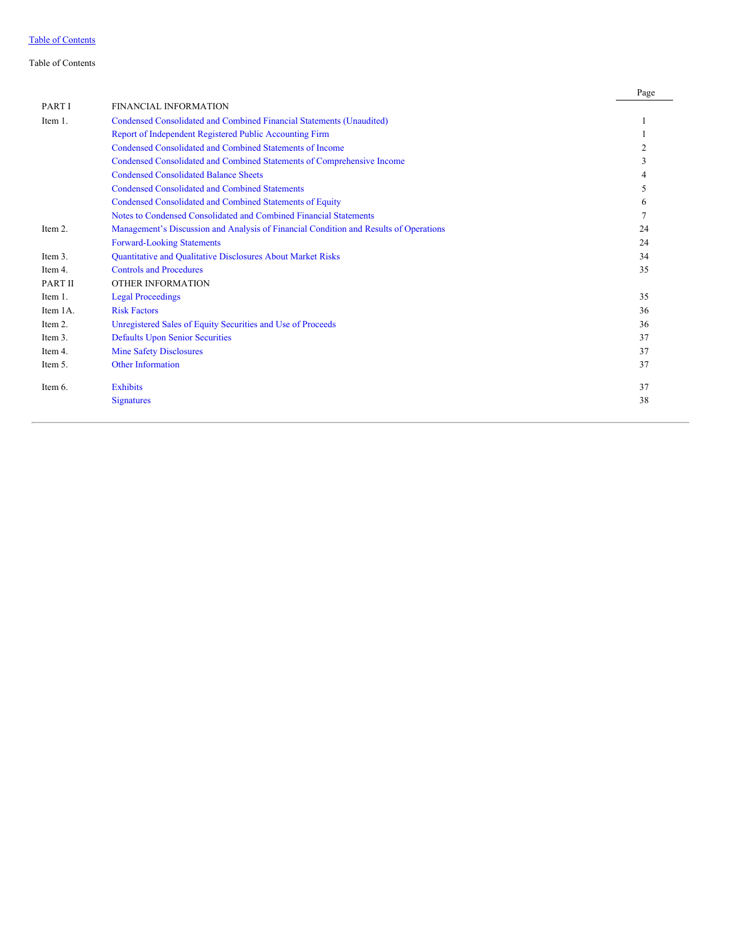### <span id="page-1-0"></span>Table of Contents

|          |                                                                                       | Page |
|----------|---------------------------------------------------------------------------------------|------|
| PART I   | <b>FINANCIAL INFORMATION</b>                                                          |      |
| Item 1.  | Condensed Consolidated and Combined Financial Statements (Unaudited)                  |      |
|          | Report of Independent Registered Public Accounting Firm                               |      |
|          | Condensed Consolidated and Combined Statements of Income                              |      |
|          | Condensed Consolidated and Combined Statements of Comprehensive Income                |      |
|          | <b>Condensed Consolidated Balance Sheets</b>                                          |      |
|          | <b>Condensed Consolidated and Combined Statements</b>                                 |      |
|          | Condensed Consolidated and Combined Statements of Equity                              | 6    |
|          | Notes to Condensed Consolidated and Combined Financial Statements                     |      |
| Item 2.  | Management's Discussion and Analysis of Financial Condition and Results of Operations | 24   |
|          | <b>Forward-Looking Statements</b>                                                     | 24   |
| Item 3.  | Quantitative and Qualitative Disclosures About Market Risks                           | 34   |
| Item 4.  | <b>Controls and Procedures</b>                                                        | 35   |
| PART II  | <b>OTHER INFORMATION</b>                                                              |      |
| Item 1.  | <b>Legal Proceedings</b>                                                              | 35   |
| Item 1A. | <b>Risk Factors</b>                                                                   | 36   |
| Item 2.  | Unregistered Sales of Equity Securities and Use of Proceeds                           | 36   |
| Item 3.  | <b>Defaults Upon Senior Securities</b>                                                | 37   |
| Item 4.  | <b>Mine Safety Disclosures</b>                                                        | 37   |
| Item 5.  | <b>Other Information</b>                                                              | 37   |
| Item 6.  | <b>Exhibits</b>                                                                       | 37   |
|          | <b>Signatures</b>                                                                     | 38   |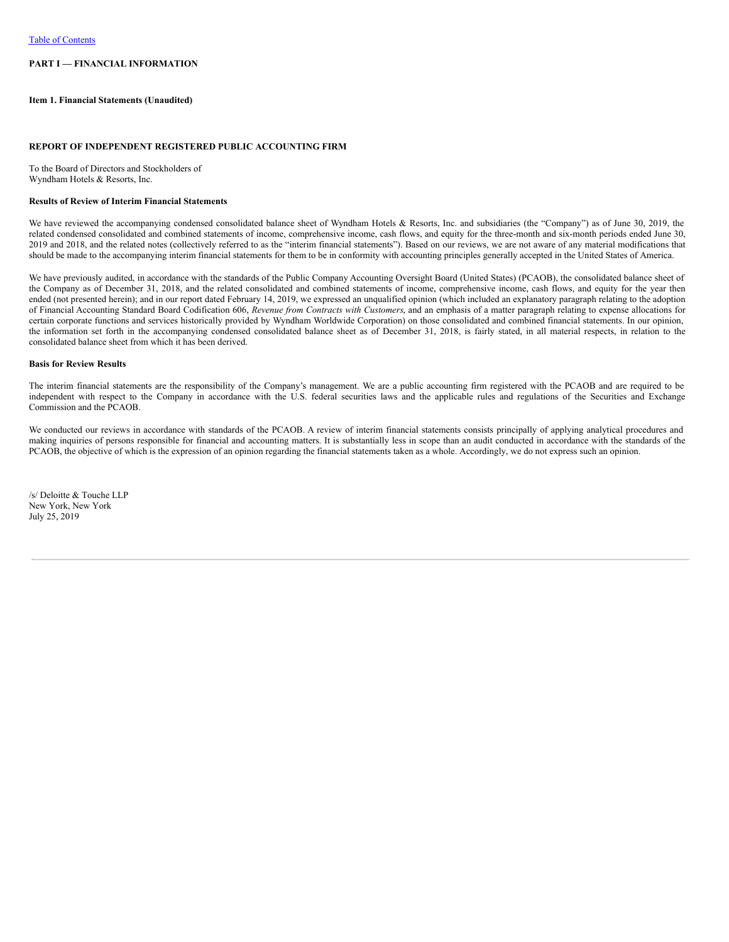### **PART I — FINANCIAL INFORMATION**

#### <span id="page-2-0"></span>**Item 1. Financial Statements (Unaudited)**

#### <span id="page-2-1"></span>**REPORT OF INDEPENDENT REGISTERED PUBLIC ACCOUNTING FIRM**

To the Board of Directors and Stockholders of Wyndham Hotels & Resorts, Inc.

### **Results of Review of Interim Financial Statements**

We have reviewed the accompanying condensed consolidated balance sheet of Wyndham Hotels & Resorts, Inc. and subsidiaries (the "Company") as of June 30, 2019, the related condensed consolidated and combined statements of income, comprehensive income, cash flows, and equity for the three-month and six-month periods ended June 30, 2019 and 2018, and the related notes (collectively referred to as the "interim financial statements"). Based on our reviews, we are not aware of any material modifications that should be made to the accompanying interim financial statements for them to be in conformity with accounting principles generally accepted in the United States of America.

We have previously audited, in accordance with the standards of the Public Company Accounting Oversight Board (United States) (PCAOB), the consolidated balance sheet of the Company as of December 31, 2018, and the related consolidated and combined statements of income, comprehensive income, cash flows, and equity for the year then ended (not presented herein); and in our report dated February 14, 2019, we expressed an unqualified opinion (which included an explanatory paragraph relating to the adoption of Financial Accounting Standard Board Codification 606, *Revenue from Contracts with Customers*, and an emphasis of a matter paragraph relating to expense allocations for certain corporate functions and services historically provided by Wyndham Worldwide Corporation) on those consolidated and combined financial statements. In our opinion, the information set forth in the accompanying condensed consolidated balance sheet as of December 31, 2018, is fairly stated, in all material respects, in relation to the consolidated balance sheet from which it has been derived.

#### **Basis for Review Results**

The interim financial statements are the responsibility of the Company's management. We are a public accounting firm registered with the PCAOB and are required to be independent with respect to the Company in accordance with the U.S. federal securities laws and the applicable rules and regulations of the Securities and Exchange Commission and the PCAOB.

We conducted our reviews in accordance with standards of the PCAOB. A review of interim financial statements consists principally of applying analytical procedures and making inquiries of persons responsible for financial and accounting matters. It is substantially less in scope than an audit conducted in accordance with the standards of the PCAOB, the objective of which is the expression of an opinion regarding the financial statements taken as a whole. Accordingly, we do not express such an opinion.

/s/ Deloitte & Touche LLP New York, New York July 25, 2019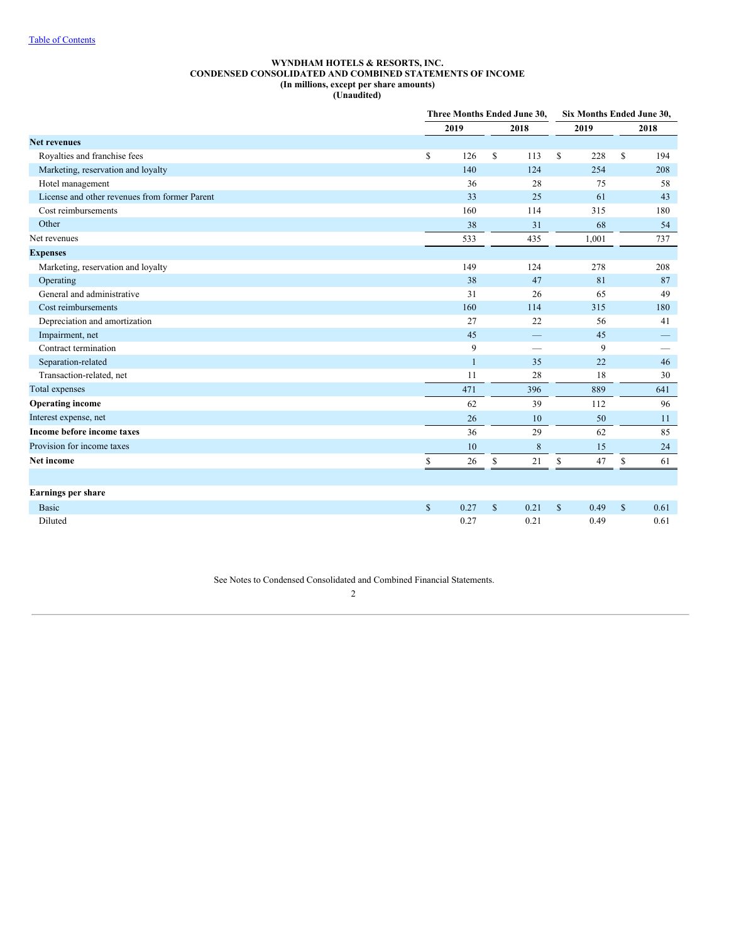### **WYNDHAM HOTELS & RESORTS, INC. CONDENSED CONSOLIDATED AND COMBINED STATEMENTS OF INCOME (In millions, except per share amounts) (Unaudited)**

<span id="page-3-0"></span>

|                                               |              |                      | Three Months Ended June 30, |              | Six Months Ended June 30, |              |      |
|-----------------------------------------------|--------------|----------------------|-----------------------------|--------------|---------------------------|--------------|------|
|                                               |              | 2019<br>2018         |                             |              | 2019                      |              | 2018 |
| <b>Net revenues</b>                           |              |                      |                             |              |                           |              |      |
| Royalties and franchise fees                  | \$           | S<br>126             | 113                         | $\mathbf S$  | 228                       | S            | 194  |
| Marketing, reservation and loyalty            |              | 140                  | 124                         |              | 254                       |              | 208  |
| Hotel management                              |              | 36                   | 28                          |              | 75                        |              | 58   |
| License and other revenues from former Parent |              | 33                   | 25                          |              | 61                        |              | 43   |
| Cost reimbursements                           |              | 160                  | 114                         |              | 315                       |              | 180  |
| Other                                         |              | 38                   | 31                          |              | 68                        |              | 54   |
| Net revenues                                  |              | 533                  | 435                         |              | 1,001                     |              | 737  |
| <b>Expenses</b>                               |              |                      |                             |              |                           |              |      |
| Marketing, reservation and loyalty            |              | 149                  | 124                         |              | 278                       |              | 208  |
| Operating                                     |              | 38                   | 47                          |              | 81                        |              | 87   |
| General and administrative                    |              | 31                   | 26                          |              | 65                        |              | 49   |
| Cost reimbursements                           |              | 160                  | 114                         |              | 315                       |              | 180  |
| Depreciation and amortization                 |              | 27                   | 22                          |              | 56                        |              | 41   |
| Impairment, net                               |              | 45                   |                             |              | 45                        |              |      |
| Contract termination                          |              | 9                    | -                           |              | 9                         |              |      |
| Separation-related                            |              | $\mathbf{1}$         | 35                          |              | 22                        |              | 46   |
| Transaction-related, net                      |              | 11                   | 28                          |              | 18                        |              | 30   |
| Total expenses                                |              | 471                  | 396                         |              | 889                       |              | 641  |
| <b>Operating income</b>                       |              | 62                   | 39                          |              | 112                       |              | 96   |
| Interest expense, net                         |              | 26                   | 10                          |              | 50                        |              | 11   |
| Income before income taxes                    |              | 36                   | 29                          |              | 62                        |              | 85   |
| Provision for income taxes                    |              | 10                   | $\,$ 8 $\,$                 |              | 15                        |              | 24   |
| Net income                                    | \$           | S<br>26              | 21                          | S            | 47                        | \$           | 61   |
|                                               |              |                      |                             |              |                           |              |      |
| Earnings per share                            |              |                      |                             |              |                           |              |      |
| <b>Basic</b>                                  | $\mathbb{S}$ | 0.27<br>$\mathbb{S}$ | 0.21                        | $\mathbb{S}$ | 0.49                      | $\mathbb{S}$ | 0.61 |
| Diluted                                       |              | 0.27                 | 0.21                        |              | 0.49                      |              | 0.61 |

See Notes to Condensed Consolidated and Combined Financial Statements.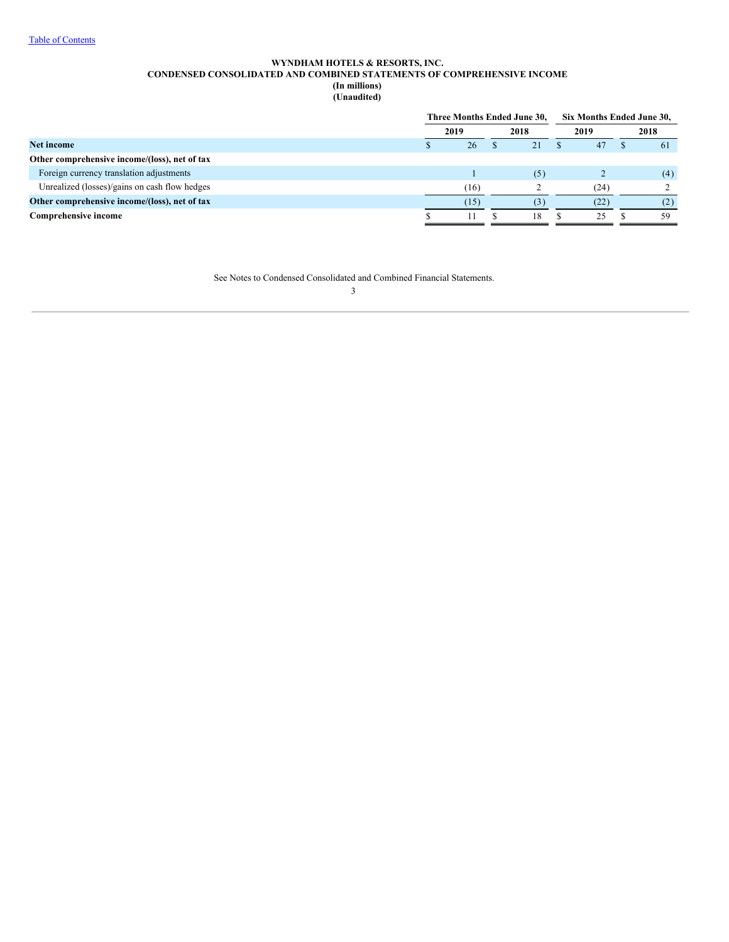### **WYNDHAM HOTELS & RESORTS, INC. CONDENSED CONSOLIDATED AND COMBINED STATEMENTS OF COMPREHENSIVE INCOME (In millions) (Unaudited)**

<span id="page-4-0"></span>

|                                               |      | Three Months Ended June 30, |  |      | Six Months Ended June 30, |      |  |      |
|-----------------------------------------------|------|-----------------------------|--|------|---------------------------|------|--|------|
|                                               | 2019 |                             |  | 2018 |                           | 2019 |  | 2018 |
| <b>Net income</b>                             |      | 26                          |  | 21   |                           | 47   |  | -61  |
| Other comprehensive income/(loss), net of tax |      |                             |  |      |                           |      |  |      |
| Foreign currency translation adjustments      |      |                             |  | (5)  |                           |      |  | (4)  |
| Unrealized (losses)/gains on cash flow hedges |      | (16)                        |  |      |                           | (24) |  |      |
| Other comprehensive income/(loss), net of tax |      | (15)                        |  | (3)  |                           | (22) |  | (2)  |
| <b>Comprehensive income</b>                   |      |                             |  | 18   |                           | 25   |  | 59   |

See Notes to Condensed Consolidated and Combined Financial Statements.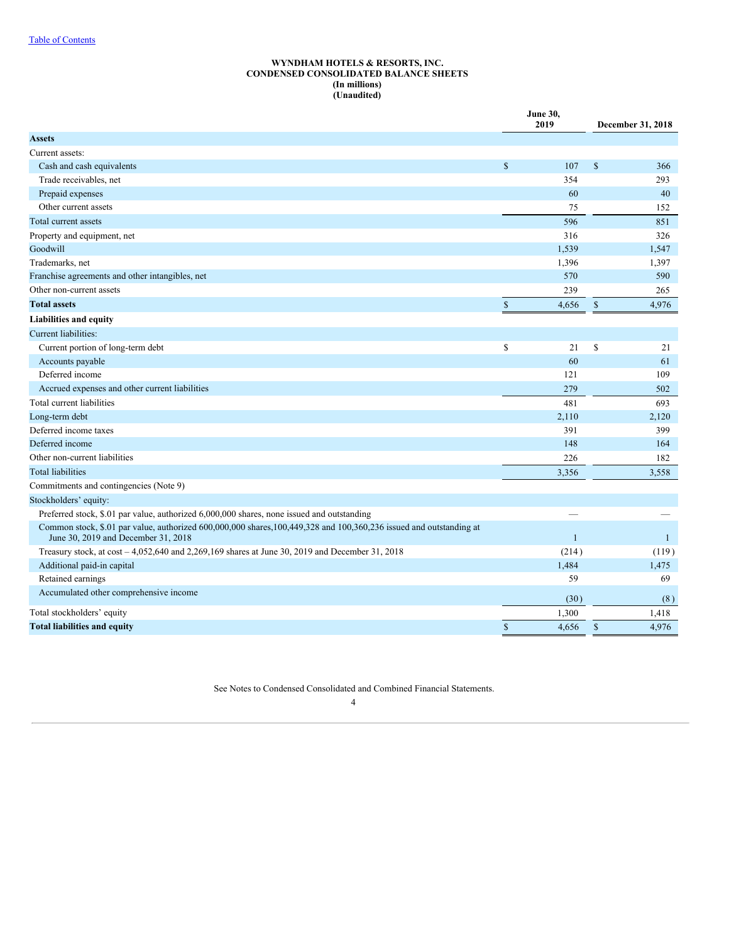### **WYNDHAM HOTELS & RESORTS, INC. CONDENSED CONSOLIDATED BALANCE SHEETS (In millions) (Unaudited)**

<span id="page-5-0"></span>

|                                                                                                                                                            |               | June 30,<br>2019 |               | December 31, 2018 |
|------------------------------------------------------------------------------------------------------------------------------------------------------------|---------------|------------------|---------------|-------------------|
| <b>Assets</b>                                                                                                                                              |               |                  |               |                   |
| Current assets:                                                                                                                                            |               |                  |               |                   |
| Cash and cash equivalents                                                                                                                                  | $\mathcal{S}$ | 107              | <sup>\$</sup> | 366               |
| Trade receivables, net                                                                                                                                     |               | 354              |               | 293               |
| Prepaid expenses                                                                                                                                           |               | 60               |               | 40                |
| Other current assets                                                                                                                                       |               | 75               |               | 152               |
| Total current assets                                                                                                                                       |               | 596              |               | 851               |
| Property and equipment, net                                                                                                                                |               | 316              |               | 326               |
| Goodwill                                                                                                                                                   |               | 1,539            |               | 1,547             |
| Trademarks, net                                                                                                                                            |               | 1,396            |               | 1,397             |
| Franchise agreements and other intangibles, net                                                                                                            |               | 570              |               | 590               |
| Other non-current assets                                                                                                                                   |               | 239              |               | 265               |
| <b>Total assets</b>                                                                                                                                        | $\mathsf{\$}$ | 4,656            | $\mathsf{\$}$ | 4,976             |
| Liabilities and equity                                                                                                                                     |               |                  |               |                   |
| Current liabilities:                                                                                                                                       |               |                  |               |                   |
| Current portion of long-term debt                                                                                                                          | \$            | 21               | \$            | 21                |
| Accounts payable                                                                                                                                           |               | 60               |               | 61                |
| Deferred income                                                                                                                                            |               | 121              |               | 109               |
| Accrued expenses and other current liabilities                                                                                                             |               | 279              |               | 502               |
| Total current liabilities                                                                                                                                  |               | 481              |               | 693               |
| Long-term debt                                                                                                                                             |               | 2,110            |               | 2,120             |
| Deferred income taxes                                                                                                                                      |               | 391              |               | 399               |
| Deferred income                                                                                                                                            |               | 148              |               | 164               |
| Other non-current liabilities                                                                                                                              |               | 226              |               | 182               |
| <b>Total liabilities</b>                                                                                                                                   |               | 3,356            |               | 3.558             |
| Commitments and contingencies (Note 9)                                                                                                                     |               |                  |               |                   |
| Stockholders' equity:                                                                                                                                      |               |                  |               |                   |
| Preferred stock, \$.01 par value, authorized 6,000,000 shares, none issued and outstanding                                                                 |               |                  |               |                   |
| Common stock, \$.01 par value, authorized 600,000,000 shares, 100,449,328 and 100,360,236 issued and outstanding at<br>June 30, 2019 and December 31, 2018 |               | $\mathbf{1}$     |               | $\mathbf{1}$      |
| Treasury stock, at $\cos t - 4.052640$ and 2,269,169 shares at June 30, 2019 and December 31, 2018                                                         |               | (214)            |               | (119)             |
| Additional paid-in capital                                                                                                                                 |               | 1,484            |               | 1,475             |
| Retained earnings                                                                                                                                          |               | 59               |               | 69                |
| Accumulated other comprehensive income                                                                                                                     |               | (30)             |               | (8)               |
| Total stockholders' equity                                                                                                                                 |               | 1,300            |               | 1,418             |
| <b>Total liabilities and equity</b>                                                                                                                        | $\mathsf{\$}$ | 4,656            | $\mathbb{S}$  | 4,976             |

See Notes to Condensed Consolidated and Combined Financial Statements.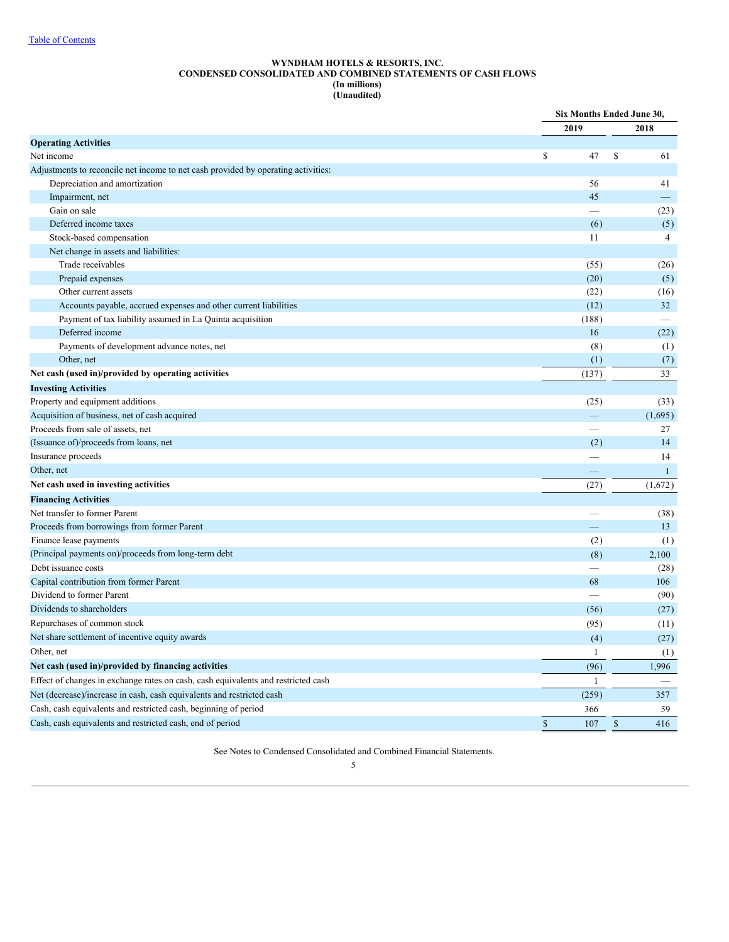#### **WYNDHAM HOTELS & RESORTS, INC. CONDENSED CONSOLIDATED AND COMBINED STATEMENTS OF CASH FLOWS (In millions) (Unaudited)**

<span id="page-6-0"></span>

|                                                                                   |                          | Six Months Ended June 30, |
|-----------------------------------------------------------------------------------|--------------------------|---------------------------|
|                                                                                   | 2019                     | 2018                      |
| <b>Operating Activities</b>                                                       |                          |                           |
| Net income                                                                        | \$<br>47                 | S<br>61                   |
| Adjustments to reconcile net income to net cash provided by operating activities: |                          |                           |
| Depreciation and amortization                                                     | 56                       | 41                        |
| Impairment, net                                                                   | 45                       |                           |
| Gain on sale                                                                      |                          | (23)                      |
| Deferred income taxes                                                             | (6)                      | (5)                       |
| Stock-based compensation                                                          | 11                       | $\overline{4}$            |
| Net change in assets and liabilities:                                             |                          |                           |
| Trade receivables                                                                 | (55)                     | (26)                      |
| Prepaid expenses                                                                  | (20)                     | (5)                       |
| Other current assets                                                              | (22)                     | (16)                      |
| Accounts payable, accrued expenses and other current liabilities                  | (12)                     | 32                        |
| Payment of tax liability assumed in La Quinta acquisition                         | (188)                    |                           |
| Deferred income                                                                   | 16                       | (22)                      |
| Payments of development advance notes, net                                        | (8)                      | (1)                       |
| Other, net                                                                        | (1)                      | (7)                       |
| Net cash (used in)/provided by operating activities                               | (137)                    | 33                        |
| <b>Investing Activities</b>                                                       |                          |                           |
| Property and equipment additions                                                  | (25)                     | (33)                      |
| Acquisition of business, net of cash acquired                                     | $\overline{\phantom{m}}$ | (1,695)                   |
| Proceeds from sale of assets, net                                                 |                          | 27                        |
| (Issuance of)/proceeds from loans, net                                            | (2)                      | 14                        |
| Insurance proceeds                                                                |                          | 14                        |
| Other, net                                                                        |                          | $\mathbf{1}$              |
| Net cash used in investing activities                                             | (27)                     | (1,672)                   |
| <b>Financing Activities</b>                                                       |                          |                           |
| Net transfer to former Parent                                                     |                          | (38)                      |
| Proceeds from borrowings from former Parent                                       |                          | 13                        |
| Finance lease payments                                                            | (2)                      | (1)                       |
| (Principal payments on)/proceeds from long-term debt                              | (8)                      | 2,100                     |
| Debt issuance costs                                                               |                          | (28)                      |
| Capital contribution from former Parent                                           | 68                       | 106                       |
| Dividend to former Parent                                                         |                          | (90)                      |
| Dividends to shareholders                                                         | (56)                     | (27)                      |
| Repurchases of common stock                                                       | (95)                     | (11)                      |
| Net share settlement of incentive equity awards                                   | (4)                      | (27)                      |
| Other, net                                                                        | $\mathbf{1}$             | (1)                       |
| Net cash (used in)/provided by financing activities                               |                          | 1,996                     |
| Effect of changes in exchange rates on cash, cash equivalents and restricted cash | (96)                     |                           |
|                                                                                   | 1                        |                           |
| Net (decrease)/increase in cash, cash equivalents and restricted cash             | (259)                    | 357                       |
| Cash, cash equivalents and restricted cash, beginning of period                   | 366                      | 59                        |
| Cash, cash equivalents and restricted cash, end of period                         | $\mathbb{S}$<br>107      | $\mathbb{S}$<br>416       |

See Notes to Condensed Consolidated and Combined Financial Statements.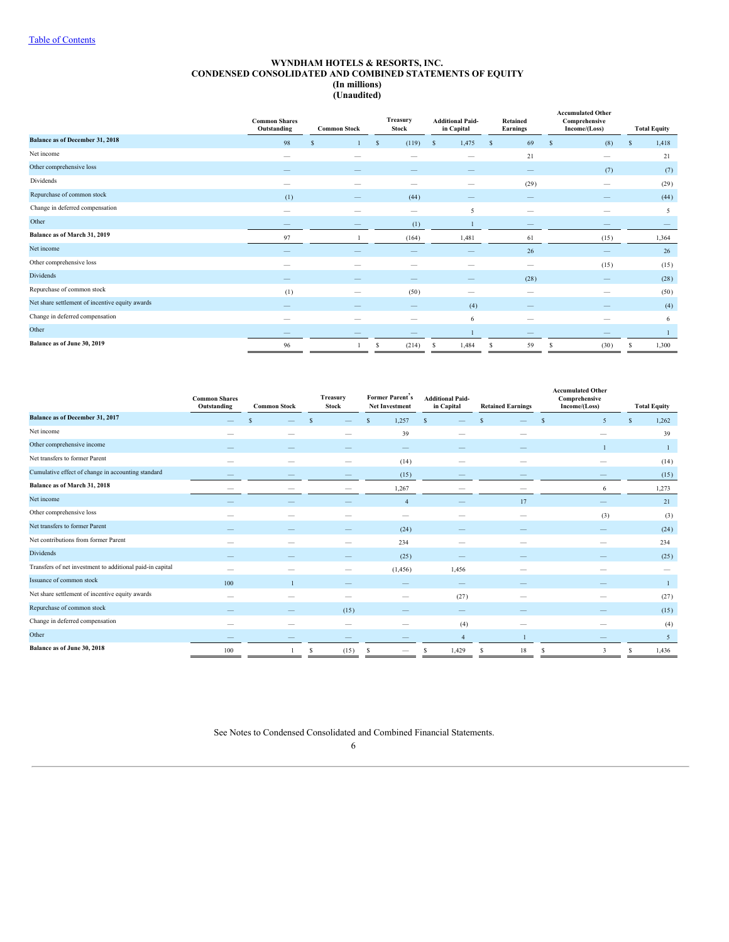#### **WYNDHAM HOTELS & RESORTS, INC. CONDENSED CONSOLIDATED AND COMBINED STATEMENTS OF EQUITY (In millions) (Unaudited)**

<span id="page-7-0"></span>

|                                                 | <b>Common Shares</b><br>Outstanding | <b>Common Stock</b>      |              | Treasury<br>Stock                     |    | <b>Additional Paid-</b><br>in Capital |   | Retained<br><b>Earnings</b> |          | <b>Accumulated Other</b><br>Comprehensive<br>Income/(Loss) |   | <b>Total Equity</b> |
|-------------------------------------------------|-------------------------------------|--------------------------|--------------|---------------------------------------|----|---------------------------------------|---|-----------------------------|----------|------------------------------------------------------------|---|---------------------|
| <b>Balance as of December 31, 2018</b>          | 98                                  | S                        | $\mathbf{s}$ | (119)                                 | S. | 1,475                                 | S | 69                          | <b>S</b> | (8)                                                        | S | 1,418               |
| Net income                                      | $\overline{\phantom{a}}$            | $\overline{\phantom{a}}$ |              | $\overline{\phantom{a}}$              |    | $\hspace{0.1mm}-\hspace{0.1mm}$       |   | 21                          |          | $\overline{\phantom{a}}$                                   |   | 21                  |
| Other comprehensive loss                        |                                     |                          |              |                                       |    |                                       |   |                             |          | (7)                                                        |   | (7)                 |
| Dividends                                       | $\hspace{0.05cm}$                   |                          |              | $\overline{\phantom{a}}$              |    |                                       |   | (29)                        |          | $\hspace{0.05cm}$                                          |   | (29)                |
| Repurchase of common stock                      | (1)                                 |                          |              | (44)                                  |    |                                       |   |                             |          |                                                            |   | (44)                |
| Change in deferred compensation                 | $\hspace{0.05cm}$                   | -                        |              | $\hspace{1.0cm} \rule{1.5cm}{0.15cm}$ |    | 5                                     |   | -                           |          |                                                            |   | 5                   |
| Other                                           | $-$                                 |                          |              | (1)                                   |    |                                       |   | $\qquad \qquad -$           |          |                                                            |   |                     |
| Balance as of March 31, 2019                    | 97                                  |                          |              | (164)                                 |    | 1,481                                 |   | 61                          |          | (15)                                                       |   | 1,364               |
| Net income                                      |                                     |                          |              |                                       |    |                                       |   | 26                          |          |                                                            |   | 26                  |
| Other comprehensive loss                        | $\overline{\phantom{a}}$            | $\overline{\phantom{a}}$ |              | $\overline{\phantom{a}}$              |    |                                       |   | $\hspace{0.05cm}$           |          | (15)                                                       |   | (15)                |
| <b>Dividends</b>                                |                                     |                          |              |                                       |    |                                       |   | (28)                        |          |                                                            |   | (28)                |
| Repurchase of common stock                      | (1)                                 |                          |              | (50)                                  |    |                                       |   | $\hspace{0.05cm}$           |          | $\overline{\phantom{a}}$                                   |   | (50)                |
| Net share settlement of incentive equity awards |                                     |                          |              |                                       |    | (4)                                   |   |                             |          |                                                            |   | (4)                 |
| Change in deferred compensation                 | $\overline{\phantom{a}}$            |                          |              | $\overline{\phantom{a}}$              |    | 6                                     |   |                             |          |                                                            |   | 6                   |
| Other                                           |                                     |                          |              |                                       |    |                                       |   |                             |          |                                                            |   |                     |
| Balance as of June 30, 2019                     | 96                                  |                          | s            | (214)                                 | s  | 1,484                                 | s | 59                          |          | (30)                                                       | S | 1,300               |

|                                                           | <b>Common Shares</b><br>Outstanding | <b>Common Stock</b> |   | Treasury<br><b>Stock</b> |               | Former Parent's<br><b>Net Investment</b> | <b>Additional Paid-</b><br>in Capital |                          |               |                          |                          |       |  |  |  |  | <b>Retained Earnings</b> |  | <b>Accumulated Other</b><br>Comprehensive<br>Income/(Loss) | <b>Total Equity</b> |
|-----------------------------------------------------------|-------------------------------------|---------------------|---|--------------------------|---------------|------------------------------------------|---------------------------------------|--------------------------|---------------|--------------------------|--------------------------|-------|--|--|--|--|--------------------------|--|------------------------------------------------------------|---------------------|
| Balance as of December 31, 2017                           |                                     | \$.                 |   |                          | $\mathcal{S}$ | 1,257                                    | <sup>S</sup>                          |                          | $\mathcal{S}$ |                          | $\overline{5}$           | 1,262 |  |  |  |  |                          |  |                                                            |                     |
| Net income                                                |                                     |                     |   |                          |               | 39                                       |                                       |                          |               |                          |                          | 39    |  |  |  |  |                          |  |                                                            |                     |
| Other comprehensive income                                |                                     |                     |   |                          |               | -                                        |                                       |                          |               |                          |                          |       |  |  |  |  |                          |  |                                                            |                     |
| Net transfers to former Parent                            | $\hspace{0.05cm}$                   |                     |   |                          |               | (14)                                     |                                       |                          |               | $\hspace{0.05cm}$        | $\overline{\phantom{a}}$ | (14)  |  |  |  |  |                          |  |                                                            |                     |
| Cumulative effect of change in accounting standard        |                                     |                     |   |                          |               | (15)                                     |                                       |                          |               |                          |                          | (15)  |  |  |  |  |                          |  |                                                            |                     |
| Balance as of March 31, 2018                              |                                     |                     |   |                          |               | 1,267                                    |                                       |                          |               |                          | 6                        | 1,273 |  |  |  |  |                          |  |                                                            |                     |
| Net income                                                |                                     |                     |   |                          |               | $\overline{4}$                           |                                       |                          |               | 17                       |                          | 21    |  |  |  |  |                          |  |                                                            |                     |
| Other comprehensive loss                                  |                                     | $\sim$              |   |                          |               |                                          |                                       |                          |               | $\overline{\phantom{a}}$ | (3)                      | (3)   |  |  |  |  |                          |  |                                                            |                     |
| Net transfers to former Parent                            |                                     |                     |   |                          |               | (24)                                     |                                       |                          |               |                          |                          | (24)  |  |  |  |  |                          |  |                                                            |                     |
| Net contributions from former Parent                      |                                     |                     |   |                          |               | 234                                      |                                       | $\overline{\phantom{a}}$ |               |                          |                          | 234   |  |  |  |  |                          |  |                                                            |                     |
| <b>Dividends</b>                                          |                                     |                     |   |                          |               | (25)                                     |                                       |                          |               |                          |                          | (25)  |  |  |  |  |                          |  |                                                            |                     |
| Transfers of net investment to additional paid-in capital | $\overline{\phantom{m}}$            |                     |   |                          |               | (1, 456)                                 |                                       | 1,456                    |               | $\overline{\phantom{a}}$ | $\overline{\phantom{a}}$ |       |  |  |  |  |                          |  |                                                            |                     |
| Issuance of common stock                                  | 100                                 |                     |   |                          |               |                                          |                                       |                          |               |                          |                          |       |  |  |  |  |                          |  |                                                            |                     |
| Net share settlement of incentive equity awards           | $\hspace{0.05cm}$                   |                     |   |                          |               |                                          |                                       | (27)                     |               | $\overline{\phantom{a}}$ | -                        | (27)  |  |  |  |  |                          |  |                                                            |                     |
| Repurchase of common stock                                |                                     |                     |   | (15)                     |               |                                          |                                       | --                       |               |                          |                          | (15)  |  |  |  |  |                          |  |                                                            |                     |
| Change in deferred compensation                           | -                                   |                     |   | $\overline{\phantom{m}}$ |               | -                                        |                                       | (4)                      |               | $\hspace{0.05cm}$        | $\overline{\phantom{a}}$ | (4)   |  |  |  |  |                          |  |                                                            |                     |
| Other                                                     |                                     |                     |   |                          |               |                                          |                                       | $\overline{4}$           |               |                          |                          | 5     |  |  |  |  |                          |  |                                                            |                     |
| Balance as of June 30, 2018                               | 100                                 |                     | S | (15)                     |               |                                          |                                       | 1,429                    |               | 18                       |                          | 1,436 |  |  |  |  |                          |  |                                                            |                     |

See Notes to Condensed Consolidated and Combined Financial Statements.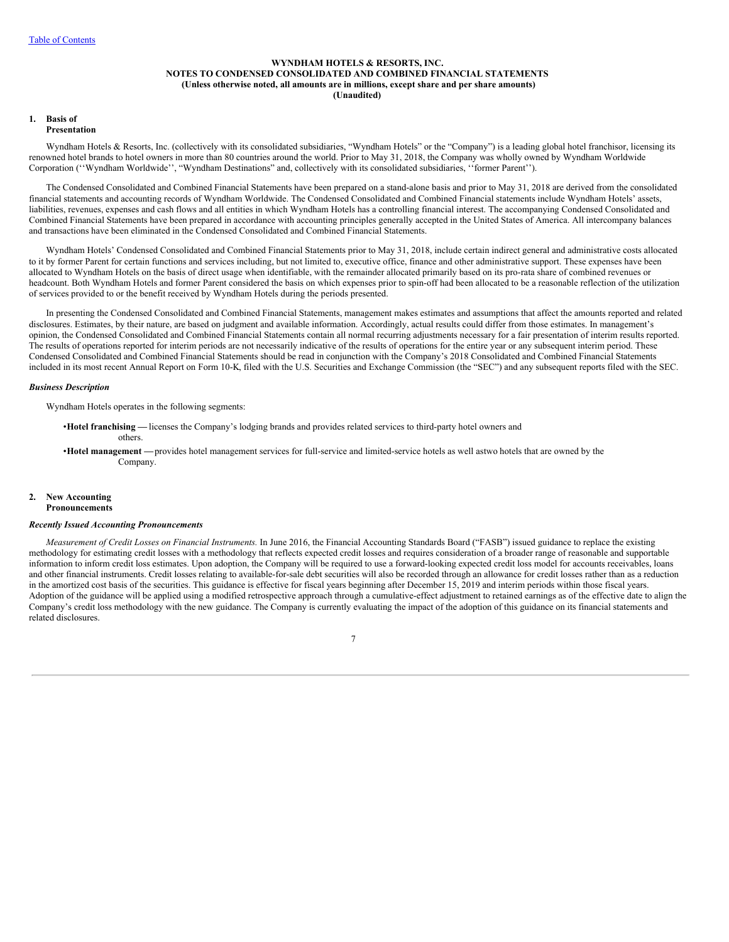### **WYNDHAM HOTELS & RESORTS, INC. NOTES TO CONDENSED CONSOLIDATED AND COMBINED FINANCIAL STATEMENTS (Unless otherwise noted, all amounts are in millions, except share and per share amounts) (Unaudited)**

#### <span id="page-8-0"></span>**1. Basis of Presentation**

Wyndham Hotels & Resorts, Inc. (collectively with its consolidated subsidiaries, "Wyndham Hotels" or the "Company") is a leading global hotel franchisor, licensing its renowned hotel brands to hotel owners in more than 80 countries around the world. Prior to May 31, 2018, the Company was wholly owned by Wyndham Worldwide Corporation (''Wyndham Worldwide'', "Wyndham Destinations" and, collectively with its consolidated subsidiaries, ''former Parent'').

The Condensed Consolidated and Combined Financial Statements have been prepared on a stand-alone basis and prior to May 31, 2018 are derived from the consolidated financial statements and accounting records of Wyndham Worldwide. The Condensed Consolidated and Combined Financial statements include Wyndham Hotels' assets, liabilities, revenues, expenses and cash flows and all entities in which Wyndham Hotels has a controlling financial interest. The accompanying Condensed Consolidated and Combined Financial Statements have been prepared in accordance with accounting principles generally accepted in the United States of America. All intercompany balances and transactions have been eliminated in the Condensed Consolidated and Combined Financial Statements.

Wyndham Hotels' Condensed Consolidated and Combined Financial Statements prior to May 31, 2018, include certain indirect general and administrative costs allocated to it by former Parent for certain functions and services including, but not limited to, executive office, finance and other administrative support. These expenses have been allocated to Wyndham Hotels on the basis of direct usage when identifiable, with the remainder allocated primarily based on its pro-rata share of combined revenues or headcount. Both Wyndham Hotels and former Parent considered the basis on which expenses prior to spin-off had been allocated to be a reasonable reflection of the utilization of services provided to or the benefit received by Wyndham Hotels during the periods presented.

In presenting the Condensed Consolidated and Combined Financial Statements, management makes estimates and assumptions that affect the amounts reported and related disclosures. Estimates, by their nature, are based on judgment and available information. Accordingly, actual results could differ from those estimates. In management's opinion, the Condensed Consolidated and Combined Financial Statements contain all normal recurring adjustments necessary for a fair presentation of interim results reported. The results of operations reported for interim periods are not necessarily indicative of the results of operations for the entire year or any subsequent interim period. These Condensed Consolidated and Combined Financial Statements should be read in conjunction with the Company's 2018 Consolidated and Combined Financial Statements included in its most recent Annual Report on [Form](http://www.sec.gov/Archives/edgar/data/1722684/000172268419000008/wh-20181231x10k.htm) 10-K, filed with the U.S. Securities and Exchange Commission (the "SEC") and any subsequent reports filed with the SEC.

### *Business Description*

Wyndham Hotels operates in the following segments:

- •**Hotel franchising —** licenses the Company's lodging brands and provides related services to third-party hotel owners and others.
- •**Hotel management —**provides hotel management services for full-service and limited-service hotels as well astwo hotels that are owned by the Company.

#### **2. New Accounting Pronouncements**

#### *Recently Issued Accounting Pronouncements*

*Measurement of Credit Losses on Financial Instruments.* In June 2016, the Financial Accounting Standards Board ("FASB") issued guidance to replace the existing methodology for estimating credit losses with a methodology that reflects expected credit losses and requires consideration of a broader range of reasonable and supportable information to inform credit loss estimates. Upon adoption, the Company will be required to use a forward-looking expected credit loss model for accounts receivables, loans and other financial instruments. Credit losses relating to available-for-sale debt securities will also be recorded through an allowance for credit losses rather than as a reduction in the amortized cost basis of the securities. This guidance is effective for fiscal years beginning after December 15, 2019 and interim periods within those fiscal years. Adoption of the guidance will be applied using a modified retrospective approach through a cumulative-effect adjustment to retained earnings as of the effective date to align the Company's credit loss methodology with the new guidance. The Company is currently evaluating the impact of the adoption of this guidance on its financial statements and related disclosures.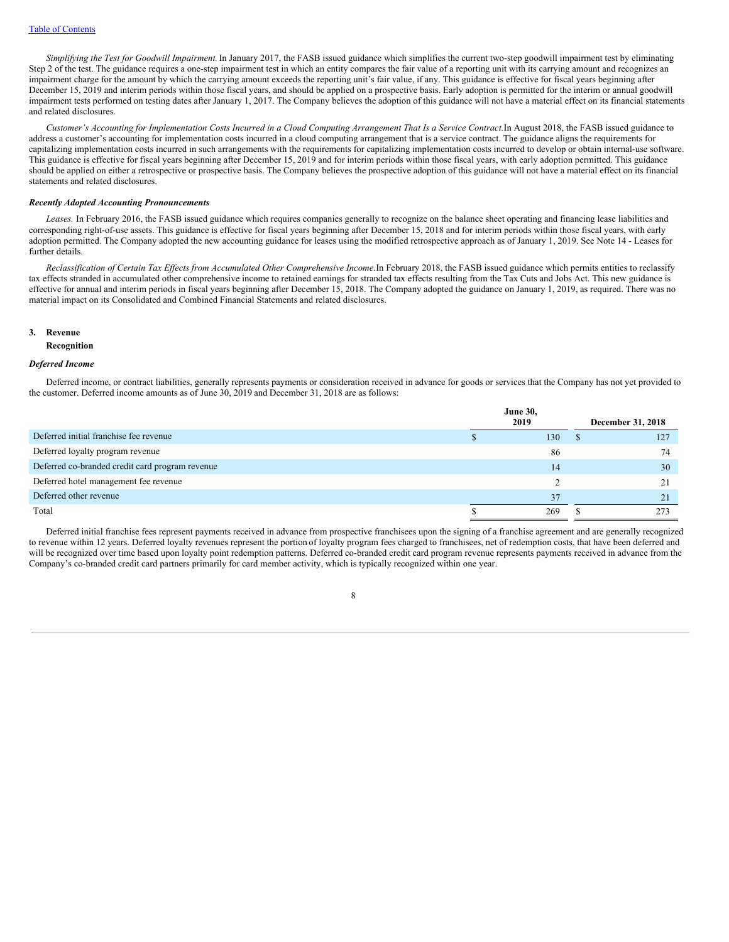*Simplifying the Test for Goodwill Impairment.*In January 2017, the FASB issued guidance which simplifies the current two-step goodwill impairment test by eliminating Step 2 of the test. The guidance requires a one-step impairment test in which an entity compares the fair value of a reporting unit with its carrying amount and recognizes an impairment charge for the amount by which the carrying amount exceeds the reporting unit's fair value, if any. This guidance is effective for fiscal years beginning after December 15, 2019 and interim periods within those fiscal years, and should be applied on a prospective basis. Early adoption is permitted for the interim or annual goodwill impairment tests performed on testing dates after January 1, 2017. The Company believes the adoption of this guidance will not have a material effect on its financial statements and related disclosures.

Customer's Accounting for Implementation Costs Incurred in a Cloud Computing Arrangement That Is a Service Contract. In August 2018, the FASB issued guidance to address a customer's accounting for implementation costs incurred in a cloud computing arrangement that is a service contract. The guidance aligns the requirements for capitalizing implementation costs incurred in such arrangements with the requirements for capitalizing implementation costs incurred to develop or obtain internal-use software. This guidance is effective for fiscal years beginning after December 15, 2019 and for interim periods within those fiscal years, with early adoption permitted. This guidance should be applied on either a retrospective or prospective basis. The Company believes the prospective adoption of this guidance will not have a material effect on its financial statements and related disclosures.

#### *Recently Adopted Accounting Pronouncements*

Leases. In February 2016, the FASB issued guidance which requires companies generally to recognize on the balance sheet operating and financing lease liabilities and corresponding right-of-use assets. This guidance is effective for fiscal years beginning after December 15, 2018 and for interim periods within those fiscal years, with early adoption permitted. The Company adopted the new accounting guidance for leases using the modified retrospective approach as of January 1, 2019. See Note 14 - Leases for further details.

Reclassification of Certain Tax Effects from Accumulated Other Comprehensive Income. In February 2018, the FASB issued guidance which permits entities to reclassify tax effects stranded in accumulated other comprehensive income to retained earnings for stranded tax effects resulting from the Tax Cuts and Jobs Act. This new guidance is effective for annual and interim periods in fiscal years beginning after December 15, 2018. The Company adopted the guidance on January 1, 2019, as required. There was no material impact on its Consolidated and Combined Financial Statements and related disclosures.

#### **3. Revenue**

#### **Recognition**

### *Deferred Income*

Deferred income, or contract liabilities, generally represents payments or consideration received in advance for goods or services that the Company has not yet provided to the customer. Deferred income amounts as of June 30, 2019 and December 31, 2018 are as follows:

|                                                 | <b>June 30,</b><br>2019 |     | December 31, 2018 |
|-------------------------------------------------|-------------------------|-----|-------------------|
| Deferred initial franchise fee revenue          |                         | 130 | 127               |
| Deferred loyalty program revenue                |                         | 86  | 74                |
| Deferred co-branded credit card program revenue |                         | 14  | 30                |
| Deferred hotel management fee revenue           |                         |     |                   |
| Deferred other revenue                          |                         | 37  | 21                |
| Total                                           |                         | 269 |                   |

Deferred initial franchise fees represent payments received in advance from prospective franchisees upon the signing of a franchise agreement and are generally recognized to revenue within 12 years. Deferred loyalty revenues represent the portion of loyalty program fees charged to franchisees, net of redemption costs, that have been deferred and will be recognized over time based upon loyalty point redemption patterns. Deferred co-branded credit card program revenue represents payments received in advance from the Company's co-branded credit card partners primarily for card member activity, which is typically recognized within one year.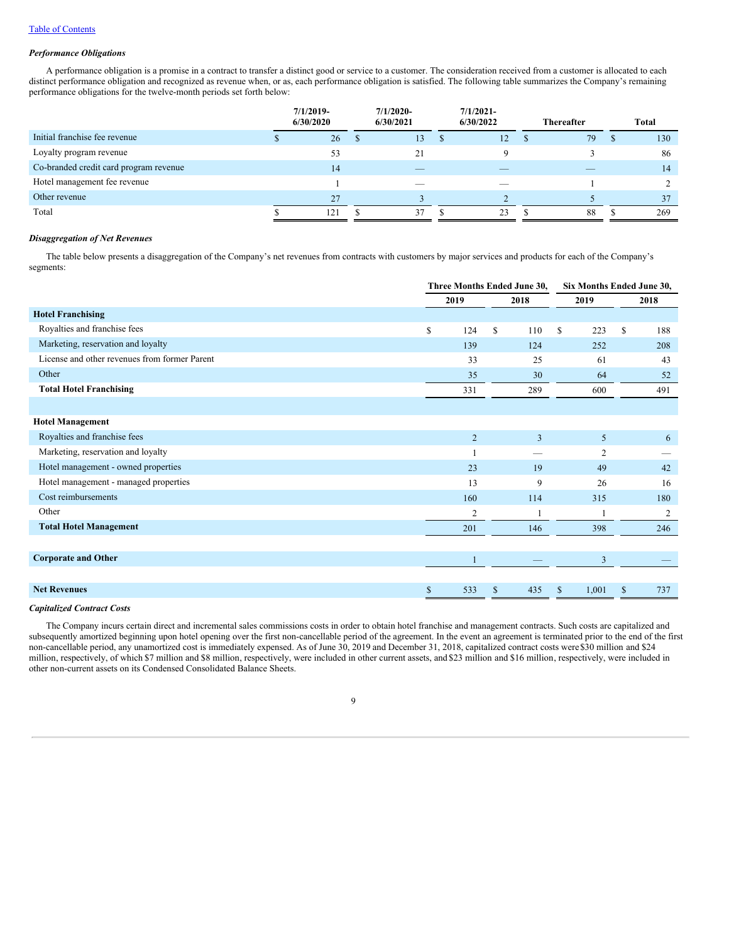### *Performance Obligations*

A performance obligation is a promise in a contract to transfer a distinct good or service to a customer. The consideration received from a customer is allocated to each distinct performance obligation and recognized as revenue when, or as, each performance obligation is satisfied. The following table summarizes the Company's remaining performance obligations for the twelve-month periods set forth below:

|                                        |   | $7/1/2019$ -<br>6/30/2020 | $7/1/2020$ -<br>6/30/2021 |    | $7/1/2021-$<br>6/30/2022 |              |    |   |     |  |  |  | <b>Thereafter</b> |  | <b>Total</b> |
|----------------------------------------|---|---------------------------|---------------------------|----|--------------------------|--------------|----|---|-----|--|--|--|-------------------|--|--------------|
| Initial franchise fee revenue          | ш | 26                        | 13                        | -S | 12                       | <sup>3</sup> | 79 | Ъ | 130 |  |  |  |                   |  |              |
| Loyalty program revenue                |   | 53                        | 21                        |    |                          |              |    |   | 86  |  |  |  |                   |  |              |
| Co-branded credit card program revenue |   | 14                        |                           |    |                          |              |    |   | 14  |  |  |  |                   |  |              |
| Hotel management fee revenue           |   |                           | $\overline{\phantom{a}}$  |    | $\overline{\phantom{a}}$ |              |    |   |     |  |  |  |                   |  |              |
| Other revenue                          |   | 27                        |                           |    |                          |              |    |   | 37  |  |  |  |                   |  |              |
| Total                                  |   | 121                       | 37                        |    | 23                       |              | 88 |   | 269 |  |  |  |                   |  |              |

### *Disaggregation of Net Revenues*

The table below presents a disaggregation of the Company's net revenues from contracts with customers by major services and products for each of the Company's segments:

|                                               |                |              | Three Months Ended June 30, |                |       |          | Six Months Ended June 30, |  |
|-----------------------------------------------|----------------|--------------|-----------------------------|----------------|-------|----------|---------------------------|--|
|                                               | 2019           |              | 2018                        |                | 2019  | 2018     |                           |  |
| <b>Hotel Franchising</b>                      |                |              |                             |                |       |          |                           |  |
| Royalties and franchise fees                  | \$<br>124      | \$           | 110                         | \$             | 223   | \$       | 188                       |  |
| Marketing, reservation and loyalty            | 139            |              | 124                         |                | 252   |          | 208                       |  |
| License and other revenues from former Parent | 33             |              | 25                          |                | 61    |          | 43                        |  |
| Other                                         | 35             |              | 30                          |                | 64    |          | 52                        |  |
| <b>Total Hotel Franchising</b>                | 331            |              | 289                         |                | 600   |          | 491                       |  |
|                                               |                |              |                             |                |       |          |                           |  |
| <b>Hotel Management</b>                       |                |              |                             |                |       |          |                           |  |
| Royalties and franchise fees                  | $\overline{2}$ |              | $\overline{3}$              |                | 5     |          | 6                         |  |
| Marketing, reservation and loyalty            |                |              |                             |                | 2     |          |                           |  |
| Hotel management - owned properties           | 23             |              | 19                          |                | 49    |          | 42                        |  |
| Hotel management - managed properties         | 13             |              | 9                           |                | 26    |          | 16                        |  |
| Cost reimbursements                           | 160            |              | 114                         |                | 315   |          | 180                       |  |
| Other                                         | 2              |              |                             |                |       |          | 2                         |  |
| <b>Total Hotel Management</b>                 | 201            |              | 146                         |                | 398   |          | 246                       |  |
|                                               |                |              |                             |                |       |          |                           |  |
| <b>Corporate and Other</b>                    | $\mathbf{1}$   |              |                             | $\overline{3}$ |       |          |                           |  |
|                                               |                |              |                             |                |       |          |                           |  |
| <b>Net Revenues</b>                           | \$<br>533      | $\mathbb{S}$ | 435                         | <sup>\$</sup>  | 1,001 | <b>S</b> | 737                       |  |

### *Capitalized Contract Costs*

The Company incurs certain direct and incremental sales commissions costs in order to obtain hotel franchise and management contracts. Such costs are capitalized and subsequently amortized beginning upon hotel opening over the first non-cancellable period of the agreement. In the event an agreement is terminated prior to the end of the first non-cancellable period, any unamortized cost is immediately expensed. As of June 30, 2019 and December 31, 2018, capitalized contract costs were\$30 million and \$24 million, respectively, of which \$7 million and \$8 million, respectively, were included in other current assets, and \$23 million and \$16 million, respectively, were included in other non-current assets on its Condensed Consolidated Balance Sheets.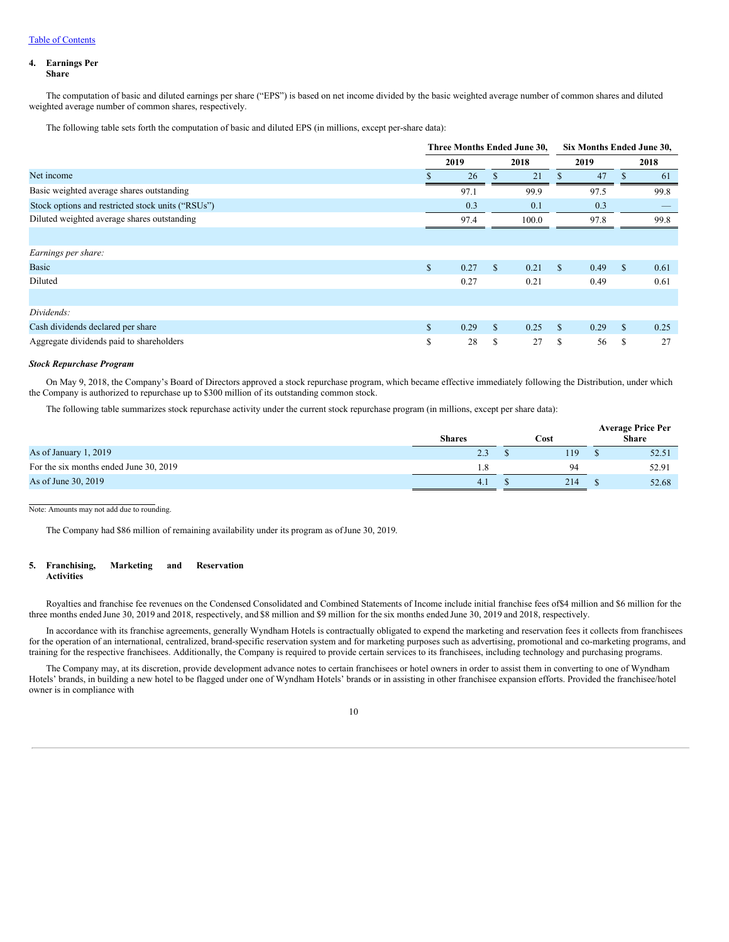# **4. Earnings Per**

**Share**

The computation of basic and diluted earnings per share ("EPS") is based on net income divided by the basic weighted average number of common shares and diluted weighted average number of common shares, respectively.

The following table sets forth the computation of basic and diluted EPS (in millions, except per-share data):

|                                                   |              |      |              | Three Months Ended June 30, |               | Six Months Ended June 30, |               |      |
|---------------------------------------------------|--------------|------|--------------|-----------------------------|---------------|---------------------------|---------------|------|
|                                                   |              | 2019 |              | 2018                        |               | 2019                      |               | 2018 |
| Net income                                        |              | 26   |              | 21                          |               | 47                        |               | 61   |
| Basic weighted average shares outstanding         |              | 97.1 |              | 99.9                        |               | 97.5                      |               | 99.8 |
| Stock options and restricted stock units ("RSUs") |              | 0.3  |              | 0.1                         |               | 0.3                       |               |      |
| Diluted weighted average shares outstanding       |              | 97.4 |              | 100.0                       |               | 97.8                      |               | 99.8 |
|                                                   |              |      |              |                             |               |                           |               |      |
| Earnings per share:                               |              |      |              |                             |               |                           |               |      |
| <b>Basic</b>                                      | $\mathbb{S}$ | 0.27 | $\mathbb{S}$ | 0.21                        | $\mathbf{s}$  | 0.49                      | <sup>\$</sup> | 0.61 |
| Diluted                                           |              | 0.27 |              | 0.21                        |               | 0.49                      |               | 0.61 |
|                                                   |              |      |              |                             |               |                           |               |      |
| Dividends:                                        |              |      |              |                             |               |                           |               |      |
| Cash dividends declared per share                 | $\mathbb{S}$ | 0.29 | $\mathbb{S}$ | 0.25                        | <sup>\$</sup> | 0.29                      | \$            | 0.25 |
| Aggregate dividends paid to shareholders          | S            | 28   | S            | 27                          | S             | 56                        | S             | 27   |

### *Stock Repurchase Program*

On May 9, 2018, the Company's Board of Directors approved a stock repurchase program, which became effective immediately following the Distribution, under which the Company is authorized to repurchase up to \$300 million of its outstanding common stock.

The following table summarizes stock repurchase activity under the current stock repurchase program (in millions, except per share data):

|                                        | <b>Shares</b> | Cost |     |  | <b>Average Price Per</b><br>Share |  |  |
|----------------------------------------|---------------|------|-----|--|-----------------------------------|--|--|
| As of January 1, 2019                  | 2.3           |      | 119 |  | 52.51                             |  |  |
| For the six months ended June 30, 2019 |               |      | QΔ  |  | 52.91                             |  |  |
| As of June 30, 2019                    | 4.1           |      | 214 |  | 52.68                             |  |  |

Note: Amounts may not add due to rounding.

The Company had \$86 million of remaining availability under its program as ofJune 30, 2019.

#### **5. Franchising, Marketing and Reservation Activities**

Royalties and franchise fee revenues on the Condensed Consolidated and Combined Statements of Income include initial franchise fees of \$4 million and \$6 million for the three months ended June 30, 2019 and 2018, respectively, and \$8 million and \$9 million for the six months ended June 30, 2019 and 2018, respectively.

In accordance with its franchise agreements, generally Wyndham Hotels is contractually obligated to expend the marketing and reservation fees it collects from franchisees for the operation of an international, centralized, brand-specific reservation system and for marketing purposes such as advertising, promotional and co-marketing programs, and training for the respective franchisees. Additionally, the Company is required to provide certain services to its franchisees, including technology and purchasing programs.

The Company may, at its discretion, provide development advance notes to certain franchisees or hotel owners in order to assist them in converting to one of Wyndham Hotels' brands, in building a new hotel to be flagged under one of Wyndham Hotels' brands or in assisting in other franchisee expansion efforts. Provided the franchisee/hotel owner is in compliance with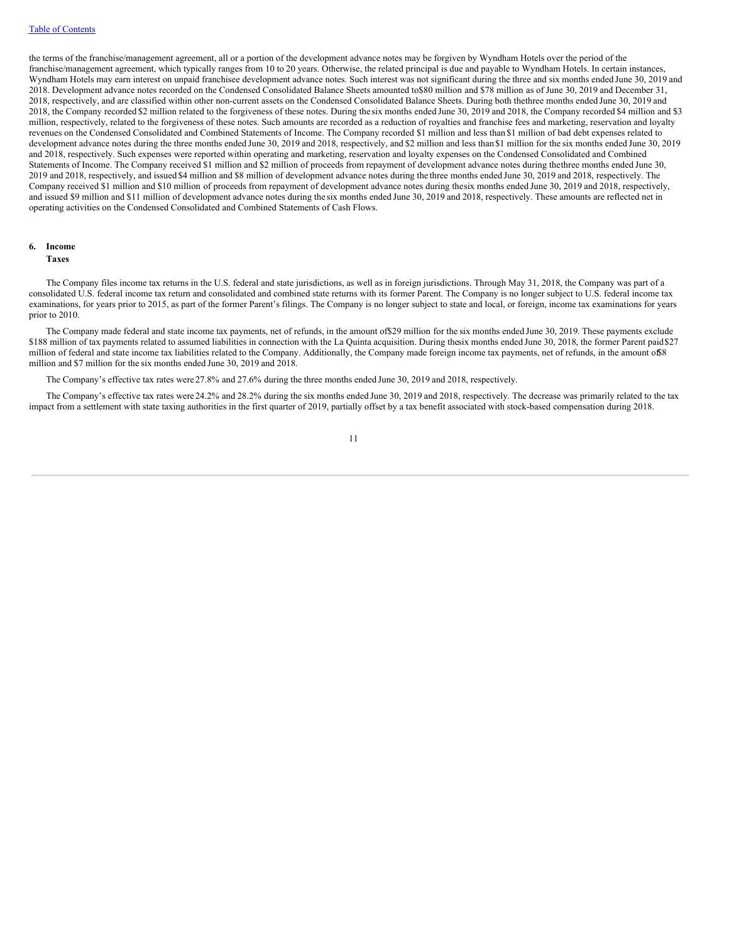the terms of the franchise/management agreement, all or a portion of the development advance notes may be forgiven by Wyndham Hotels over the period of the franchise/management agreement, which typically ranges from 10 to 20 years. Otherwise, the related principal is due and payable to Wyndham Hotels. In certain instances, Wyndham Hotels may earn interest on unpaid franchisee development advance notes. Such interest was not significant during the three and six months ended June 30, 2019 and 2018. Development advance notes recorded on the Condensed Consolidated Balance Sheets amounted to\$80 million and \$78 million as of June 30, 2019 and December 31, 2018, respectively, and are classified within other non-current assets on the Condensed Consolidated Balance Sheets. During both thethree months ended June 30, 2019 and 2018, the Company recorded \$2 million related to the forgiveness of these notes. During the six months ended June 30, 2019 and 2018, the Company recorded \$4 million and \$3 million, respectively, related to the forgiveness of these notes. Such amounts are recorded as a reduction of royalties and franchise fees and marketing, reservation and loyalty revenues on the Condensed Consolidated and Combined Statements of Income. The Company recorded \$1 million and less than \$1 million of bad debt expenses related to development advance notes during the three months ended June 30, 2019 and 2018, respectively, and \$2 million and less than \$1 million for the six months ended June 30, 2019 and 2018, respectively. Such expenses were reported within operating and marketing, reservation and loyalty expenses on the Condensed Consolidated and Combined Statements of Income. The Company received \$1 million and \$2 million of proceeds from repayment of development advance notes during thethree months ended June 30, 2019 and 2018, respectively, and issued \$4 million and \$8 million of development advance notes during the three months ended June 30, 2019 and 2018, respectively. The Company received \$1 million and \$10 million of proceeds from repayment of development advance notes during thesix months ended June 30, 2019 and 2018, respectively, and issued \$9 million and \$11 million of development advance notes during the six months ended June 30, 2019 and 2018, respectively. These amounts are reflected net in operating activities on the Condensed Consolidated and Combined Statements of Cash Flows.

### **6. Income**

#### **Taxes**

The Company files income tax returns in the U.S. federal and state jurisdictions, as well as in foreign jurisdictions. Through May 31, 2018, the Company was part of a consolidated U.S. federal income tax return and consolidated and combined state returns with its former Parent. The Company is no longer subject to U.S. federal income tax examinations, for years prior to 2015, as part of the former Parent's filings. The Company is no longer subject to state and local, or foreign, income tax examinations for years prior to 2010.

The Company made federal and state income tax payments, net of refunds, in the amount of\$29 million for the six months ended June 30, 2019. These payments exclude \$188 million of tax payments related to assumed liabilities in connection with the La Quinta acquisition. During thesix months ended June 30, 2018, the former Parent paid\$27 million of federal and state income tax liabilities related to the Company. Additionally, the Company made foreign income tax payments, net of refunds, in the amount of 8 million and \$7 million for the six months ended June 30, 2019 and 2018.

The Company's effective tax rates were 27.8% and 27.6% during the three months ended June 30, 2019 and 2018, respectively.

The Company's effective tax rates were 24.2% and 28.2% during the six months ended June 30, 2019 and 2018, respectively. The decrease was primarily related to the tax impact from a settlement with state taxing authorities in the first quarter of 2019, partially offset by a tax benefit associated with stock-based compensation during 2018.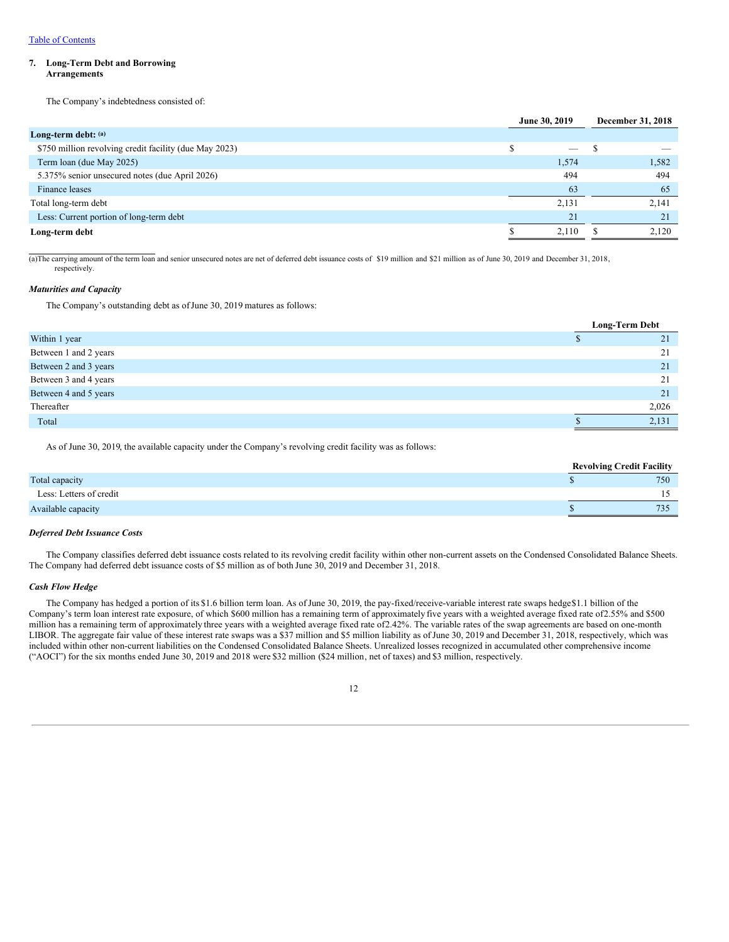### **7. Long-Term Debt and Borrowing Arrangements**

The Company's indebtedness consisted of:

|                                                        | June 30, 2019            | December 31, 2018 |
|--------------------------------------------------------|--------------------------|-------------------|
| Long-term debt: (a)                                    |                          |                   |
| \$750 million revolving credit facility (due May 2023) | $\overline{\phantom{a}}$ |                   |
| Term loan (due May 2025)                               | 1,574                    | 1,582             |
| 5.375% senior unsecured notes (due April 2026)         | 494                      | 494               |
| Finance leases                                         | 63                       | 65                |
| Total long-term debt                                   | 2,131                    | 2,141             |
| Less: Current portion of long-term debt                | 21                       | 21                |
| Long-term debt                                         | 2.110                    | 2.120             |

(a)The carrying amount of the term loan and senior unsecured notes are net of deferred debt issuance costs of \$19 million and \$21 million as of June 30, 2019 and December 31, 2018, respectively.

#### *Maturities and Capacity*

The Company's outstanding debt as of June 30, 2019 matures as follows:

|                       | <b>Long-Term Debt</b> |       |
|-----------------------|-----------------------|-------|
| Within 1 year         |                       | 21    |
| Between 1 and 2 years |                       | 21    |
| Between 2 and 3 years |                       | 21    |
| Between 3 and 4 years |                       | 21    |
| Between 4 and 5 years |                       | 21    |
| Thereafter            |                       | 2,026 |
| Total                 |                       | 2,131 |

As of June 30, 2019, the available capacity under the Company's revolving credit facility was as follows:

|                         |  | <b>Revolving Credit Facility</b> |
|-------------------------|--|----------------------------------|
| Total capacity          |  | 750                              |
| Less: Letters of credit |  |                                  |
| Available capacity      |  | 735                              |
|                         |  |                                  |

#### *Deferred Debt Issuance Costs*

The Company classifies deferred debt issuance costs related to its revolving credit facility within other non-current assets on the Condensed Consolidated Balance Sheets. The Company had deferred debt issuance costs of \$5 million as of both June 30, 2019 and December 31, 2018.

#### *Cash Flow Hedge*

The Company has hedged a portion of its \$1.6 billion term loan. As ofJune 30, 2019, the pay-fixed/receive-variable interest rate swaps hedge\$1.1 billion of the Company's term loan interest rate exposure, of which \$600 million has a remaining term of approximately five years with a weighted average fixed rate of2.55% and \$500 million has a remaining term of approximately three years with a weighted average fixed rate of 2.42%. The variable rates of the swap agreements are based on one-month LIBOR. The aggregate fair value of these interest rate swaps was a \$37 million and \$5 million liability as ofJune 30, 2019 and December 31, 2018, respectively, which was included within other non-current liabilities on the Condensed Consolidated Balance Sheets. Unrealized losses recognized in accumulated other comprehensive income ("AOCI") for the six months ended June 30, 2019 and 2018 were \$32 million (\$24 million, net of taxes) and \$3 million, respectively.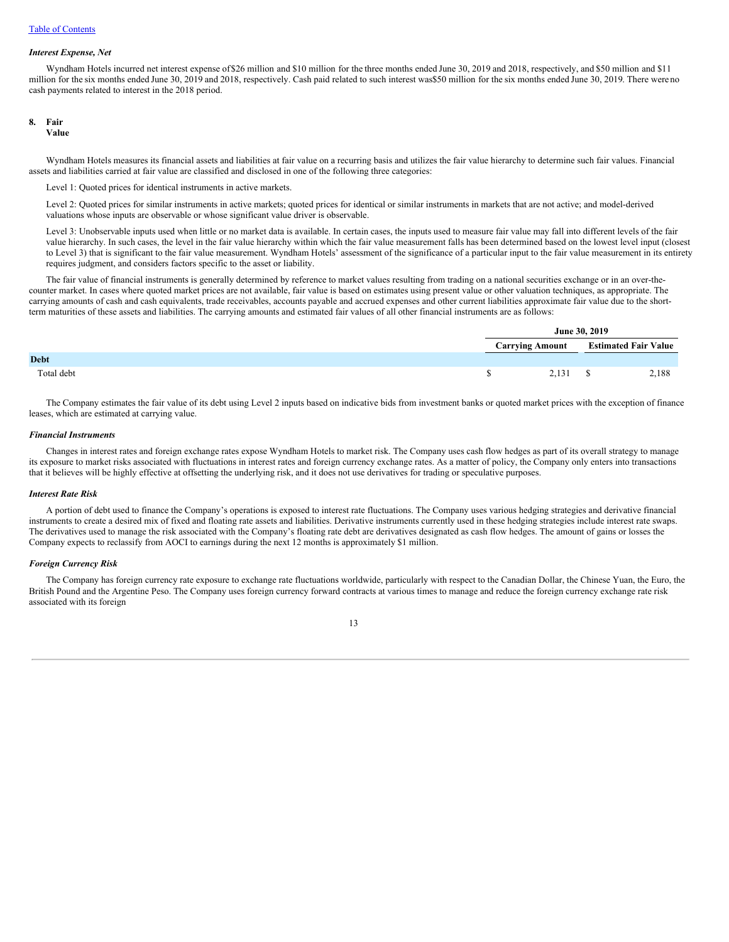#### *Interest Expense, Net*

Wyndham Hotels incurred net interest expense of\$26 million and \$10 million for the three months ended June 30, 2019 and 2018, respectively, and \$50 million and \$11 million for the six months ended June 30, 2019 and 2018, respectively. Cash paid related to such interest was\$50 million for the six months ended June 30, 2019. There were no cash payments related to interest in the 2018 period.

#### **8. Fair**

**Value**

Wyndham Hotels measures its financial assets and liabilities at fair value on a recurring basis and utilizes the fair value hierarchy to determine such fair values. Financial assets and liabilities carried at fair value are classified and disclosed in one of the following three categories:

Level 1: Quoted prices for identical instruments in active markets.

Level 2: Quoted prices for similar instruments in active markets; quoted prices for identical or similar instruments in markets that are not active; and model-derived valuations whose inputs are observable or whose significant value driver is observable.

Level 3: Unobservable inputs used when little or no market data is available. In certain cases, the inputs used to measure fair value may fall into different levels of the fair value hierarchy. In such cases, the level in the fair value hierarchy within which the fair value measurement falls has been determined based on the lowest level input (closest to Level 3) that is significant to the fair value measurement. Wyndham Hotels' assessment of the significance of a particular input to the fair value measurement in its entirety requires judgment, and considers factors specific to the asset or liability.

**June 30, 2019**

The fair value of financial instruments is generally determined by reference to market values resulting from trading on a national securities exchange or in an over-thecounter market. In cases where quoted market prices are not available, fair value is based on estimates using present value or other valuation techniques, as appropriate. The carrying amounts of cash and cash equivalents, trade receivables, accounts payable and accrued expenses and other current liabilities approximate fair value due to the shortterm maturities of these assets and liabilities. The carrying amounts and estimated fair values of all other financial instruments are as follows:

|             | <b>June 30, 2019</b>   |                             |       |  |
|-------------|------------------------|-----------------------------|-------|--|
|             | <b>Carrying Amount</b> | <b>Estimated Fair Value</b> |       |  |
| <b>Debt</b> |                        |                             |       |  |
| Total debt  | 2.131                  |                             | 2,188 |  |

The Company estimates the fair value of its debt using Level 2 inputs based on indicative bids from investment banks or quoted market prices with the exception of finance leases, which are estimated at carrying value.

#### *Financial Instruments*

Changes in interest rates and foreign exchange rates expose Wyndham Hotels to market risk. The Company uses cash flow hedges as part of its overall strategy to manage its exposure to market risks associated with fluctuations in interest rates and foreign currency exchange rates. As a matter of policy, the Company only enters into transactions that it believes will be highly effective at offsetting the underlying risk, and it does not use derivatives for trading or speculative purposes.

#### *Interest Rate Risk*

A portion of debt used to finance the Company's operations is exposed to interest rate fluctuations. The Company uses various hedging strategies and derivative financial instruments to create a desired mix of fixed and floating rate assets and liabilities. Derivative instruments currently used in these hedging strategies include interest rate swaps. The derivatives used to manage the risk associated with the Company's floating rate debt are derivatives designated as cash flow hedges. The amount of gains or losses the Company expects to reclassify from AOCI to earnings during the next 12 months is approximately \$1 million.

#### *Foreign Currency Risk*

The Company has foreign currency rate exposure to exchange rate fluctuations worldwide, particularly with respect to the Canadian Dollar, the Chinese Yuan, the Euro, the British Pound and the Argentine Peso. The Company uses foreign currency forward contracts at various times to manage and reduce the foreign currency exchange rate risk associated with its foreign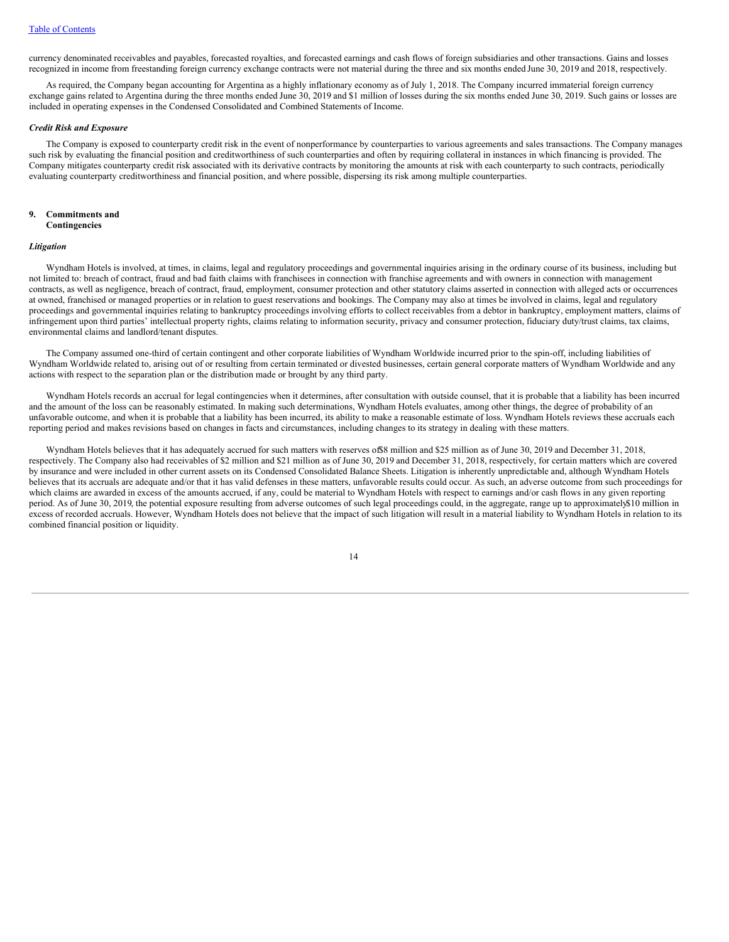currency denominated receivables and payables, forecasted royalties, and forecasted earnings and cash flows of foreign subsidiaries and other transactions. Gains and losses recognized in income from freestanding foreign currency exchange contracts were not material during the three and six months ended June 30, 2019 and 2018, respectively.

As required, the Company began accounting for Argentina as a highly inflationary economy as of July 1, 2018. The Company incurred immaterial foreign currency exchange gains related to Argentina during the three months ended June 30, 2019 and \$1 million of losses during the six months ended June 30, 2019. Such gains or losses are included in operating expenses in the Condensed Consolidated and Combined Statements of Income.

#### *Credit Risk and Exposure*

The Company is exposed to counterparty credit risk in the event of nonperformance by counterparties to various agreements and sales transactions. The Company manages such risk by evaluating the financial position and creditworthiness of such counterparties and often by requiring collateral in instances in which financing is provided. The Company mitigates counterparty credit risk associated with its derivative contracts by monitoring the amounts at risk with each counterparty to such contracts, periodically evaluating counterparty creditworthiness and financial position, and where possible, dispersing its risk among multiple counterparties.

### **9. Commitments and Contingencies**

#### *Litigation*

Wyndham Hotels is involved, at times, in claims, legal and regulatory proceedings and governmental inquiries arising in the ordinary course of its business, including but not limited to: breach of contract, fraud and bad faith claims with franchisees in connection with franchise agreements and with owners in connection with management contracts, as well as negligence, breach of contract, fraud, employment, consumer protection and other statutory claims asserted in connection with alleged acts or occurrences at owned, franchised or managed properties or in relation to guest reservations and bookings. The Company may also at times be involved in claims, legal and regulatory proceedings and governmental inquiries relating to bankruptcy proceedings involving efforts to collect receivables from a debtor in bankruptcy, employment matters, claims of infringement upon third parties' intellectual property rights, claims relating to information security, privacy and consumer protection, fiduciary duty/trust claims, tax claims, environmental claims and landlord/tenant disputes.

The Company assumed one-third of certain contingent and other corporate liabilities of Wyndham Worldwide incurred prior to the spin-off, including liabilities of Wyndham Worldwide related to, arising out of or resulting from certain terminated or divested businesses, certain general corporate matters of Wyndham Worldwide and any actions with respect to the separation plan or the distribution made or brought by any third party.

Wyndham Hotels records an accrual for legal contingencies when it determines, after consultation with outside counsel, that it is probable that a liability has been incurred and the amount of the loss can be reasonably estimated. In making such determinations, Wyndham Hotels evaluates, among other things, the degree of probability of an unfavorable outcome, and when it is probable that a liability has been incurred, its ability to make a reasonable estimate of loss. Wyndham Hotels reviews these accruals each reporting period and makes revisions based on changes in facts and circumstances, including changes to its strategy in dealing with these matters.

Wyndham Hotels believes that it has adequately accrued for such matters with reserves of \$8 million and \$25 million as of June 30, 2019 and December 31, 2018, respectively. The Company also had receivables of \$2 million and \$21 million as of June 30, 2019 and December 31, 2018, respectively, for certain matters which are covered by insurance and were included in other current assets on its Condensed Consolidated Balance Sheets. Litigation is inherently unpredictable and, although Wyndham Hotels believes that its accruals are adequate and/or that it has valid defenses in these matters, unfavorable results could occur. As such, an adverse outcome from such proceedings for which claims are awarded in excess of the amounts accrued, if any, could be material to Wyndham Hotels with respect to earnings and/or cash flows in any given reporting period. As of June 30, 2019, the potential exposure resulting from adverse outcomes of such legal proceedings could, in the aggregate, range up to approximately\$10 million in excess of recorded accruals. However, Wyndham Hotels does not believe that the impact of such litigation will result in a material liability to Wyndham Hotels in relation to its combined financial position or liquidity.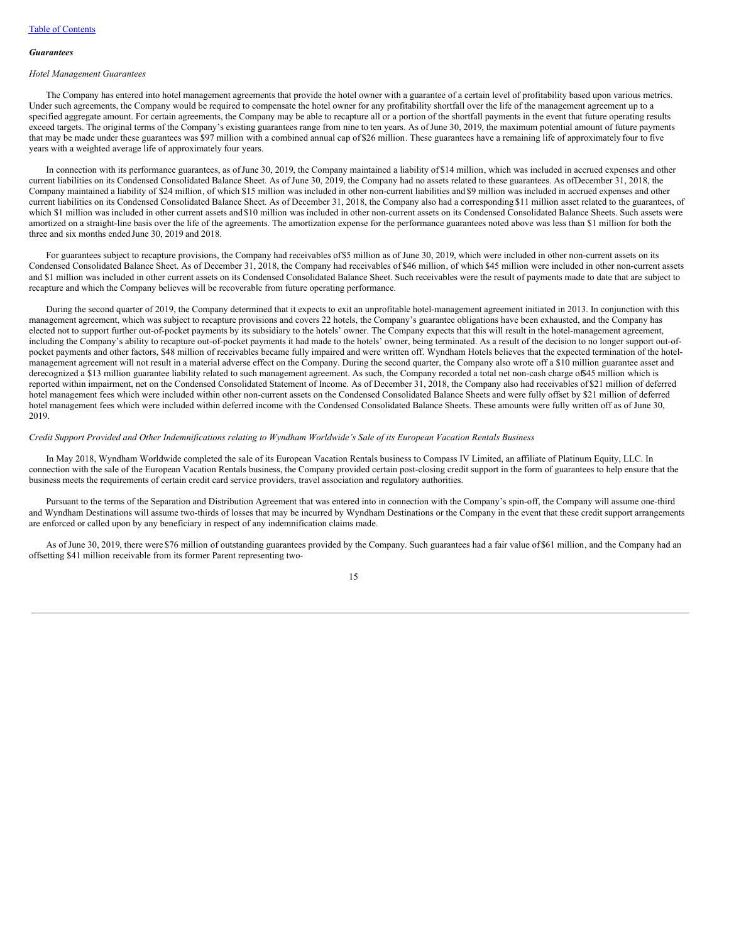#### *Guarantees*

#### *Hotel Management Guarantees*

The Company has entered into hotel management agreements that provide the hotel owner with a guarantee of a certain level of profitability based upon various metrics. Under such agreements, the Company would be required to compensate the hotel owner for any profitability shortfall over the life of the management agreement up to a specified aggregate amount. For certain agreements, the Company may be able to recapture all or a portion of the shortfall payments in the event that future operating results exceed targets. The original terms of the Company's existing guarantees range from nine to ten years. As of June 30, 2019, the maximum potential amount of future payments that may be made under these guarantees was \$97 million with a combined annual cap of \$26 million. These guarantees have a remaining life of approximately four to five years with a weighted average life of approximately four years.

In connection with its performance guarantees, as ofJune 30, 2019, the Company maintained a liability of \$14 million, which was included in accrued expenses and other current liabilities on its Condensed Consolidated Balance Sheet. As of June 30, 2019, the Company had no assets related to these guarantees. As ofDecember 31, 2018, the Company maintained a liability of \$24 million, of which \$15 million was included in other non-current liabilities and \$9 million was included in accrued expenses and other current liabilities on its Condensed Consolidated Balance Sheet. As of December 31, 2018, the Company also had a corresponding \$11 million asset related to the guarantees, of which \$1 million was included in other current assets and \$10 million was included in other non-current assets on its Condensed Consolidated Balance Sheets. Such assets were amortized on a straight-line basis over the life of the agreements. The amortization expense for the performance guarantees noted above was less than \$1 million for both the three and six months ended June 30, 2019 and 2018.

For guarantees subject to recapture provisions, the Company had receivables of\$5 million as of June 30, 2019, which were included in other non-current assets on its Condensed Consolidated Balance Sheet. As of December 31, 2018, the Company had receivables of \$46 million, of which \$45 million were included in other non-current assets and \$1 million was included in other current assets on its Condensed Consolidated Balance Sheet. Such receivables were the result of payments made to date that are subject to recapture and which the Company believes will be recoverable from future operating performance.

During the second quarter of 2019, the Company determined that it expects to exit an unprofitable hotel-management agreement initiated in 2013. In conjunction with this management agreement, which was subject to recapture provisions and covers 22 hotels, the Company's guarantee obligations have been exhausted, and the Company has elected not to support further out-of-pocket payments by its subsidiary to the hotels' owner. The Company expects that this will result in the hotel-management agreement, including the Company's ability to recapture out-of-pocket payments it had made to the hotels' owner, being terminated. As a result of the decision to no longer support out-ofpocket payments and other factors, \$48 million of receivables became fully impaired and were written off. Wyndham Hotels believes that the expected termination of the hotelmanagement agreement will not result in a material adverse effect on the Company. During the second quarter, the Company also wrote off a \$10 million guarantee asset and derecognized a \$13 million guarantee liability related to such management agreement. As such, the Company recorded a total net non-cash charge of \$45 million which is reported within impairment, net on the Condensed Consolidated Statement of Income. As of December 31, 2018, the Company also had receivables of \$21 million of deferred hotel management fees which were included within other non-current assets on the Condensed Consolidated Balance Sheets and were fully offset by \$21 million of deferred hotel management fees which were included within deferred income with the Condensed Consolidated Balance Sheets. These amounts were fully written off as of June 30, 2019.

### Credit Support Provided and Other Indemnifications relating to Wyndham Worldwide's Sale of its European Vacation Rentals Business

In May 2018, Wyndham Worldwide completed the sale of its European Vacation Rentals business to Compass IV Limited, an affiliate of Platinum Equity, LLC. In connection with the sale of the European Vacation Rentals business, the Company provided certain post-closing credit support in the form of guarantees to help ensure that the business meets the requirements of certain credit card service providers, travel association and regulatory authorities.

Pursuant to the terms of the Separation and Distribution Agreement that was entered into in connection with the Company's spin-off, the Company will assume one-third and Wyndham Destinations will assume two-thirds of losses that may be incurred by Wyndham Destinations or the Company in the event that these credit support arrangements are enforced or called upon by any beneficiary in respect of any indemnification claims made.

As of June 30, 2019, there were \$76 million of outstanding guarantees provided by the Company. Such guarantees had a fair value of\$61 million, and the Company had an offsetting \$41 million receivable from its former Parent representing two-

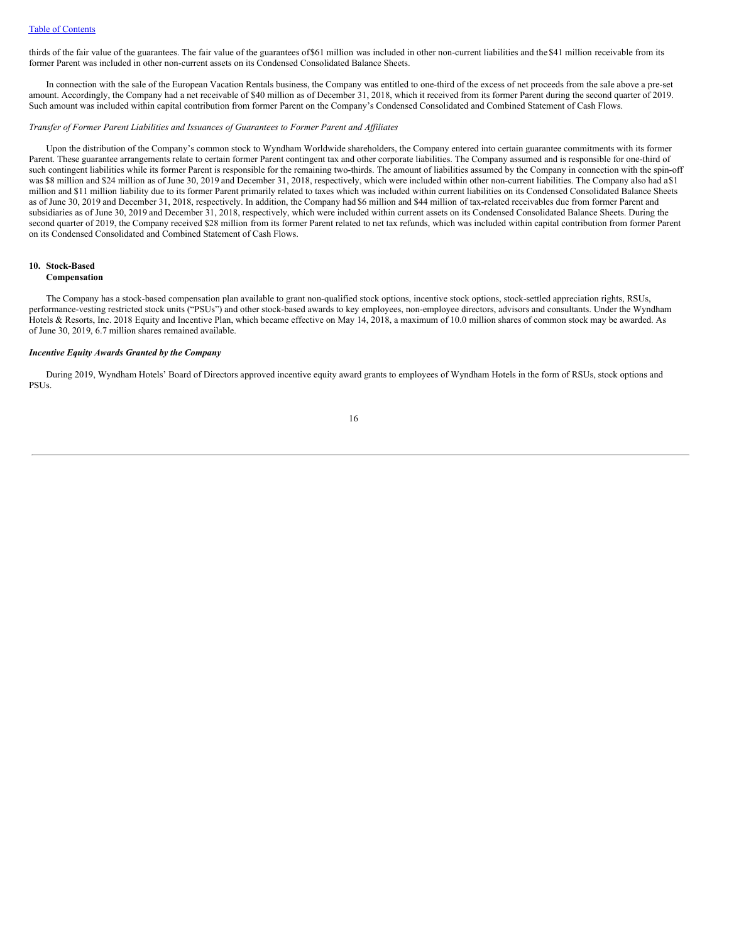thirds of the fair value of the guarantees. The fair value of the guarantees of \$61 million was included in other non-current liabilities and the \$41 million receivable from its former Parent was included in other non-current assets on its Condensed Consolidated Balance Sheets.

In connection with the sale of the European Vacation Rentals business, the Company was entitled to one-third of the excess of net proceeds from the sale above a pre-set amount. Accordingly, the Company had a net receivable of \$40 million as of December 31, 2018, which it received from its former Parent during the second quarter of 2019. Such amount was included within capital contribution from former Parent on the Company's Condensed Consolidated and Combined Statement of Cash Flows.

#### *Transfer of Former Parent Liabilities and Issuances of Guarantees to Former Parent and Af iliates*

Upon the distribution of the Company's common stock to Wyndham Worldwide shareholders, the Company entered into certain guarantee commitments with its former Parent. These guarantee arrangements relate to certain former Parent contingent tax and other corporate liabilities. The Company assumed and is responsible for one-third of such contingent liabilities while its former Parent is responsible for the remaining two-thirds. The amount of liabilities assumed by the Company in connection with the spin-off was \$8 million and \$24 million as of June 30, 2019 and December 31, 2018, respectively, which were included within other non-current liabilities. The Company also had a\$1 million and \$11 million liability due to its former Parent primarily related to taxes which was included within current liabilities on its Condensed Consolidated Balance Sheets as of June 30, 2019 and December 31, 2018, respectively. In addition, the Company had \$6 million and \$44 million of tax-related receivables due from former Parent and subsidiaries as of June 30, 2019 and December 31, 2018, respectively, which were included within current assets on its Condensed Consolidated Balance Sheets. During the second quarter of 2019, the Company received \$28 million from its former Parent related to net tax refunds, which was included within capital contribution from former Parent on its Condensed Consolidated and Combined Statement of Cash Flows.

#### **10. Stock-Based Compensation**

The Company has a stock-based compensation plan available to grant non-qualified stock options, incentive stock options, stock-settled appreciation rights, RSUs, performance-vesting restricted stock units ("PSUs") and other stock-based awards to key employees, non-employee directors, advisors and consultants. Under the Wyndham Hotels & Resorts, Inc. 2018 Equity and Incentive Plan, which became effective on May 14, 2018, a maximum of 10.0 million shares of common stock may be awarded. As of June 30, 2019, 6.7 million shares remained available.

#### *Incentive Equity Awards Granted by the Company*

During 2019, Wyndham Hotels' Board of Directors approved incentive equity award grants to employees of Wyndham Hotels in the form of RSUs, stock options and PSUs.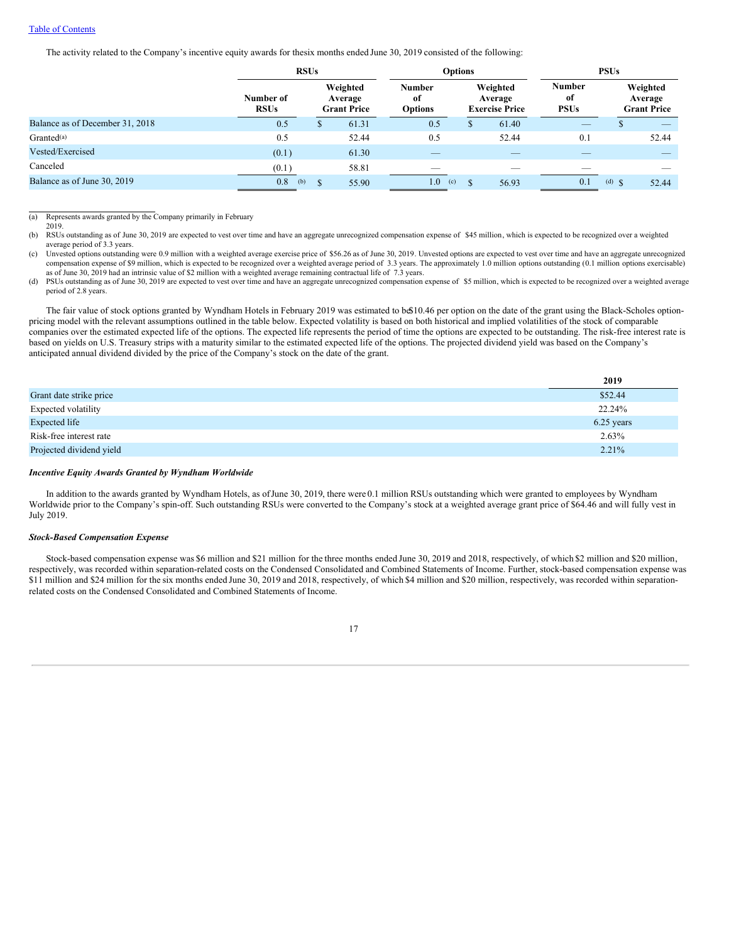### Table of [Contents](#page-1-0)

The activity related to the Company's incentive equity awards for thesix months ended June 30, 2019 consisted of the following:

|                                 | <b>RSUs</b>              |   |                                           | <b>Options</b>                        |                                              |       | <b>PSUs</b>                        |            |                                           |
|---------------------------------|--------------------------|---|-------------------------------------------|---------------------------------------|----------------------------------------------|-------|------------------------------------|------------|-------------------------------------------|
|                                 | Number of<br><b>RSUs</b> |   | Weighted<br>Average<br><b>Grant Price</b> | <b>Number</b><br>of<br><b>Options</b> | Weighted<br>Average<br><b>Exercise Price</b> |       | <b>Number</b><br>оf<br><b>PSUs</b> |            | Weighted<br>Average<br><b>Grant Price</b> |
| Balance as of December 31, 2018 | 0.5                      | D | 61.31                                     | 0.5                                   |                                              | 61.40 | _                                  |            |                                           |
| Granted <sup>(a)</sup>          | 0.5                      |   | 52.44                                     | 0.5                                   |                                              | 52.44 | 0.1                                |            | 52.44                                     |
| Vested/Exercised                | (0.1)                    |   | 61.30                                     |                                       |                                              |       |                                    |            |                                           |
| Canceled                        | (0.1)                    |   | 58.81                                     |                                       |                                              |       |                                    |            |                                           |
| Balance as of June 30, 2019     | 0.8<br>(b)               |   | 55.90                                     | 1.0 <sub>1</sub><br>(c)               |                                              | 56.93 | 0.1                                | (d) $\int$ | 52.44                                     |

(a) Represents awards granted by the Company primarily in February

2019.

(b) RSUs outstanding as of June 30, 2019 are expected to vest over time and have an aggregate unrecognized compensation expense of \$45 million, which is expected to be recognized over a weighted average period of 3.3 years.

(c) Unvested options outstanding were 0.9 million with a weighted average exercise price of \$56.26 as of June 30, 2019. Unvested options are expected to vest over time and have an aggregate unrecognized compensation expense of \$9 million, which is expected to be recognized over a weighted average period of 3.3 years. The approximately 1.0 million options outstanding (0.1 million options exercisable) as of June 30, 2019 had an intrinsic value of \$2 million with a weighted average remaining contractual life of 7.3 years.

(d) PSUs outstanding as of June 30, 2019 are expected to vest over time and have an aggregate unrecognized compensation expense of \$5 million, which is expected to be recognized over a weighted average period of 2.8 years.

The fair value of stock options granted by Wyndham Hotels in February 2019 was estimated to b $$10.46$  per option on the date of the grant using the Black-Scholes optionpricing model with the relevant assumptions outlined in the table below. Expected volatility is based on both historical and implied volatilities of the stock of comparable companies over the estimated expected life of the options. The expected life represents the period of time the options are expected to be outstanding. The risk-free interest rate is based on yields on U.S. Treasury strips with a maturity similar to the estimated expected life of the options. The projected dividend yield was based on the Company's anticipated annual dividend divided by the price of the Company's stock on the date of the grant.

|                          | 2019       |
|--------------------------|------------|
| Grant date strike price  | \$52.44    |
| Expected volatility      | 22.24%     |
| Expected life            | 6.25 years |
| Risk-free interest rate  | $2.63\%$   |
| Projected dividend yield | $2.21\%$   |

#### *Incentive Equity Awards Granted by Wyndham Worldwide*

In addition to the awards granted by Wyndham Hotels, as ofJune 30, 2019, there were 0.1 million RSUs outstanding which were granted to employees by Wyndham Worldwide prior to the Company's spin-off. Such outstanding RSUs were converted to the Company's stock at a weighted average grant price of \$64.46 and will fully vest in July 2019.

### *Stock-Based Compensation Expense*

Stock-based compensation expense was \$6 million and \$21 million for the three months ended June 30, 2019 and 2018, respectively, of which \$2 million and \$20 million, respectively, was recorded within separation-related costs on the Condensed Consolidated and Combined Statements of Income. Further, stock-based compensation expense was \$11 million and \$24 million for the six months ended June 30, 2019 and 2018, respectively, of which \$4 million and \$20 million, respectively, was recorded within separationrelated costs on the Condensed Consolidated and Combined Statements of Income.

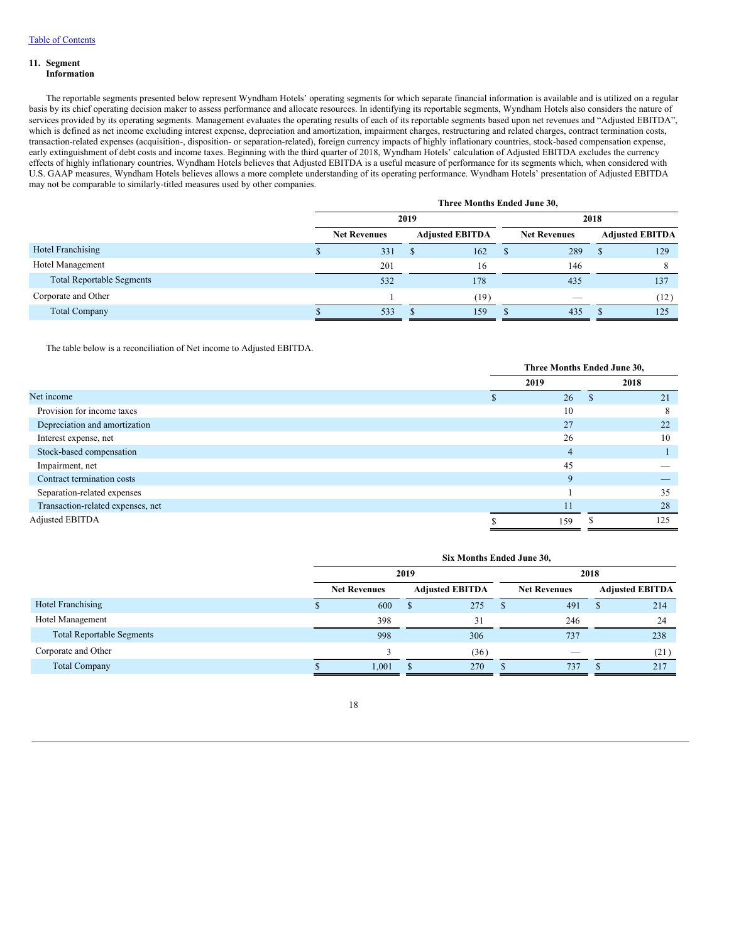# **11. Segment**

### **Information**

The reportable segments presented below represent Wyndham Hotels' operating segments for which separate financial information is available and is utilized on a regular basis by its chief operating decision maker to assess performance and allocate resources. In identifying its reportable segments, Wyndham Hotels also considers the nature of services provided by its operating segments. Management evaluates the operating results of each of its reportable segments based upon net revenues and "Adjusted EBITDA", which is defined as net income excluding interest expense, depreciation and amortization, impairment charges, restructuring and related charges, contract termination costs, transaction-related expenses (acquisition-, disposition- or separation-related), foreign currency impacts of highly inflationary countries, stock-based compensation expense, early extinguishment of debt costs and income taxes. Beginning with the third quarter of 2018, Wyndham Hotels' calculation of Adjusted EBITDA excludes the currency effects of highly inflationary countries. Wyndham Hotels believes that Adjusted EBITDA is a useful measure of performance for its segments which, when considered with U.S. GAAP measures, Wyndham Hotels believes allows a more complete understanding of its operating performance. Wyndham Hotels' presentation of Adjusted EBITDA may not be comparable to similarly-titled measures used by other companies.

|                                  | Three Months Ended June 30, |   |                        |      |                          |   |                        |
|----------------------------------|-----------------------------|---|------------------------|------|--------------------------|---|------------------------|
|                                  | 2019                        |   |                        | 2018 |                          |   |                        |
|                                  | <b>Net Revenues</b>         |   | <b>Adjusted EBITDA</b> |      | <b>Net Revenues</b>      |   | <b>Adjusted EBITDA</b> |
| Hotel Franchising                | 331                         | S | 162                    |      | 289                      | S | 129                    |
| Hotel Management                 | 201                         |   | 16                     |      | 146                      |   |                        |
| <b>Total Reportable Segments</b> | 532                         |   | 178                    |      | 435                      |   | 137                    |
| Corporate and Other              |                             |   | (19)                   |      | $\overline{\phantom{a}}$ |   | (12)                   |
| <b>Total Company</b>             | 533                         |   | 159                    |      | 435                      |   | 125                    |

The table below is a reconciliation of Net income to Adjusted EBITDA.

|                                   | Three Months Ended June 30, |  |      |  |
|-----------------------------------|-----------------------------|--|------|--|
|                                   | 2019                        |  | 2018 |  |
| Net income                        | 26                          |  | 21   |  |
| Provision for income taxes        | 10                          |  | 8    |  |
| Depreciation and amortization     | 27                          |  | 22   |  |
| Interest expense, net             | 26                          |  | 10   |  |
| Stock-based compensation          | 4                           |  |      |  |
| Impairment, net                   | 45                          |  |      |  |
| Contract termination costs        | $\mathbf Q$                 |  |      |  |
| Separation-related expenses       |                             |  | 35   |  |
| Transaction-related expenses, net | 11                          |  | 28   |  |
| Adjusted EBITDA                   | 159                         |  | 125  |  |

|                                  | Six Months Ended June 30, |  |                        |      |                          |  |                        |
|----------------------------------|---------------------------|--|------------------------|------|--------------------------|--|------------------------|
|                                  | 2019                      |  |                        | 2018 |                          |  |                        |
|                                  | <b>Net Revenues</b>       |  | <b>Adjusted EBITDA</b> |      | <b>Net Revenues</b>      |  | <b>Adjusted EBITDA</b> |
| Hotel Franchising                | 600                       |  | 275                    |      | 491                      |  | 214                    |
| Hotel Management                 | 398                       |  | 31                     |      | 246                      |  | 24                     |
| <b>Total Reportable Segments</b> | 998                       |  | 306                    |      | 737                      |  | 238                    |
| Corporate and Other              |                           |  | (36)                   |      | $\overline{\phantom{a}}$ |  | (21)                   |
| <b>Total Company</b>             | 1,001                     |  | 270                    |      | 737                      |  | 217                    |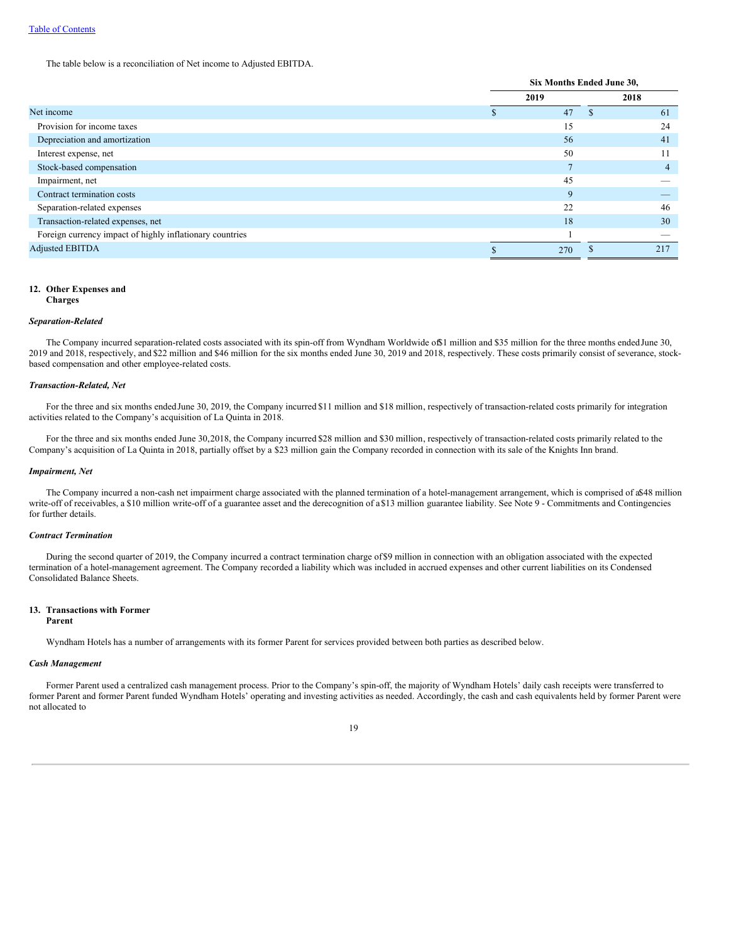The table below is a reconciliation of Net income to Adjusted EBITDA.

|                                                          | Six Months Ended June 30, |    |      |  |
|----------------------------------------------------------|---------------------------|----|------|--|
|                                                          | 2019                      |    | 2018 |  |
| Net income                                               | 47                        | S. | 61   |  |
| Provision for income taxes                               | 15                        |    | 24   |  |
| Depreciation and amortization                            | 56                        |    | 41   |  |
| Interest expense, net                                    | 50                        |    | 11   |  |
| Stock-based compensation                                 | Ξ                         |    | 4    |  |
| Impairment, net                                          | 45                        |    |      |  |
| Contract termination costs                               | 9                         |    |      |  |
| Separation-related expenses                              | 22                        |    | 46   |  |
| Transaction-related expenses, net                        | 18                        |    | 30   |  |
| Foreign currency impact of highly inflationary countries |                           |    |      |  |
| <b>Adjusted EBITDA</b>                                   | 270                       |    | 217  |  |

### **12. Other Expenses and**

**Charges**

### *Separation-Related*

The Company incurred separation-related costs associated with its spin-off from Wyndham Worldwide of\$1 million and \$35 million for the three months ended June 30, 2019 and 2018, respectively, and \$22 million and \$46 million for the six months ended June 30, 2019 and 2018, respectively. These costs primarily consist of severance, stockbased compensation and other employee-related costs.

#### *Transaction-Related, Net*

For the three and six months endedJune 30, 2019, the Company incurred \$11 million and \$18 million, respectively of transaction-related costs primarily for integration activities related to the Company's acquisition of La Quinta in 2018.

For the three and six months ended June 30,2018, the Company incurred \$28 million and \$30 million, respectively of transaction-related costs primarily related to the Company's acquisition of La Quinta in 2018, partially offset by a \$23 million gain the Company recorded in connection with its sale of the Knights Inn brand.

### *Impairment, Net*

The Company incurred a non-cash net impairment charge associated with the planned termination of a hotel-management arrangement, which is comprised of a\$48 million write-off of receivables, a \$10 million write-off of a guarantee asset and the derecognition of a \$13 million guarantee liability. See Note 9 - Commitments and Contingencies for further details.

### *Contract Termination*

During the second quarter of 2019, the Company incurred a contract termination charge of\$9 million in connection with an obligation associated with the expected termination of a hotel-management agreement. The Company recorded a liability which was included in accrued expenses and other current liabilities on its Condensed Consolidated Balance Sheets.

### **13. Transactions with Former**

#### **Parent**

Wyndham Hotels has a number of arrangements with its former Parent for services provided between both parties as described below.

#### *Cash Management*

Former Parent used a centralized cash management process. Prior to the Company's spin-off, the majority of Wyndham Hotels' daily cash receipts were transferred to former Parent and former Parent funded Wyndham Hotels' operating and investing activities as needed. Accordingly, the cash and cash equivalents held by former Parent were not allocated to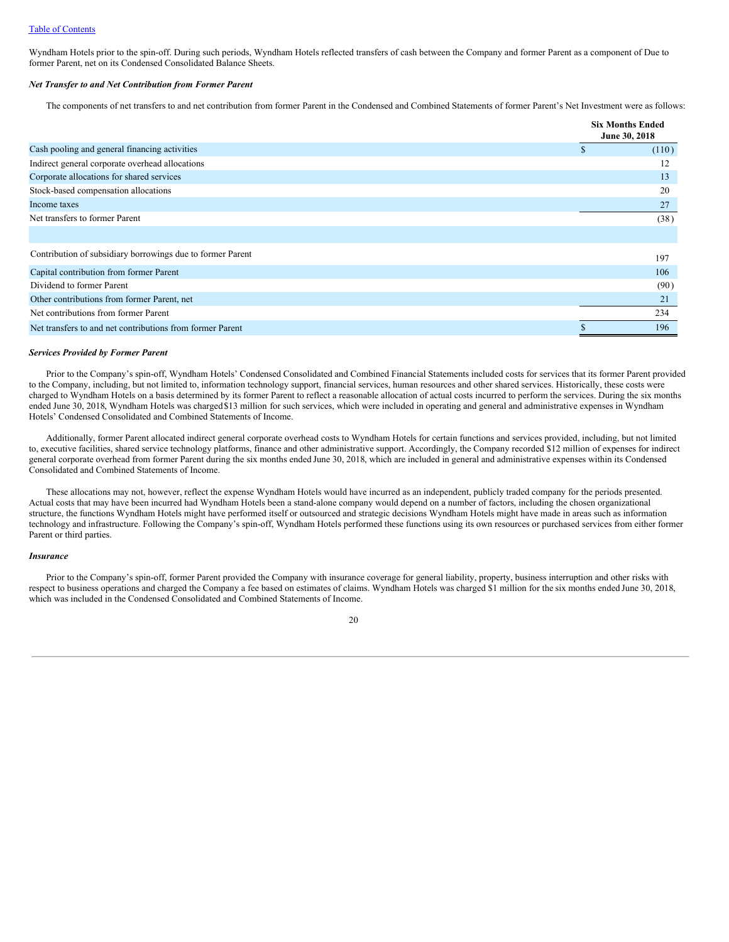Wyndham Hotels prior to the spin-off. During such periods, Wyndham Hotels reflected transfers of cash between the Company and former Parent as a component of Due to former Parent, net on its Condensed Consolidated Balance Sheets.

### *Net Transfer to and Net Contribution from Former Parent*

The components of net transfers to and net contribution from former Parent in the Condensed and Combined Statements of former Parent's Net Investment were as follows:

|                                                            |    | <b>Six Months Ended</b><br>June 30, 2018 |
|------------------------------------------------------------|----|------------------------------------------|
| Cash pooling and general financing activities              | \$ | (110)                                    |
| Indirect general corporate overhead allocations            |    | 12                                       |
| Corporate allocations for shared services                  |    | 13                                       |
| Stock-based compensation allocations                       |    | 20                                       |
| Income taxes                                               |    | 27                                       |
| Net transfers to former Parent                             |    | (38)                                     |
|                                                            |    |                                          |
| Contribution of subsidiary borrowings due to former Parent |    | 197                                      |
| Capital contribution from former Parent                    |    | 106                                      |
| Dividend to former Parent                                  |    | (90)                                     |
| Other contributions from former Parent, net                |    | 21                                       |
| Net contributions from former Parent                       |    | 234                                      |
| Net transfers to and net contributions from former Parent  |    | 196                                      |

### *Services Provided by Former Parent*

Prior to the Company's spin-off, Wyndham Hotels' Condensed Consolidated and Combined Financial Statements included costs for services that its former Parent provided to the Company, including, but not limited to, information technology support, financial services, human resources and other shared services. Historically, these costs were charged to Wyndham Hotels on a basis determined by its former Parent to reflect a reasonable allocation of actual costs incurred to perform the services. During the six months ended June 30, 2018, Wyndham Hotels was charged\$13 million for such services, which were included in operating and general and administrative expenses in Wyndham Hotels' Condensed Consolidated and Combined Statements of Income.

Additionally, former Parent allocated indirect general corporate overhead costs to Wyndham Hotels for certain functions and services provided, including, but not limited to, executive facilities, shared service technology platforms, finance and other administrative support. Accordingly, the Company recorded \$12 million of expenses for indirect general corporate overhead from former Parent during the six months ended June 30, 2018, which are included in general and administrative expenses within its Condensed Consolidated and Combined Statements of Income.

These allocations may not, however, reflect the expense Wyndham Hotels would have incurred as an independent, publicly traded company for the periods presented. Actual costs that may have been incurred had Wyndham Hotels been a stand-alone company would depend on a number of factors, including the chosen organizational structure, the functions Wyndham Hotels might have performed itself or outsourced and strategic decisions Wyndham Hotels might have made in areas such as information technology and infrastructure. Following the Company's spin-off, Wyndham Hotels performed these functions using its own resources or purchased services from either former Parent or third parties.

#### *Insurance*

Prior to the Company's spin-off, former Parent provided the Company with insurance coverage for general liability, property, business interruption and other risks with respect to business operations and charged the Company a fee based on estimates of claims. Wyndham Hotels was charged \$1 million for the six months ended June 30, 2018, which was included in the Condensed Consolidated and Combined Statements of Income.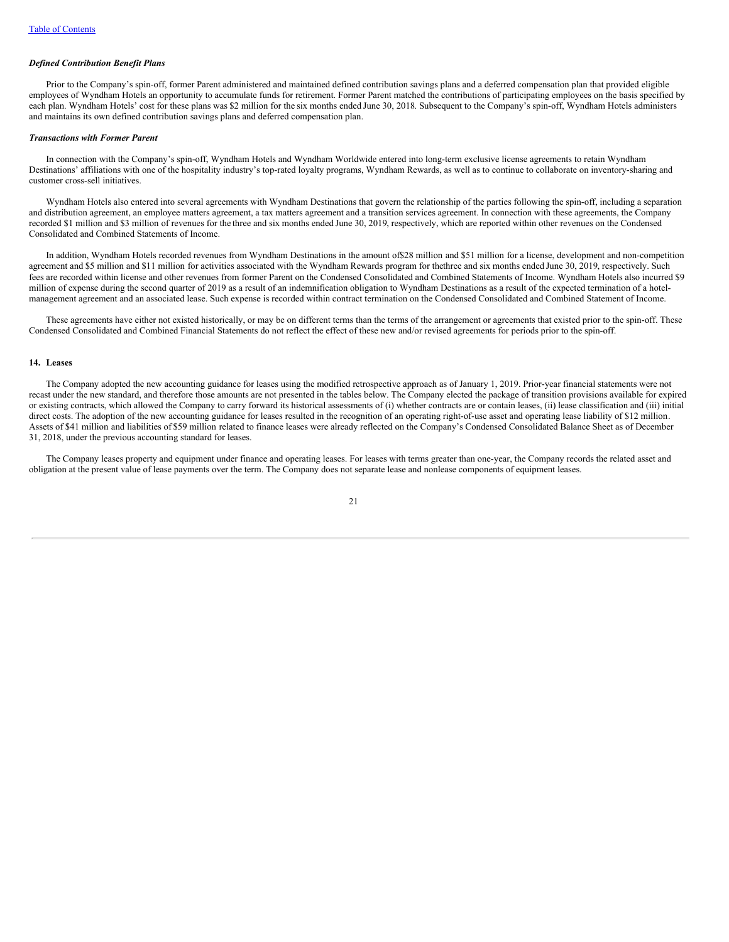#### *Defined Contribution Benefit Plans*

Prior to the Company's spin-off, former Parent administered and maintained defined contribution savings plans and a deferred compensation plan that provided eligible employees of Wyndham Hotels an opportunity to accumulate funds for retirement. Former Parent matched the contributions of participating employees on the basis specified by each plan. Wyndham Hotels' cost for these plans was \$2 million for the six months ended June 30, 2018. Subsequent to the Company's spin-off, Wyndham Hotels administers and maintains its own defined contribution savings plans and deferred compensation plan.

#### *Transactions with Former Parent*

In connection with the Company's spin-off, Wyndham Hotels and Wyndham Worldwide entered into long-term exclusive license agreements to retain Wyndham Destinations' affiliations with one of the hospitality industry's top-rated loyalty programs, Wyndham Rewards, as well as to continue to collaborate on inventory-sharing and customer cross-sell initiatives.

Wyndham Hotels also entered into several agreements with Wyndham Destinations that govern the relationship of the parties following the spin-off, including a separation and distribution agreement, an employee matters agreement, a tax matters agreement and a transition services agreement. In connection with these agreements, the Company recorded \$1 million and \$3 million of revenues for the three and six months ended June 30, 2019, respectively, which are reported within other revenues on the Condensed Consolidated and Combined Statements of Income.

In addition, Wyndham Hotels recorded revenues from Wyndham Destinations in the amount of\$28 million and \$51 million for a license, development and non-competition agreement and \$5 million and \$11 million for activities associated with the Wyndham Rewards program for thethree and six months ended June 30, 2019, respectively. Such fees are recorded within license and other revenues from former Parent on the Condensed Consolidated and Combined Statements of Income. Wyndham Hotels also incurred \$9 million of expense during the second quarter of 2019 as a result of an indemnification obligation to Wyndham Destinations as a result of the expected termination of a hotelmanagement agreement and an associated lease. Such expense is recorded within contract termination on the Condensed Consolidated and Combined Statement of Income.

These agreements have either not existed historically, or may be on different terms than the terms of the arrangement or agreements that existed prior to the spin-off. These Condensed Consolidated and Combined Financial Statements do not reflect the effect of these new and/or revised agreements for periods prior to the spin-off.

### **14. Leases**

The Company adopted the new accounting guidance for leases using the modified retrospective approach as of January 1, 2019. Prior-year financial statements were not recast under the new standard, and therefore those amounts are not presented in the tables below. The Company elected the package of transition provisions available for expired or existing contracts, which allowed the Company to carry forward its historical assessments of (i) whether contracts are or contain leases, (ii) lease classification and (iii) initial direct costs. The adoption of the new accounting guidance for leases resulted in the recognition of an operating right-of-use asset and operating lease liability of \$12 million. Assets of \$41 million and liabilities of \$59 million related to finance leases were already reflected on the Company's Condensed Consolidated Balance Sheet as of December 31, 2018, under the previous accounting standard for leases.

The Company leases property and equipment under finance and operating leases. For leases with terms greater than one-year, the Company records the related asset and obligation at the present value of lease payments over the term. The Company does not separate lease and nonlease components of equipment leases.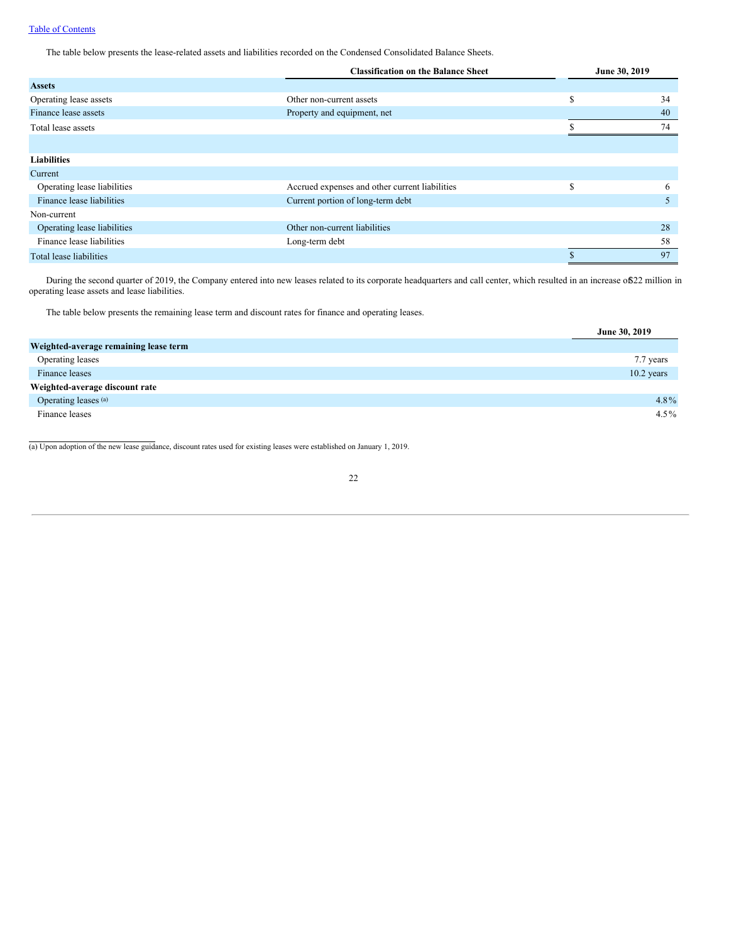The table below presents the lease-related assets and liabilities recorded on the Condensed Consolidated Balance Sheets.

|                             | <b>Classification on the Balance Sheet</b>     | June 30, 2019 |    |  |
|-----------------------------|------------------------------------------------|---------------|----|--|
| <b>Assets</b>               |                                                |               |    |  |
| Operating lease assets      | Other non-current assets                       | S             | 34 |  |
| Finance lease assets        | Property and equipment, net                    |               | 40 |  |
| Total lease assets          |                                                |               | 74 |  |
|                             |                                                |               |    |  |
| <b>Liabilities</b>          |                                                |               |    |  |
| Current                     |                                                |               |    |  |
| Operating lease liabilities | Accrued expenses and other current liabilities | S             | 6  |  |
| Finance lease liabilities   | Current portion of long-term debt              |               | 5  |  |
| Non-current                 |                                                |               |    |  |
| Operating lease liabilities | Other non-current liabilities                  |               | 28 |  |
| Finance lease liabilities   | Long-term debt                                 |               | 58 |  |
| Total lease liabilities     |                                                |               | 97 |  |

During the second quarter of 2019, the Company entered into new leases related to its corporate headquarters and call center, which resulted in an increase of\$22 million in operating lease assets and lease liabilities.

The table below presents the remaining lease term and discount rates for finance and operating leases.

|                                       | June 30, 2019 |
|---------------------------------------|---------------|
| Weighted-average remaining lease term |               |
| Operating leases                      | 7.7 years     |
| Finance leases                        | $10.2$ years  |
| Weighted-average discount rate        |               |
| Operating leases (a)                  | 4.8%          |
| Finance leases                        | $4.5\%$       |

(a) Upon adoption of the new lease guidance, discount rates used for existing leases were established on January 1, 2019.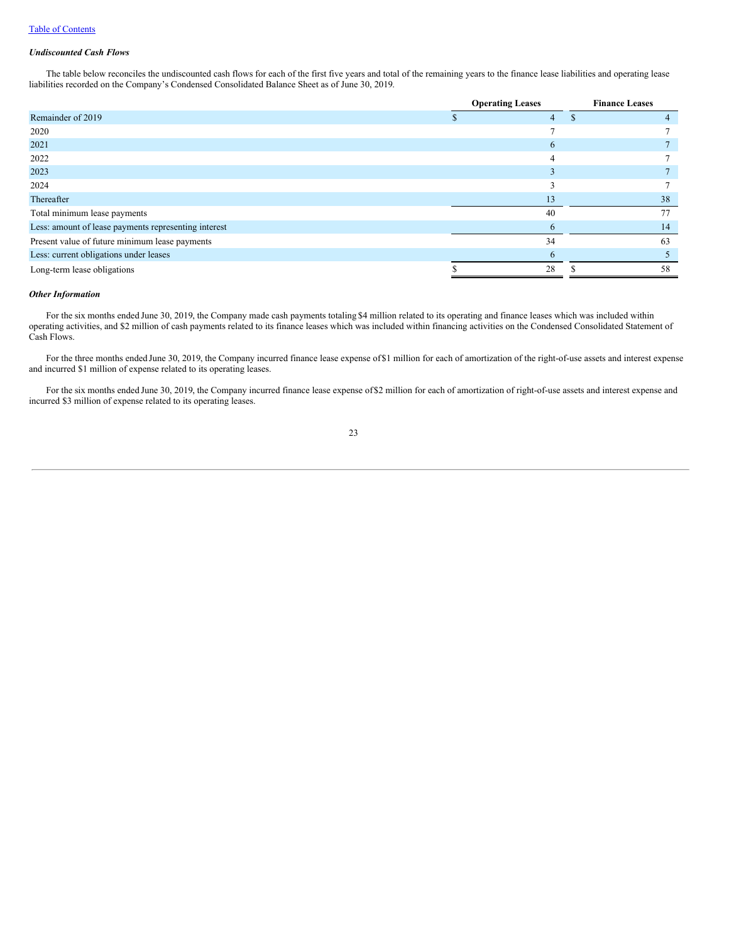### *Undiscounted Cash Flows*

The table below reconciles the undiscounted cash flows for each of the first five years and total of the remaining years to the finance lease liabilities and operating lease liabilities recorded on the Company's Condensed Consolidated Balance Sheet as of June 30, 2019.

|                                                      | <b>Operating Leases</b> |    | <b>Finance Leases</b> |    |  |
|------------------------------------------------------|-------------------------|----|-----------------------|----|--|
| Remainder of 2019                                    |                         | 4  |                       |    |  |
| 2020                                                 |                         | ⇁  |                       |    |  |
| 2021                                                 |                         | 6  |                       |    |  |
| 2022                                                 |                         | 4  |                       |    |  |
| 2023                                                 |                         |    |                       |    |  |
| 2024                                                 |                         |    |                       |    |  |
| Thereafter                                           |                         | 13 |                       | 38 |  |
| Total minimum lease payments                         |                         | 40 |                       | 77 |  |
| Less: amount of lease payments representing interest |                         | 6  |                       | 14 |  |
| Present value of future minimum lease payments       |                         | 34 |                       | 63 |  |
| Less: current obligations under leases               |                         | 6  |                       |    |  |
| Long-term lease obligations                          |                         | 28 |                       | 58 |  |

### *Other Information*

For the six months ended June 30, 2019, the Company made cash payments totaling \$4 million related to its operating and finance leases which was included within operating activities, and \$2 million of cash payments related to its finance leases which was included within financing activities on the Condensed Consolidated Statement of Cash Flows.

For the three months ended June 30, 2019, the Company incurred finance lease expense of\$1 million for each of amortization of the right-of-use assets and interest expense and incurred \$1 million of expense related to its operating leases.

For the six months ended June 30, 2019, the Company incurred finance lease expense of\$2 million for each of amortization of right-of-use assets and interest expense and incurred \$3 million of expense related to its operating leases.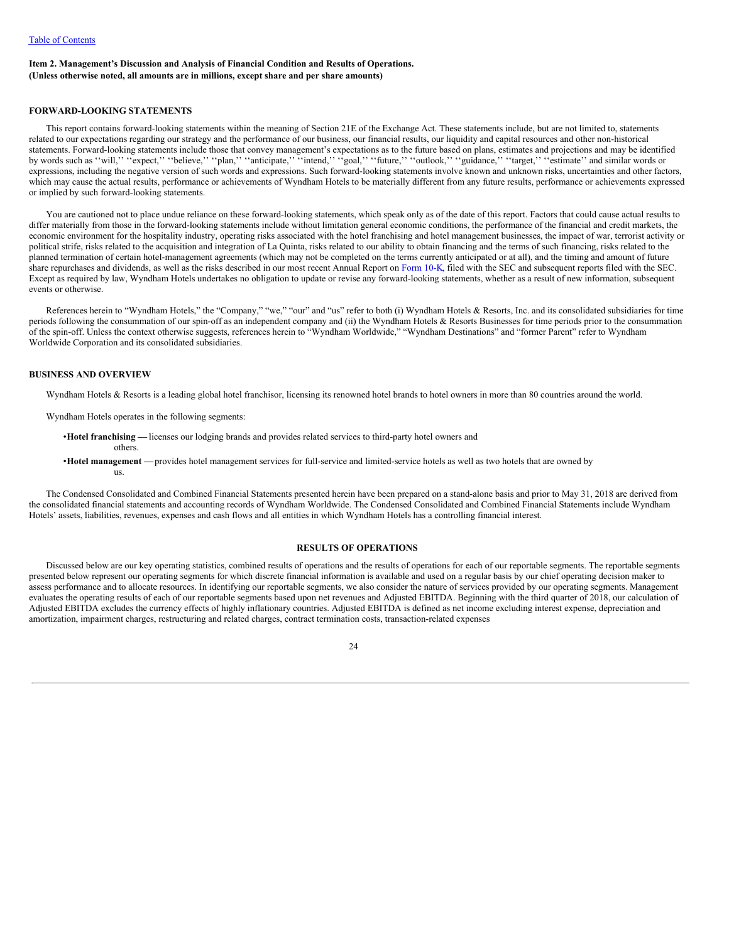### <span id="page-25-0"></span>**Item 2. Management's Discussion and Analysis of Financial Condition and Results of Operations. (Unless otherwise noted, all amounts are in millions, except share and per share amounts)**

### <span id="page-25-1"></span>**FORWARD-LOOKING STATEMENTS**

This report contains forward-looking statements within the meaning of Section 21E of the Exchange Act. These statements include, but are not limited to, statements related to our expectations regarding our strategy and the performance of our business, our financial results, our liquidity and capital resources and other non-historical statements. Forward-looking statements include those that convey management's expectations as to the future based on plans, estimates and projections and may be identified by words such as "will," "expect," "believe," "plan," "anticipate," "intend," "goal," "future," "outlook," "guidance," "target," "estimate" and similar words or expressions, including the negative version of such words and expressions. Such forward-looking statements involve known and unknown risks, uncertainties and other factors, which may cause the actual results, performance or achievements of Wyndham Hotels to be materially different from any future results, performance or achievements expressed or implied by such forward-looking statements.

You are cautioned not to place undue reliance on these forward-looking statements, which speak only as of the date of this report. Factors that could cause actual results to differ materially from those in the forward-looking statements include without limitation general economic conditions, the performance of the financial and credit markets, the economic environment for the hospitality industry, operating risks associated with the hotel franchising and hotel management businesses, the impact of war, terrorist activity or political strife, risks related to the acquisition and integration of La Quinta, risks related to our ability to obtain financing and the terms of such financing, risks related to the planned termination of certain hotel-management agreements (which may not be completed on the terms currently anticipated or at all), and the timing and amount of future share repurchases and dividends, as well as the risks described in our most recent Annual Report on [Form](http://www.sec.gov/Archives/edgar/data/1722684/000172268419000008/wh-20181231x10k.htm) 10-K, filed with the SEC and subsequent reports filed with the SEC. Except as required by law, Wyndham Hotels undertakes no obligation to update or revise any forward-looking statements, whether as a result of new information, subsequent events or otherwise.

References herein to "Wyndham Hotels," the "Company," "we," "our" and "us" refer to both (i) Wyndham Hotels & Resorts, Inc. and its consolidated subsidiaries for time periods following the consummation of our spin-off as an independent company and (ii) the Wyndham Hotels & Resorts Businesses for time periods prior to the consummation of the spin-off. Unless the context otherwise suggests, references herein to "Wyndham Worldwide," "Wyndham Destinations" and "former Parent" refer to Wyndham Worldwide Corporation and its consolidated subsidiaries.

### **BUSINESS AND OVERVIEW**

Wyndham Hotels & Resorts is a leading global hotel franchisor, licensing its renowned hotel brands to hotel owners in more than 80 countries around the world.

Wyndham Hotels operates in the following segments:

- •**Hotel franchising —** licenses our lodging brands and provides related services to third-party hotel owners and
- others. •**Hotel management —**provides hotel management services for full-service and limited-service hotels as well as two hotels that are owned by us.

The Condensed Consolidated and Combined Financial Statements presented herein have been prepared on a stand-alone basis and prior to May 31, 2018 are derived from the consolidated financial statements and accounting records of Wyndham Worldwide. The Condensed Consolidated and Combined Financial Statements include Wyndham Hotels' assets, liabilities, revenues, expenses and cash flows and all entities in which Wyndham Hotels has a controlling financial interest.

### **RESULTS OF OPERATIONS**

Discussed below are our key operating statistics, combined results of operations and the results of operations for each of our reportable segments. The reportable segments presented below represent our operating segments for which discrete financial information is available and used on a regular basis by our chief operating decision maker to assess performance and to allocate resources. In identifying our reportable segments, we also consider the nature of services provided by our operating segments. Management evaluates the operating results of each of our reportable segments based upon net revenues and Adjusted EBITDA. Beginning with the third quarter of 2018, our calculation of Adjusted EBITDA excludes the currency effects of highly inflationary countries. Adjusted EBITDA is defined as net income excluding interest expense, depreciation and amortization, impairment charges, restructuring and related charges, contract termination costs, transaction-related expenses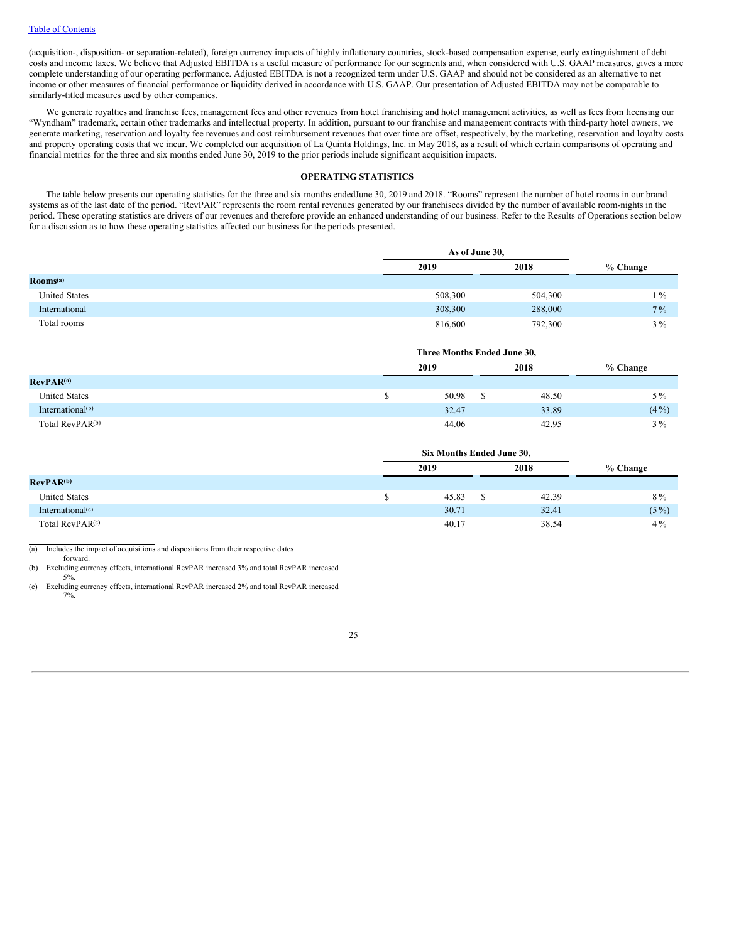(acquisition-, disposition- or separation-related), foreign currency impacts of highly inflationary countries, stock-based compensation expense, early extinguishment of debt costs and income taxes. We believe that Adjusted EBITDA is a useful measure of performance for our segments and, when considered with U.S. GAAP measures, gives a more complete understanding of our operating performance. Adjusted EBITDA is not a recognized term under U.S. GAAP and should not be considered as an alternative to net income or other measures of financial performance or liquidity derived in accordance with U.S. GAAP. Our presentation of Adjusted EBITDA may not be comparable to similarly-titled measures used by other companies.

We generate royalties and franchise fees, management fees and other revenues from hotel franchising and hotel management activities, as well as fees from licensing our "Wyndham" trademark, certain other trademarks and intellectual property. In addition, pursuant to our franchise and management contracts with third-party hotel owners, we generate marketing, reservation and loyalty fee revenues and cost reimbursement revenues that over time are offset, respectively, by the marketing, reservation and loyalty costs and property operating costs that we incur. We completed our acquisition of La Quinta Holdings, Inc. in May 2018, as a result of which certain comparisons of operating and financial metrics for the three and six months ended June 30, 2019 to the prior periods include significant acquisition impacts.

### **OPERATING STATISTICS**

The table below presents our operating statistics for the three and six months endedJune 30, 2019 and 2018. "Rooms" represent the number of hotel rooms in our brand systems as of the last date of the period. "RevPAR" represents the room rental revenues generated by our franchisees divided by the number of available room-nights in the period. These operating statistics are drivers of our revenues and therefore provide an enhanced understanding of our business. Refer to the Results of Operations section below for a discussion as to how these operating statistics affected our business for the periods presented.

|                                     |         | As of June 30, |          |  |  |
|-------------------------------------|---------|----------------|----------|--|--|
|                                     | 2019    | 2018           | % Change |  |  |
| $\mathbf{Rooms}^{\left( a\right) }$ |         |                |          |  |  |
| <b>United States</b>                | 508,300 | 504,300        | $1\%$    |  |  |
| International                       | 308,300 | 288,000        | $7\%$    |  |  |
| Total rooms                         | 816,600 | 792,300        | $3\%$    |  |  |

|                             |  | Three Months Ended June 30, |      |       |          |  |
|-----------------------------|--|-----------------------------|------|-------|----------|--|
| RevPAR <sup>(a)</sup>       |  | 2019                        | 2018 |       | % Change |  |
|                             |  |                             |      |       |          |  |
| <b>United States</b>        |  | 50.98                       |      | 48.50 | $5\%$    |  |
| International $(b)$         |  | 32.47                       |      | 33.89 | $(4\%)$  |  |
| Total RevPAR <sup>(b)</sup> |  | 44.06                       |      | 42.95 | $3\%$    |  |

|                              | Six Months Ended June 30, |  |       |          |  |  |  |
|------------------------------|---------------------------|--|-------|----------|--|--|--|
|                              | 2019                      |  | 2018  | % Change |  |  |  |
| <b>RevPAR<sup>(b)</sup></b>  |                           |  |       |          |  |  |  |
| <b>United States</b>         | 45.83                     |  | 42.39 | 8%       |  |  |  |
| International <sup>(c)</sup> | 30.71                     |  | 32.41 | $(5\%)$  |  |  |  |
| Total RevPAR <sup>(c)</sup>  | 40.17                     |  | 38.54 | $4\%$    |  |  |  |

(a) Includes the impact of acquisitions and dispositions from their respective dates

forward. (b) Excluding currency effects, international RevPAR increased 3% and total RevPAR increased

5%.

(c) Excluding currency effects, international RevPAR increased 2% and total RevPAR increased 7%.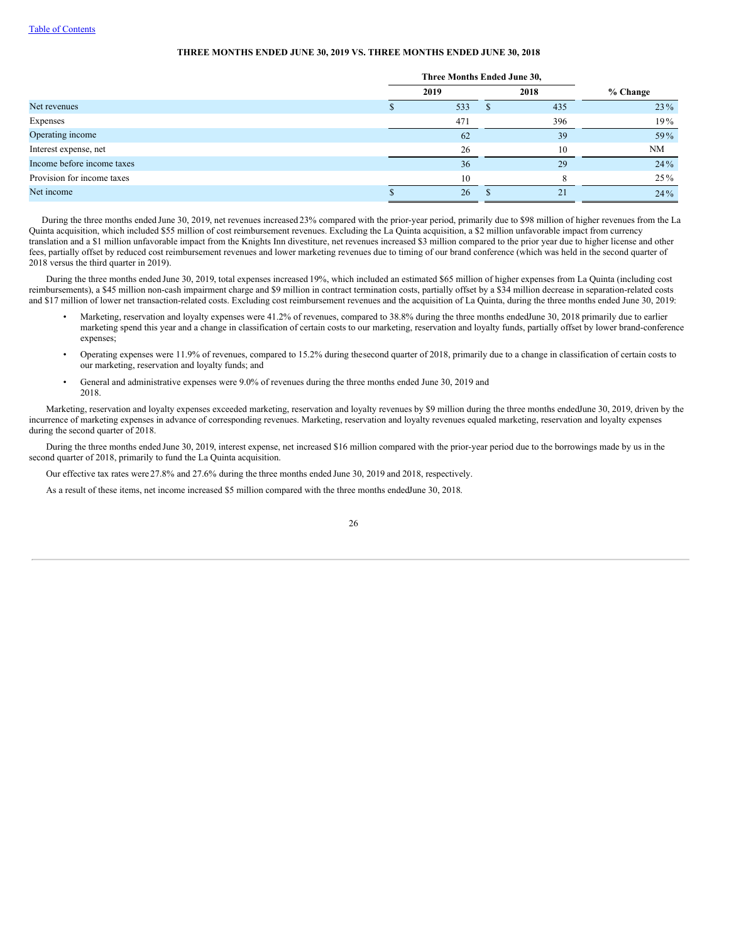### **THREE MONTHS ENDED JUNE 30, 2019 VS. THREE MONTHS ENDED JUNE 30, 2018**

|                            | Three Months Ended June 30, |      |            |
|----------------------------|-----------------------------|------|------------|
|                            | 2019                        | 2018 | $%$ Change |
| Net revenues               | 533                         | 435  | 23 %       |
| Expenses                   | 471                         | 396  | 19%        |
| Operating income           | 62                          | 39   | 59%        |
| Interest expense, net      | 26                          | 10   | NM         |
| Income before income taxes | 36                          | 29   | 24%        |
| Provision for income taxes | 10                          | 8    | $25\%$     |
| Net income                 | 26                          | 21   | 24 %       |

During the three months ended June 30, 2019, net revenues increased 23% compared with the prior-year period, primarily due to \$98 million of higher revenues from the La Quinta acquisition, which included \$55 million of cost reimbursement revenues. Excluding the La Quinta acquisition, a \$2 million unfavorable impact from currency translation and a \$1 million unfavorable impact from the Knights Inn divestiture, net revenues increased \$3 million compared to the prior year due to higher license and other fees, partially offset by reduced cost reimbursement revenues and lower marketing revenues due to timing of our brand conference (which was held in the second quarter of 2018 versus the third quarter in 2019).

During the three months ended June 30, 2019, total expenses increased 19%, which included an estimated \$65 million of higher expenses from La Quinta (including cost reimbursements), a \$45 million non-cash impairment charge and \$9 million in contract termination costs, partially offset by a \$34 million decrease in separation-related costs and \$17 million of lower net transaction-related costs. Excluding cost reimbursement revenues and the acquisition of La Quinta, during the three months ended June 30, 2019:

- Marketing, reservation and loyalty expenses were 41.2% of revenues, compared to 38.8% during the three months endedJune 30, 2018 primarily due to earlier marketing spend this year and a change in classification of certain costs to our marketing, reservation and loyalty funds, partially offset by lower brand-conference expenses;
- Operating expenses were 11.9% of revenues, compared to 15.2% during thesecond quarter of 2018, primarily due to a change in classification of certain costs to our marketing, reservation and loyalty funds; and
- General and administrative expenses were 9.0% of revenues during the three months ended June 30, 2019 and 2018.

Marketing, reservation and loyalty expenses exceeded marketing, reservation and loyalty revenues by \$9 million during the three months endedJune 30, 2019, driven by the incurrence of marketing expenses in advance of corresponding revenues. Marketing, reservation and loyalty revenues equaled marketing, reservation and loyalty expenses during the second quarter of 2018.

During the three months ended June 30, 2019, interest expense, net increased \$16 million compared with the prior-year period due to the borrowings made by us in the second quarter of 2018, primarily to fund the La Quinta acquisition.

Our effective tax rates were 27.8% and 27.6% during the three months ended June 30, 2019 and 2018, respectively.

As a result of these items, net income increased \$5 million compared with the three months endedJune 30, 2018.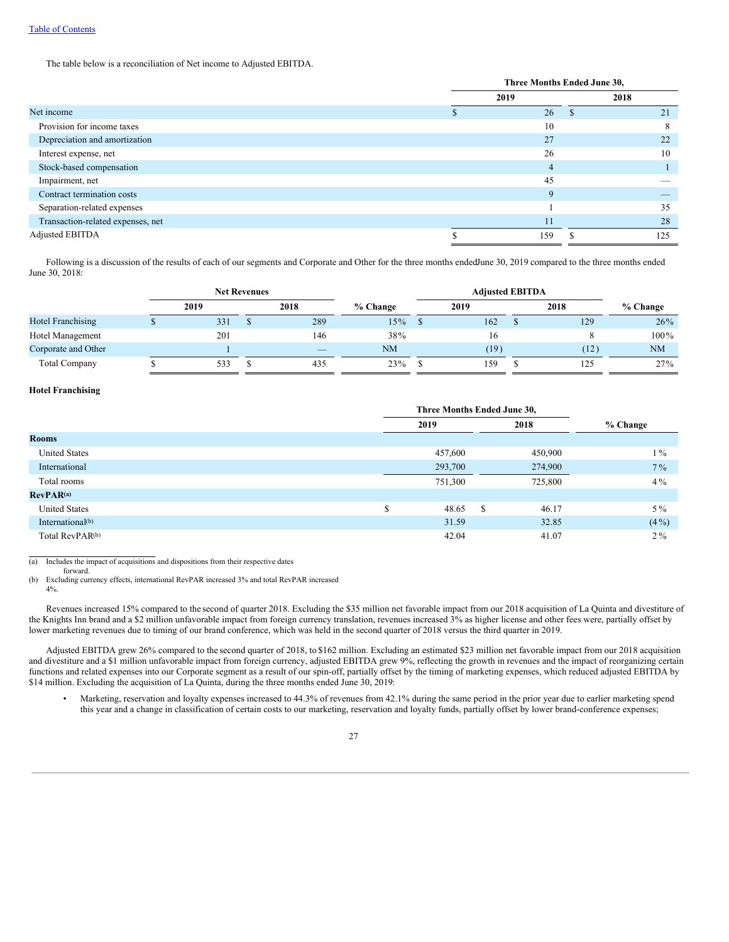The table below is a reconciliation of Net income to Adjusted EBITDA.

|                                   | Three Months Ended June 30, |     |    |      |
|-----------------------------------|-----------------------------|-----|----|------|
|                                   | 2019                        |     |    | 2018 |
| Net income                        |                             | 26  | J. | 21   |
| Provision for income taxes        |                             | 10  |    | 8    |
| Depreciation and amortization     |                             | 27  |    | 22   |
| Interest expense, net             |                             | 26  |    | 10   |
| Stock-based compensation          |                             | 4   |    |      |
| Impairment, net                   |                             | 45  |    |      |
| Contract termination costs        |                             | 9   |    |      |
| Separation-related expenses       |                             |     |    | 35   |
| Transaction-related expenses, net |                             | 11  |    | 28   |
| Adjusted EBITDA                   |                             | 159 |    | 125  |

Following is a discussion of the results of each of our segments and Corporate and Other for the three months endedJune 30, 2019 compared to the three months ended June 30, 2018:

|                          |      | <b>Net Revenues</b> |      |            | <b>Adjusted EBITDA</b> |      |            |
|--------------------------|------|---------------------|------|------------|------------------------|------|------------|
|                          | 2019 |                     | 2018 | $%$ Change | 2019                   | 2018 | $%$ Change |
| <b>Hotel Franchising</b> | 331  |                     | 289  | $15\%$     | 162                    | 129  | 26%        |
| Hotel Management         | 201  |                     | 146  | 38%        | 16                     |      | 100%       |
| Corporate and Other      |      |                     |      | NM         | (19)                   | (12) | <b>NM</b>  |
| <b>Total Company</b>     | 533  |                     | 435  | 23%        | 159                    | 125  | 27%        |

### **Hotel Franchising**

|                              |      | Three Months Ended June 30, |               |         |            |  |
|------------------------------|------|-----------------------------|---------------|---------|------------|--|
|                              | 2019 |                             |               | 2018    | $%$ Change |  |
| <b>Rooms</b>                 |      |                             |               |         |            |  |
| <b>United States</b>         |      | 457,600                     |               | 450,900 | $1\%$      |  |
| International                |      | 293,700                     |               | 274,900 | $7\%$      |  |
| Total rooms                  |      | 751,300                     |               | 725,800 | $4\%$      |  |
| RevPAR <sup>(a)</sup>        |      |                             |               |         |            |  |
| <b>United States</b>         | \$   | 48.65                       | <sup>\$</sup> | 46.17   | $5\%$      |  |
| International <sup>(b)</sup> |      | 31.59                       |               | 32.85   | $(4\%)$    |  |
| Total RevPAR <sup>(b)</sup>  |      | 42.04                       |               | 41.07   | $2\%$      |  |

(a) Includes the impact of acquisitions and dispositions from their respective dates

forward.

(b) Excluding currency effects, international RevPAR increased 3% and total RevPAR increased

4%.

Revenues increased 15% compared to the second of quarter 2018. Excluding the \$35 million net favorable impact from our 2018 acquisition of La Quinta and divestiture of the Knights Inn brand and a \$2 million unfavorable impact from foreign currency translation, revenues increased 3% as higher license and other fees were, partially offset by lower marketing revenues due to timing of our brand conference, which was held in the second quarter of 2018 versus the third quarter in 2019.

Adjusted EBITDA grew 26% compared to the second quarter of 2018, to \$162 million. Excluding an estimated \$23 million net favorable impact from our 2018 acquisition and divestiture and a \$1 million unfavorable impact from foreign currency, adjusted EBITDA grew 9%, reflecting the growth in revenues and the impact of reorganizing certain functions and related expenses into our Corporate segment as a result of our spin-off, partially offset by the timing of marketing expenses, which reduced adjusted EBITDA by \$14 million. Excluding the acquisition of La Quinta, during the three months ended June 30, 2019:

• Marketing, reservation and loyalty expenses increased to 44.3% of revenues from 42.1% during the same period in the prior year due to earlier marketing spend this year and a change in classification of certain costs to our marketing, reservation and loyalty funds, partially offset by lower brand-conference expenses;

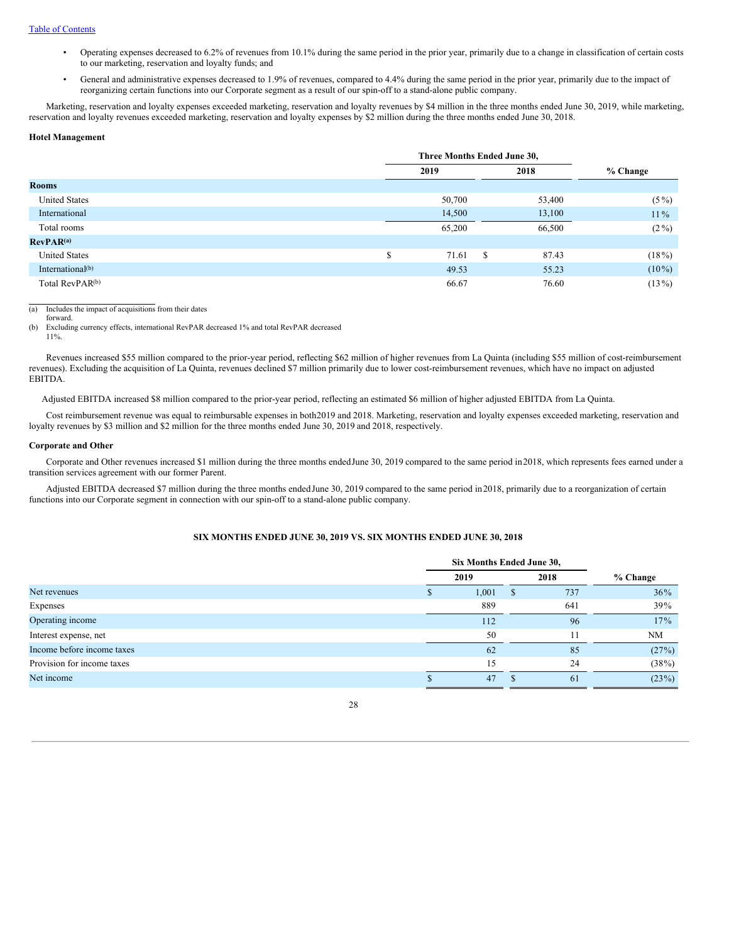- Operating expenses decreased to 6.2% of revenues from 10.1% during the same period in the prior year, primarily due to a change in classification of certain costs to our marketing, reservation and loyalty funds; and
- General and administrative expenses decreased to 1.9% of revenues, compared to 4.4% during the same period in the prior year, primarily due to the impact of reorganizing certain functions into our Corporate segment as a result of our spin-off to a stand-alone public company.

Marketing, reservation and loyalty expenses exceeded marketing, reservation and loyalty revenues by \$4 million in the three months ended June 30, 2019, while marketing, reservation and loyalty revenues exceeded marketing, reservation and loyalty expenses by \$2 million during the three months ended June 30, 2018.

#### **Hotel Management**

|                              |   | Three Months Ended June 30, |               |            |  |  |
|------------------------------|---|-----------------------------|---------------|------------|--|--|
|                              |   | 2019                        | 2018          | $%$ Change |  |  |
| <b>Rooms</b>                 |   |                             |               |            |  |  |
| <b>United States</b>         |   | 50,700                      | 53,400        | $(5\%)$    |  |  |
| International                |   | 14,500                      | 13,100        | $11\%$     |  |  |
| Total rooms                  |   | 65,200                      | 66,500        | $(2\%)$    |  |  |
| RevPAR <sup>(a)</sup>        |   |                             |               |            |  |  |
| <b>United States</b>         | S | 71.61                       | - \$<br>87.43 | $(18\%)$   |  |  |
| International <sup>(b)</sup> |   | 49.53                       | 55.23         | $(10\%)$   |  |  |
| Total RevPAR <sup>(b)</sup>  |   | 66.67                       | 76.60         | $(13\%)$   |  |  |

(a) Includes the impact of acquisitions from their dates

forward.

(b) Excluding currency effects, international RevPAR decreased 1% and total RevPAR decreased 11%.

Revenues increased \$55 million compared to the prior-year period, reflecting \$62 million of higher revenues from La Quinta (including \$55 million of cost-reimbursement revenues). Excluding the acquisition of La Quinta, revenues declined \$7 million primarily due to lower cost-reimbursement revenues, which have no impact on adjusted EBITDA.

Adjusted EBITDA increased \$8 million compared to the prior-year period, reflecting an estimated \$6 million of higher adjusted EBITDA from La Quinta.

Cost reimbursement revenue was equal to reimbursable expenses in both2019 and 2018. Marketing, reservation and loyalty expenses exceeded marketing, reservation and loyalty revenues by \$3 million and \$2 million for the three months ended June 30, 2019 and 2018, respectively.

### **Corporate and Other**

Corporate and Other revenues increased \$1 million during the three months endedJune 30, 2019 compared to the same period in2018, which represents fees earned under a transition services agreement with our former Parent.

Adjusted EBITDA decreased \$7 million during the three months endedJune 30, 2019 compared to the same period in2018, primarily due to a reorganization of certain functions into our Corporate segment in connection with our spin-off to a stand-alone public company.

### **SIX MONTHS ENDED JUNE 30, 2019 VS. SIX MONTHS ENDED JUNE 30, 2018**

|                            | Six Months Ended June 30, |       |      |     |            |  |
|----------------------------|---------------------------|-------|------|-----|------------|--|
|                            | 2019                      |       | 2018 |     | % Change   |  |
| Net revenues               |                           | 1,001 | ъ    | 737 | 36%        |  |
| Expenses                   |                           | 889   |      | 641 | <b>39%</b> |  |
| Operating income           |                           | 112   |      | 96  | 17%        |  |
| Interest expense, net      |                           | 50    |      |     | NM         |  |
| Income before income taxes |                           | 62    |      | 85  | (27%)      |  |
| Provision for income taxes |                           | 15    |      | 24  | (38%)      |  |
| Net income                 |                           | 47    |      | -61 | (23%)      |  |

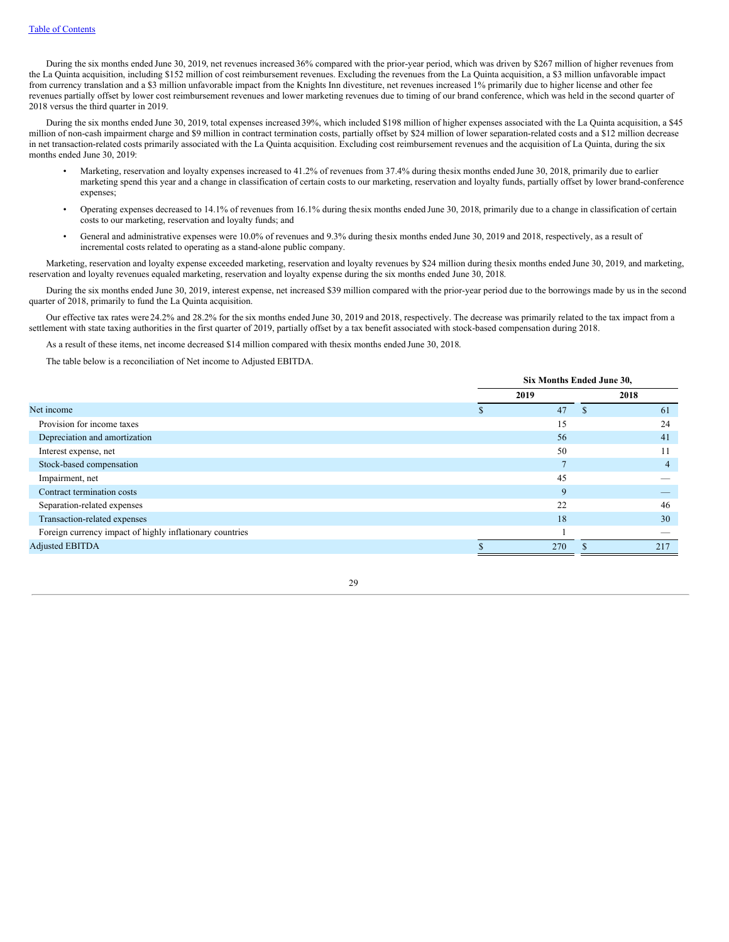During the six months ended June 30, 2019, net revenues increased 36% compared with the prior-year period, which was driven by \$267 million of higher revenues from the La Quinta acquisition, including \$152 million of cost reimbursement revenues. Excluding the revenues from the La Quinta acquisition, a \$3 million unfavorable impact from currency translation and a \$3 million unfavorable impact from the Knights Inn divestiture, net revenues increased 1% primarily due to higher license and other fee revenues partially offset by lower cost reimbursement revenues and lower marketing revenues due to timing of our brand conference, which was held in the second quarter of 2018 versus the third quarter in 2019.

During the six months ended June 30, 2019, total expenses increased 39%, which included \$198 million of higher expenses associated with the La Quinta acquisition, a \$45 million of non-cash impairment charge and \$9 million in contract termination costs, partially offset by \$24 million of lower separation-related costs and a \$12 million decrease in net transaction-related costs primarily associated with the La Quinta acquisition. Excluding cost reimbursement revenues and the acquisition of La Quinta, during the six months ended June 30, 2019:

- Marketing, reservation and loyalty expenses increased to 41.2% of revenues from 37.4% during thesix months ended June 30, 2018, primarily due to earlier marketing spend this year and a change in classification of certain costs to our marketing, reservation and loyalty funds, partially offset by lower brand-conference expenses;
- Operating expenses decreased to 14.1% of revenues from 16.1% during thesix months ended June 30, 2018, primarily due to a change in classification of certain costs to our marketing, reservation and loyalty funds; and
- General and administrative expenses were 10.0% of revenues and 9.3% during thesix months ended June 30, 2019 and 2018, respectively, as a result of incremental costs related to operating as a stand-alone public company.

Marketing, reservation and loyalty expense exceeded marketing, reservation and loyalty revenues by \$24 million during thesix months ended June 30, 2019, and marketing, reservation and loyalty revenues equaled marketing, reservation and loyalty expense during the six months ended June 30, 2018.

During the six months ended June 30, 2019, interest expense, net increased \$39 million compared with the prior-year period due to the borrowings made by us in the second quarter of 2018, primarily to fund the La Quinta acquisition.

Our effective tax rates were 24.2% and 28.2% for the six months ended June 30, 2019 and 2018, respectively. The decrease was primarily related to the tax impact from a settlement with state taxing authorities in the first quarter of 2019, partially offset by a tax benefit associated with stock-based compensation during 2018.

As a result of these items, net income decreased \$14 million compared with thesix months ended June 30, 2018.

The table below is a reconciliation of Net income to Adjusted EBITDA.

|                                                          | Six Months Ended June 30, |  |      |  |  |
|----------------------------------------------------------|---------------------------|--|------|--|--|
|                                                          | 2019                      |  | 2018 |  |  |
| Net income                                               | 47                        |  | 61   |  |  |
| Provision for income taxes                               | 15                        |  | 24   |  |  |
| Depreciation and amortization                            | 56                        |  | 41   |  |  |
| Interest expense, net                                    | 50                        |  |      |  |  |
| Stock-based compensation                                 |                           |  | 4    |  |  |
| Impairment, net                                          | 45                        |  |      |  |  |
| Contract termination costs                               | 9                         |  |      |  |  |
| Separation-related expenses                              | 22                        |  | 46   |  |  |
| Transaction-related expenses                             | 18                        |  | 30   |  |  |
| Foreign currency impact of highly inflationary countries |                           |  |      |  |  |
| <b>Adjusted EBITDA</b>                                   | 270                       |  | 217  |  |  |
|                                                          |                           |  |      |  |  |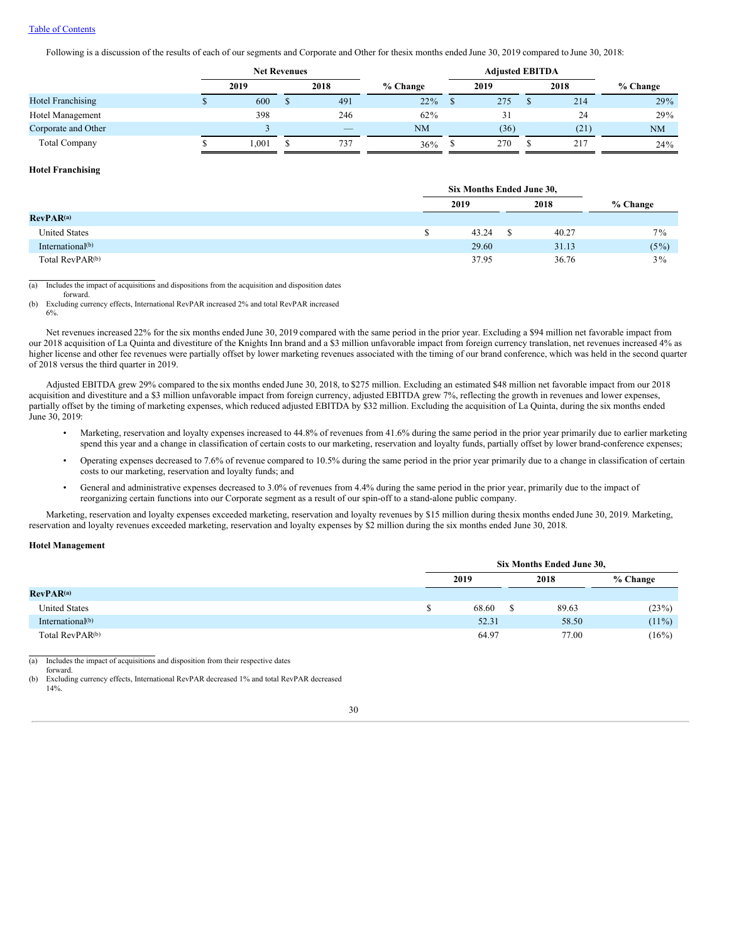### Table of [Contents](#page-1-0)

Following is a discussion of the results of each of our segments and Corporate and Other for thesix months ended June 30, 2019 compared to June 30, 2018:

|                          | <b>Net Revenues</b> |       |  |                          | <b>Adjusted EBITDA</b> |      |      |            |
|--------------------------|---------------------|-------|--|--------------------------|------------------------|------|------|------------|
|                          |                     | 2019  |  | 2018                     | $%$ Change             | 2019 | 2018 | $%$ Change |
| <b>Hotel Franchising</b> |                     | 600   |  | 491                      | $22\%$                 | 275  | 214  | 29%        |
| Hotel Management         |                     | 398   |  | 246                      | $62\%$                 | 31   | 24   | 29%        |
| Corporate and Other      |                     |       |  | $\overline{\phantom{a}}$ | NM                     | (36) | (21) | <b>NM</b>  |
| <b>Total Company</b>     |                     | 1.001 |  | 737                      | 36%                    | 270  | 217  | 24%        |

### **Hotel Franchising**

6%.

|                              |   | Six Months Ended June 30, |  |       |          |
|------------------------------|---|---------------------------|--|-------|----------|
|                              |   | 2019                      |  | 2018  | % Change |
| RevPAR <sup>(a)</sup>        |   |                           |  |       |          |
| <b>United States</b>         | Ф | 43.24                     |  | 40.27 | $7\%$    |
| International <sup>(b)</sup> |   | 29.60                     |  | 31.13 | $(5\%)$  |
| Total RevPAR <sup>(b)</sup>  |   | 37.95                     |  | 36.76 | $3\%$    |
|                              |   |                           |  |       |          |

(a) Includes the impact of acquisitions and dispositions from the acquisition and disposition dates forward.

(b) Excluding currency effects, International RevPAR increased 2% and total RevPAR increased

Net revenues increased 22% for the six months ended June 30, 2019 compared with the same period in the prior year. Excluding a \$94 million net favorable impact from our 2018 acquisition of La Quinta and divestiture of the Knights Inn brand and a \$3 million unfavorable impact from foreign currency translation, net revenues increased 4% as higher license and other fee revenues were partially offset by lower marketing revenues associated with the timing of our brand conference, which was held in the second quarter of 2018 versus the third quarter in 2019.

Adjusted EBITDA grew 29% compared to the six months ended June 30, 2018, to \$275 million. Excluding an estimated \$48 million net favorable impact from our 2018 acquisition and divestiture and a \$3 million unfavorable impact from foreign currency, adjusted EBITDA grew 7%, reflecting the growth in revenues and lower expenses, partially offset by the timing of marketing expenses, which reduced adjusted EBITDA by \$32 million. Excluding the acquisition of La Quinta, during the six months ended June 30, 2019:

- Marketing, reservation and loyalty expenses increased to 44.8% of revenues from 41.6% during the same period in the prior year primarily due to earlier marketing spend this year and a change in classification of certain costs to our marketing, reservation and loyalty funds, partially offset by lower brand-conference expenses;
- Operating expenses decreased to 7.6% of revenue compared to 10.5% during the same period in the prior year primarily due to a change in classification of certain costs to our marketing, reservation and loyalty funds; and
- General and administrative expenses decreased to 3.0% of revenues from 4.4% during the same period in the prior year, primarily due to the impact of reorganizing certain functions into our Corporate segment as a result of our spin-off to a stand-alone public company.

Marketing, reservation and loyalty expenses exceeded marketing, reservation and loyalty revenues by \$15 million during thesix months ended June 30, 2019. Marketing, reservation and loyalty revenues exceeded marketing, reservation and loyalty expenses by \$2 million during the six months ended June 30, 2018.

#### **Hotel Management**

|                             | Six Months Ended June 30, |       |  |       |          |  |  |
|-----------------------------|---------------------------|-------|--|-------|----------|--|--|
|                             |                           | 2019  |  | 2018  | % Change |  |  |
| RevPAR <sup>(a)</sup>       |                           |       |  |       |          |  |  |
| <b>United States</b>        | S                         | 68.60 |  | 89.63 | (23%)    |  |  |
| International $(b)$         |                           | 52.31 |  | 58.50 | $(11\%)$ |  |  |
| Total RevPAR <sup>(b)</sup> |                           | 64.97 |  | 77.00 | (16%)    |  |  |

(a) Includes the impact of acquisitions and disposition from their respective dates forward.

<sup>(</sup>b) Excluding currency effects, International RevPAR decreased 1% and total RevPAR decreased 14%.

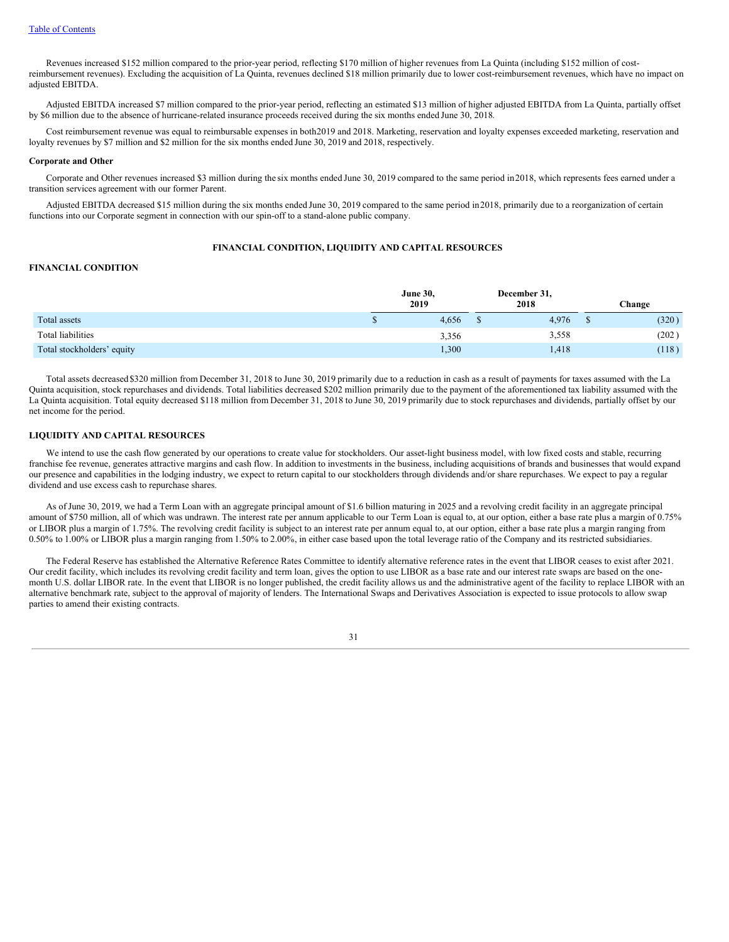Revenues increased \$152 million compared to the prior-year period, reflecting \$170 million of higher revenues from La Quinta (including \$152 million of costreimbursement revenues). Excluding the acquisition of La Quinta, revenues declined \$18 million primarily due to lower cost-reimbursement revenues, which have no impact on adjusted EBITDA.

Adjusted EBITDA increased \$7 million compared to the prior-year period, reflecting an estimated \$13 million of higher adjusted EBITDA from La Quinta, partially offset by \$6 million due to the absence of hurricane-related insurance proceeds received during the six months ended June 30, 2018.

Cost reimbursement revenue was equal to reimbursable expenses in both2019 and 2018. Marketing, reservation and loyalty expenses exceeded marketing, reservation and loyalty revenues by \$7 million and \$2 million for the six months ended June 30, 2019 and 2018, respectively.

#### **Corporate and Other**

Corporate and Other revenues increased \$3 million during the six months ended June 30, 2019 compared to the same period in2018, which represents fees earned under a transition services agreement with our former Parent.

Adjusted EBITDA decreased \$15 million during the six months ended June 30, 2019 compared to the same period in2018, primarily due to a reorganization of certain functions into our Corporate segment in connection with our spin-off to a stand-alone public company.

### **FINANCIAL CONDITION, LIQUIDITY AND CAPITAL RESOURCES**

### **FINANCIAL CONDITION**

|                            | <b>June 30,</b><br>2019 |   | December 31,<br>2018 | Change |
|----------------------------|-------------------------|---|----------------------|--------|
| Total assets               | 4,656                   | Φ | 4.976                | (320)  |
| Total liabilities          | 3,356                   |   | 3,558                | (202)  |
| Total stockholders' equity | 1,300                   |   | 1,418                | (118)  |

Total assets decreased \$320 million from December 31, 2018 to June 30, 2019 primarily due to a reduction in cash as a result of payments for taxes assumed with the La Quinta acquisition, stock repurchases and dividends. Total liabilities decreased \$202 million primarily due to the payment of the aforementioned tax liability assumed with the La Quinta acquisition. Total equity decreased \$118 million from December 31, 2018 to June 30, 2019 primarily due to stock repurchases and dividends, partially offset by our net income for the period.

#### **LIQUIDITY AND CAPITAL RESOURCES**

We intend to use the cash flow generated by our operations to create value for stockholders. Our asset-light business model, with low fixed costs and stable, recurring franchise fee revenue, generates attractive margins and cash flow. In addition to investments in the business, including acquisitions of brands and businesses that would expand our presence and capabilities in the lodging industry, we expect to return capital to our stockholders through dividends and/or share repurchases. We expect to pay a regular dividend and use excess cash to repurchase shares.

As of June 30, 2019, we had a Term Loan with an aggregate principal amount of \$1.6 billion maturing in 2025 and a revolving credit facility in an aggregate principal amount of \$750 million, all of which was undrawn. The interest rate per annum applicable to our Term Loan is equal to, at our option, either a base rate plus a margin of 0.75% or LIBOR plus a margin of 1.75%. The revolving credit facility is subject to an interest rate per annum equal to, at our option, either a base rate plus a margin ranging from 0.50% to 1.00% or LIBOR plus a margin ranging from 1.50% to 2.00%, in either case based upon the total leverage ratio of the Company and its restricted subsidiaries.

The Federal Reserve has established the Alternative Reference Rates Committee to identify alternative reference rates in the event that LIBOR ceases to exist after 2021. Our credit facility, which includes its revolving credit facility and term loan, gives the option to use LIBOR as a base rate and our interest rate swaps are based on the onemonth U.S. dollar LIBOR rate. In the event that LIBOR is no longer published, the credit facility allows us and the administrative agent of the facility to replace LIBOR with an alternative benchmark rate, subject to the approval of majority of lenders. The International Swaps and Derivatives Association is expected to issue protocols to allow swap parties to amend their existing contracts.

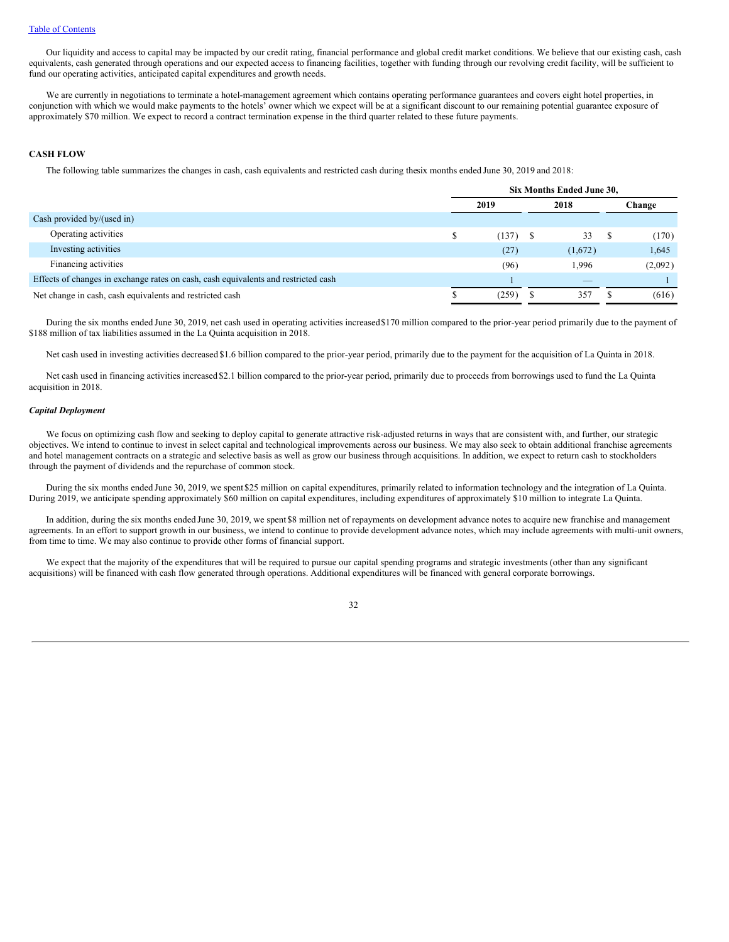Our liquidity and access to capital may be impacted by our credit rating, financial performance and global credit market conditions. We believe that our existing cash, cash equivalents, cash generated through operations and our expected access to financing facilities, together with funding through our revolving credit facility, will be sufficient to fund our operating activities, anticipated capital expenditures and growth needs.

We are currently in negotiations to terminate a hotel-management agreement which contains operating performance guarantees and covers eight hotel properties, in conjunction with which we would make payments to the hotels' owner which we expect will be at a significant discount to our remaining potential guarantee exposure of approximately \$70 million. We expect to record a contract termination expense in the third quarter related to these future payments.

#### **CASH FLOW**

The following table summarizes the changes in cash, cash equivalents and restricted cash during thesix months ended June 30, 2019 and 2018:

|                                                                                    | Six Months Ended June 30, |            |  |                          |        |         |
|------------------------------------------------------------------------------------|---------------------------|------------|--|--------------------------|--------|---------|
|                                                                                    |                           | 2019       |  | 2018                     | Change |         |
| Cash provided by/(used in)                                                         |                           |            |  |                          |        |         |
| Operating activities                                                               |                           | $(137)$ \$ |  | 33                       |        | (170)   |
| Investing activities                                                               |                           | (27)       |  | (1,672)                  |        | 1,645   |
| Financing activities                                                               |                           | (96)       |  | 1,996                    |        | (2,092) |
| Effects of changes in exchange rates on cash, cash equivalents and restricted cash |                           |            |  | $\overline{\phantom{a}}$ |        |         |
| Net change in cash, cash equivalents and restricted cash                           |                           | (259)      |  | 357                      |        | (616)   |

During the six months ended June 30, 2019, net cash used in operating activities increased\$170 million compared to the prior-year period primarily due to the payment of \$188 million of tax liabilities assumed in the La Quinta acquisition in 2018.

Net cash used in investing activities decreased \$1.6 billion compared to the prior-year period, primarily due to the payment for the acquisition of La Quinta in 2018.

Net cash used in financing activities increased \$2.1 billion compared to the prior-year period, primarily due to proceeds from borrowings used to fund the La Quinta acquisition in 2018.

### *Capital Deployment*

We focus on optimizing cash flow and seeking to deploy capital to generate attractive risk-adjusted returns in ways that are consistent with, and further, our strategic objectives. We intend to continue to invest in select capital and technological improvements across our business. We may also seek to obtain additional franchise agreements and hotel management contracts on a strategic and selective basis as well as grow our business through acquisitions. In addition, we expect to return cash to stockholders through the payment of dividends and the repurchase of common stock.

During the six months ended June 30, 2019, we spent \$25 million on capital expenditures, primarily related to information technology and the integration of La Quinta. During 2019, we anticipate spending approximately \$60 million on capital expenditures, including expenditures of approximately \$10 million to integrate La Quinta.

In addition, during the six months ended June 30, 2019, we spent \$8 million net of repayments on development advance notes to acquire new franchise and management agreements. In an effort to support growth in our business, we intend to continue to provide development advance notes, which may include agreements with multi-unit owners, from time to time. We may also continue to provide other forms of financial support.

We expect that the majority of the expenditures that will be required to pursue our capital spending programs and strategic investments (other than any significant acquisitions) will be financed with cash flow generated through operations. Additional expenditures will be financed with general corporate borrowings.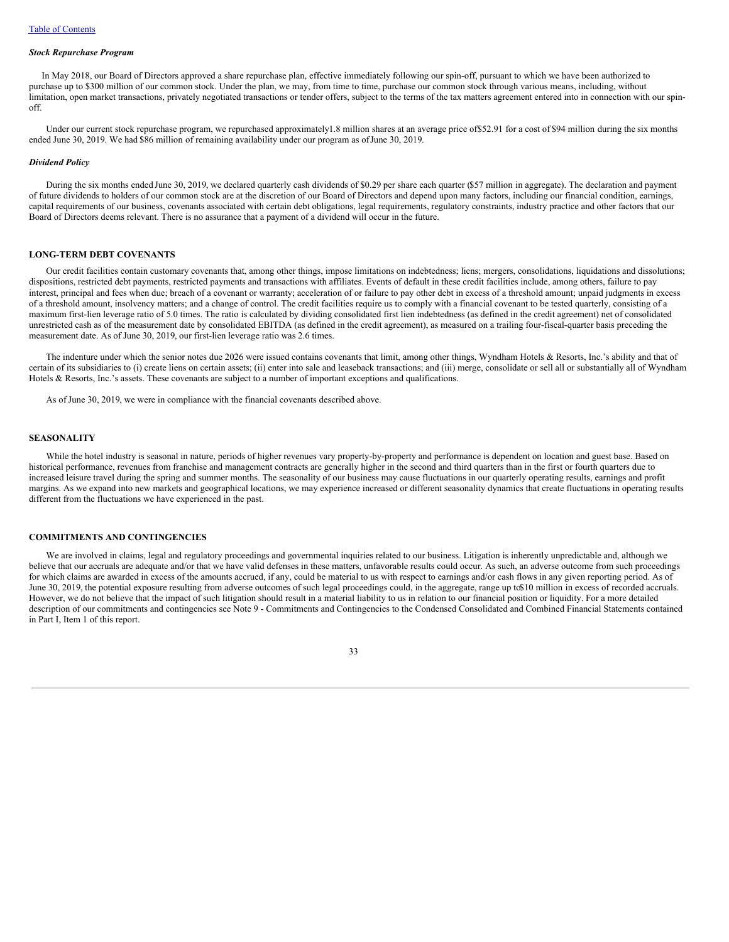#### *Stock Repurchase Program*

In May 2018, our Board of Directors approved a share repurchase plan, effective immediately following our spin-off, pursuant to which we have been authorized to purchase up to \$300 million of our common stock. Under the plan, we may, from time to time, purchase our common stock through various means, including, without limitation, open market transactions, privately negotiated transactions or tender offers, subject to the terms of the tax matters agreement entered into in connection with our spinoff.

Under our current stock repurchase program, we repurchased approximately1.8 million shares at an average price of \$52.91 for a cost of \$94 million during the six months ended June 30, 2019. We had \$86 million of remaining availability under our program as ofJune 30, 2019.

#### *Dividend Policy*

During the six months ended June 30, 2019, we declared quarterly cash dividends of \$0.29 per share each quarter (\$57 million in aggregate). The declaration and payment of future dividends to holders of our common stock are at the discretion of our Board of Directors and depend upon many factors, including our financial condition, earnings, capital requirements of our business, covenants associated with certain debt obligations, legal requirements, regulatory constraints, industry practice and other factors that our Board of Directors deems relevant. There is no assurance that a payment of a dividend will occur in the future.

### **LONG-TERM DEBT COVENANTS**

Our credit facilities contain customary covenants that, among other things, impose limitations on indebtedness; liens; mergers, consolidations, liquidations and dissolutions; dispositions, restricted debt payments, restricted payments and transactions with affiliates. Events of default in these credit facilities include, among others, failure to pay interest, principal and fees when due; breach of a covenant or warranty; acceleration of or failure to pay other debt in excess of a threshold amount; unpaid judgments in excess of a threshold amount, insolvency matters; and a change of control. The credit facilities require us to comply with a financial covenant to be tested quarterly, consisting of a maximum first-lien leverage ratio of 5.0 times. The ratio is calculated by dividing consolidated first lien indebtedness (as defined in the credit agreement) net of consolidated unrestricted cash as of the measurement date by consolidated EBITDA (as defined in the credit agreement), as measured on a trailing four-fiscal-quarter basis preceding the measurement date. As of June 30, 2019, our first-lien leverage ratio was 2.6 times.

The indenture under which the senior notes due 2026 were issued contains covenants that limit, among other things, Wyndham Hotels & Resorts, Inc.'s ability and that of certain of its subsidiaries to (i) create liens on certain assets; (ii) enter into sale and leaseback transactions; and (iii) merge, consolidate or sell all or substantially all of Wyndham Hotels & Resorts, Inc.'s assets. These covenants are subject to a number of important exceptions and qualifications.

As of June 30, 2019, we were in compliance with the financial covenants described above.

### **SEASONALITY**

While the hotel industry is seasonal in nature, periods of higher revenues vary property-by-property and performance is dependent on location and guest base. Based on historical performance, revenues from franchise and management contracts are generally higher in the second and third quarters than in the first or fourth quarters due to increased leisure travel during the spring and summer months. The seasonality of our business may cause fluctuations in our quarterly operating results, earnings and profit margins. As we expand into new markets and geographical locations, we may experience increased or different seasonality dynamics that create fluctuations in operating results different from the fluctuations we have experienced in the past.

### **COMMITMENTS AND CONTINGENCIES**

We are involved in claims, legal and regulatory proceedings and governmental inquiries related to our business. Litigation is inherently unpredictable and, although we believe that our accruals are adequate and/or that we have valid defenses in these matters, unfavorable results could occur. As such, an adverse outcome from such proceedings for which claims are awarded in excess of the amounts accrued, if any, could be material to us with respect to earnings and/or cash flows in any given reporting period. As of June 30, 2019, the potential exposure resulting from adverse outcomes of such legal proceedings could, in the aggregate, range up to\$10 million in excess of recorded accruals. However, we do not believe that the impact of such litigation should result in a material liability to us in relation to our financial position or liquidity. For a more detailed description of our commitments and contingencies see Note 9 - Commitments and Contingencies to the Condensed Consolidated and Combined Financial Statements contained in Part I, Item 1 of this report.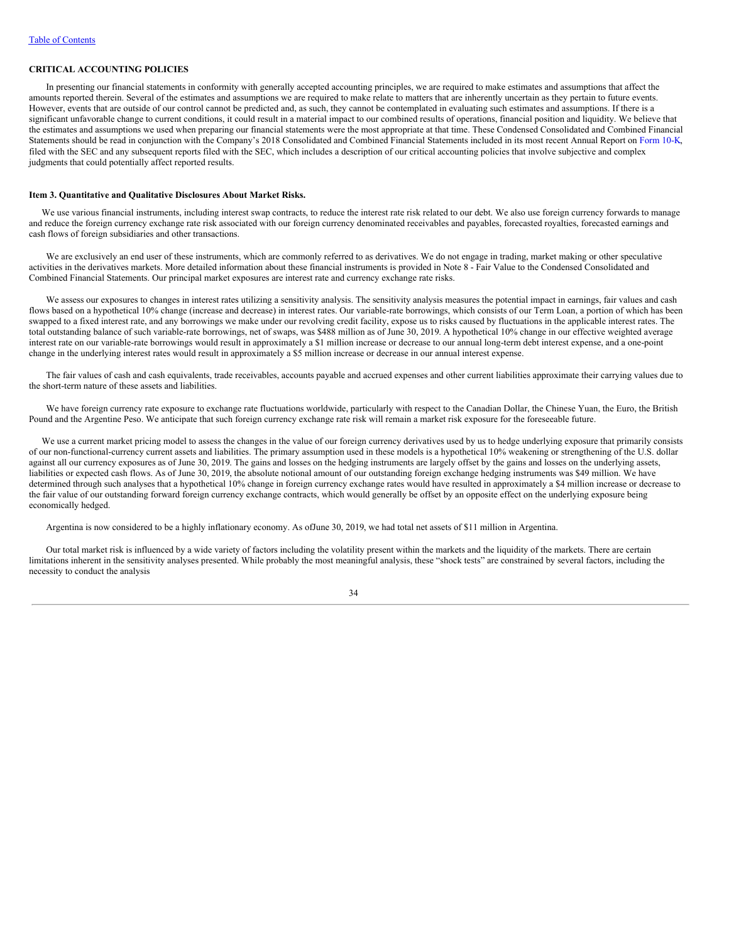### **CRITICAL ACCOUNTING POLICIES**

In presenting our financial statements in conformity with generally accepted accounting principles, we are required to make estimates and assumptions that affect the amounts reported therein. Several of the estimates and assumptions we are required to make relate to matters that are inherently uncertain as they pertain to future events. However, events that are outside of our control cannot be predicted and, as such, they cannot be contemplated in evaluating such estimates and assumptions. If there is a significant unfavorable change to current conditions, it could result in a material impact to our combined results of operations, financial position and liquidity. We believe that the estimates and assumptions we used when preparing our financial statements were the most appropriate at that time. These Condensed Consolidated and Combined Financial Statements should be read in conjunction with the Company's 2018 Consolidated and Combined Financial Statements included in its most recent Annual Report on [Form](http://www.sec.gov/Archives/edgar/data/1722684/000172268419000008/wh-20181231x10k.htm) 10-K, filed with the SEC and any subsequent reports filed with the SEC, which includes a description of our critical accounting policies that involve subjective and complex judgments that could potentially affect reported results.

#### <span id="page-35-0"></span>**Item 3. Quantitative and Qualitative Disclosures About Market Risks.**

We use various financial instruments, including interest swap contracts, to reduce the interest rate risk related to our debt. We also use foreign currency forwards to manage and reduce the foreign currency exchange rate risk associated with our foreign currency denominated receivables and payables, forecasted royalties, forecasted earnings and cash flows of foreign subsidiaries and other transactions.

We are exclusively an end user of these instruments, which are commonly referred to as derivatives. We do not engage in trading, market making or other speculative activities in the derivatives markets. More detailed information about these financial instruments is provided in Note 8 - Fair Value to the Condensed Consolidated and Combined Financial Statements. Our principal market exposures are interest rate and currency exchange rate risks.

We assess our exposures to changes in interest rates utilizing a sensitivity analysis. The sensitivity analysis measures the potential impact in earnings, fair values and cash flows based on a hypothetical 10% change (increase and decrease) in interest rates. Our variable-rate borrowings, which consists of our Term Loan, a portion of which has been swapped to a fixed interest rate, and any borrowings we make under our revolving credit facility, expose us to risks caused by fluctuations in the applicable interest rates. The total outstanding balance of such variable-rate borrowings, net of swaps, was \$488 million as of June 30, 2019. A hypothetical 10% change in our effective weighted average interest rate on our variable-rate borrowings would result in approximately a \$1 million increase or decrease to our annual long-term debt interest expense, and a one-point change in the underlying interest rates would result in approximately a \$5 million increase or decrease in our annual interest expense.

The fair values of cash and cash equivalents, trade receivables, accounts payable and accrued expenses and other current liabilities approximate their carrying values due to the short-term nature of these assets and liabilities.

We have foreign currency rate exposure to exchange rate fluctuations worldwide, particularly with respect to the Canadian Dollar, the Chinese Yuan, the Euro, the British Pound and the Argentine Peso. We anticipate that such foreign currency exchange rate risk will remain a market risk exposure for the foreseeable future.

We use a current market pricing model to assess the changes in the value of our foreign currency derivatives used by us to hedge underlying exposure that primarily consists of our non-functional-currency current assets and liabilities. The primary assumption used in these models is a hypothetical 10% weakening or strengthening of the U.S. dollar against all our currency exposures as of June 30, 2019. The gains and losses on the hedging instruments are largely offset by the gains and losses on the underlying assets, liabilities or expected cash flows. As of June 30, 2019, the absolute notional amount of our outstanding foreign exchange hedging instruments was \$49 million. We have determined through such analyses that a hypothetical 10% change in foreign currency exchange rates would have resulted in approximately a \$4 million increase or decrease to the fair value of our outstanding forward foreign currency exchange contracts, which would generally be offset by an opposite effect on the underlying exposure being economically hedged.

Argentina is now considered to be a highly inflationary economy. As ofJune 30, 2019, we had total net assets of \$11 million in Argentina.

Our total market risk is influenced by a wide variety of factors including the volatility present within the markets and the liquidity of the markets. There are certain limitations inherent in the sensitivity analyses presented. While probably the most meaningful analysis, these "shock tests" are constrained by several factors, including the necessity to conduct the analysis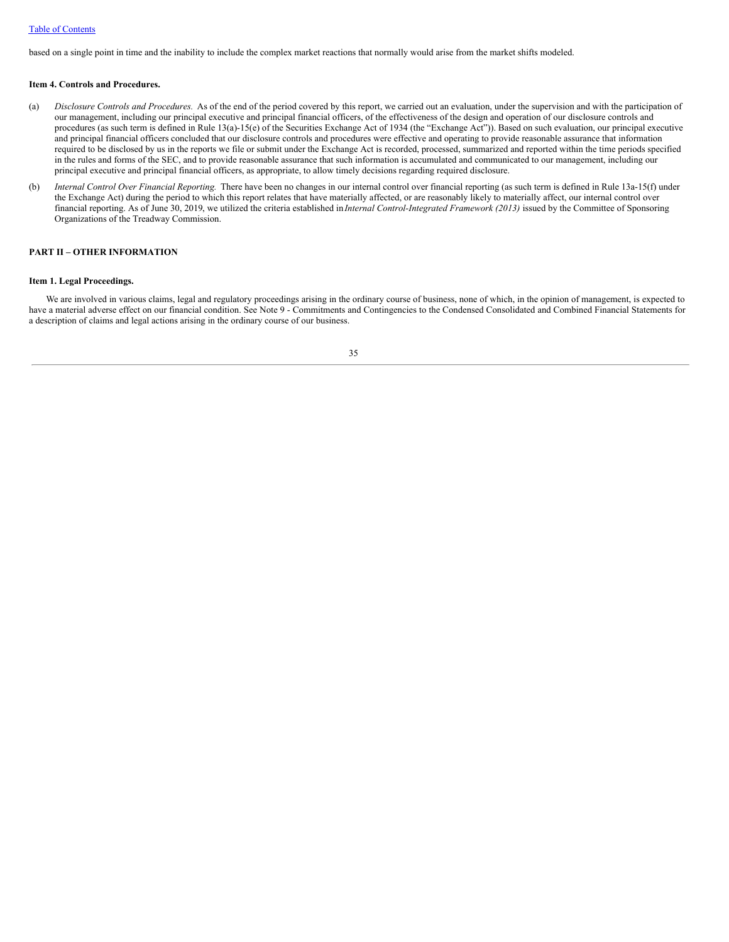### Table of [Contents](#page-1-0)

based on a single point in time and the inability to include the complex market reactions that normally would arise from the market shifts modeled.

### <span id="page-36-0"></span>**Item 4. Controls and Procedures.**

- (a) *Disclosure Controls and Procedures*. As of the end of the period covered by this report, we carried out an evaluation, under the supervision and with the participation of our management, including our principal executive and principal financial officers, of the effectiveness of the design and operation of our disclosure controls and procedures (as such term is defined in Rule 13(a)-15(e) of the Securities Exchange Act of 1934 (the "Exchange Act")). Based on such evaluation, our principal executive and principal financial officers concluded that our disclosure controls and procedures were effective and operating to provide reasonable assurance that information required to be disclosed by us in the reports we file or submit under the Exchange Act is recorded, processed, summarized and reported within the time periods specified in the rules and forms of the SEC, and to provide reasonable assurance that such information is accumulated and communicated to our management, including our principal executive and principal financial officers, as appropriate, to allow timely decisions regarding required disclosure.
- (b) *Internal Control Over Financial Reporting.* There have been no changes in our internal control over financial reporting (as such term is defined in Rule 13a-15(f) under the Exchange Act) during the period to which this report relates that have materially affected, or are reasonably likely to materially affect, our internal control over financial reporting. As of June 30, 2019, we utilized the criteria established in *Internal Control-Integrated Framework (2013)* issued by the Committee of Sponsoring Organizations of the Treadway Commission.

### <span id="page-36-1"></span>**PART II – OTHER INFORMATION**

#### **Item 1. Legal Proceedings.**

We are involved in various claims, legal and regulatory proceedings arising in the ordinary course of business, none of which, in the opinion of management, is expected to have a material adverse effect on our financial condition. See Note 9 - Commitments and Contingencies to the Condensed Consolidated and Combined Financial Statements for a description of claims and legal actions arising in the ordinary course of our business.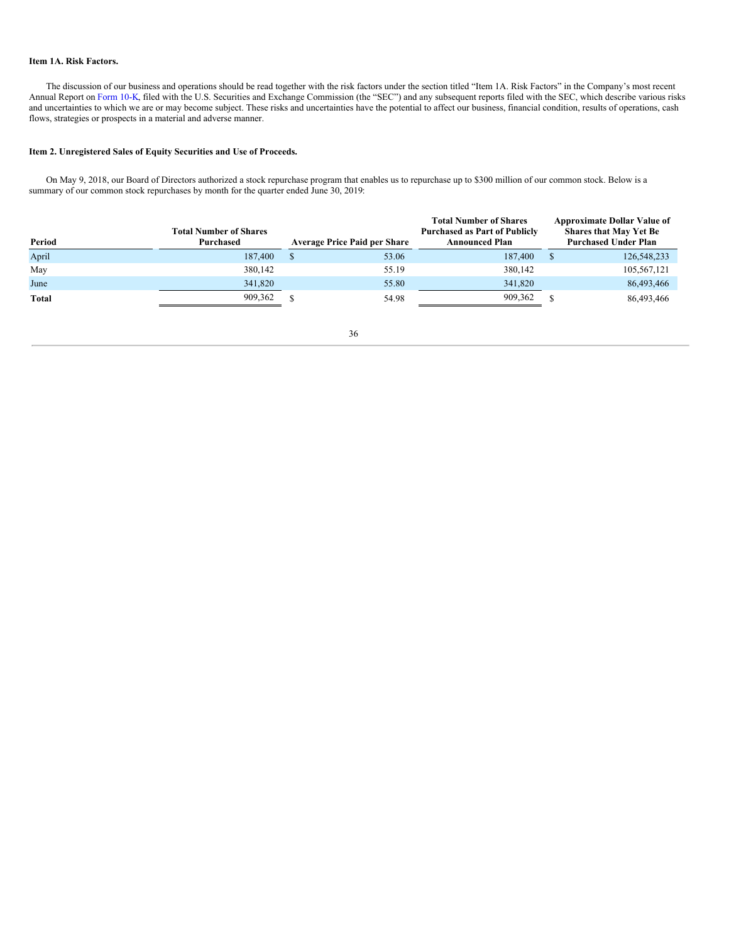### <span id="page-37-0"></span>**Item 1A. Risk Factors.**

The discussion of our business and operations should be read together with the risk factors under the section titled "Item 1A. Risk Factors" in the Company's most recent Annual Report on [Form](http://www.sec.gov/Archives/edgar/data/1722684/000172268419000008/wh-20181231x10k.htm) 10-K, filed with the U.S. Securities and Exchange Commission (the "SEC") and any subsequent reports filed with the SEC, which describe various risks and uncertainties to which we are or may become subject. These risks and uncertainties have the potential to affect our business, financial condition, results of operations, cash flows, strategies or prospects in a material and adverse manner.

### <span id="page-37-1"></span>**Item 2. Unregistered Sales of Equity Securities and Use of Proceeds.**

On May 9, 2018, our Board of Directors authorized a stock repurchase program that enables us to repurchase up to \$300 million of our common stock. Below is a summary of our common stock repurchases by month for the quarter ended June 30, 2019:

| Period       | <b>Total Number of Shares</b><br>Purchased | <b>Average Price Paid per Share</b> | <b>Total Number of Shares</b><br><b>Purchased as Part of Publicly</b><br><b>Announced Plan</b> |  | <b>Approximate Dollar Value of</b><br><b>Shares that May Yet Be</b><br><b>Purchased Under Plan</b> |
|--------------|--------------------------------------------|-------------------------------------|------------------------------------------------------------------------------------------------|--|----------------------------------------------------------------------------------------------------|
| April        | 187,400                                    | 53.06                               | 187,400                                                                                        |  | 126,548,233                                                                                        |
| May          | 380,142                                    | 55.19                               | 380,142                                                                                        |  | 105,567,121                                                                                        |
| June         | 341,820                                    | 55.80                               | 341,820                                                                                        |  | 86,493,466                                                                                         |
| <b>Total</b> | 909,362                                    | 54.98                               | 909,362                                                                                        |  | 86,493,466                                                                                         |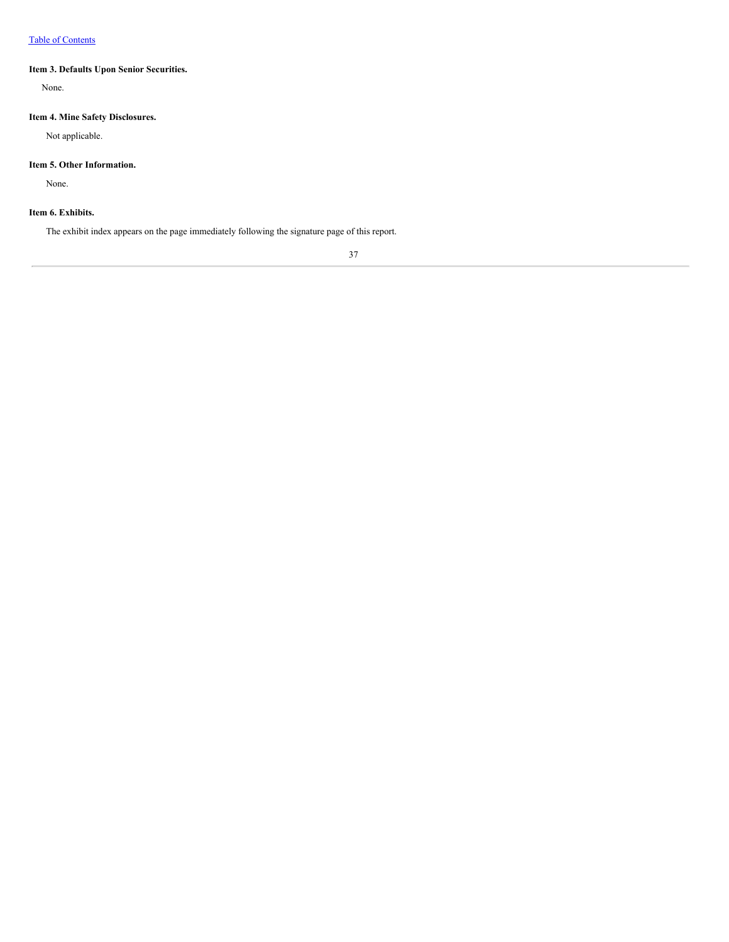### <span id="page-38-0"></span>**Item 3. Defaults Upon Senior Securities.**

<span id="page-38-1"></span>None.

## **Item 4. Mine Safety Disclosures.**

Not applicable.

### <span id="page-38-2"></span>**Item 5. Other Information.**

None.

### <span id="page-38-3"></span>**Item 6. Exhibits.**

The exhibit index appears on the page immediately following the signature page of this report.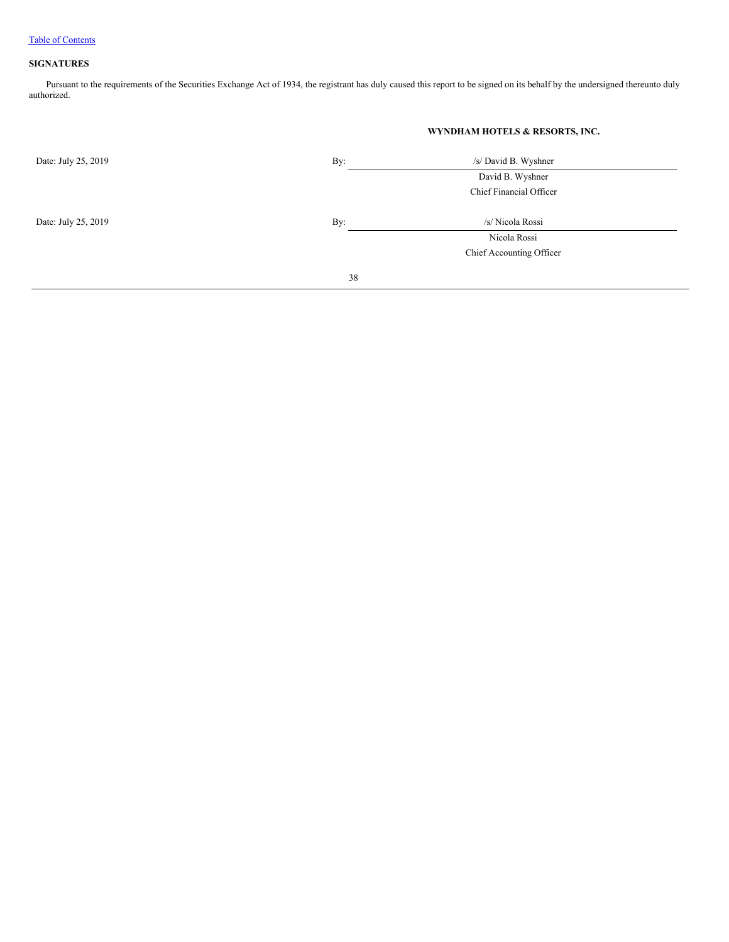### <span id="page-39-0"></span>**SIGNATURES**

Pursuant to the requirements of the Securities Exchange Act of 1934, the registrant has duly caused this report to be signed on its behalf by the undersigned thereunto duly authorized.

|                            | WYNDHAM HOTELS & RESORTS, INC. |
|----------------------------|--------------------------------|
| Date: July 25, 2019<br>By: | /s/ David B. Wyshner           |
|                            | David B. Wyshner               |
|                            | Chief Financial Officer        |
| Date: July 25, 2019<br>By: | /s/ Nicola Rossi               |
|                            | Nicola Rossi                   |
|                            | Chief Accounting Officer       |
|                            | 38                             |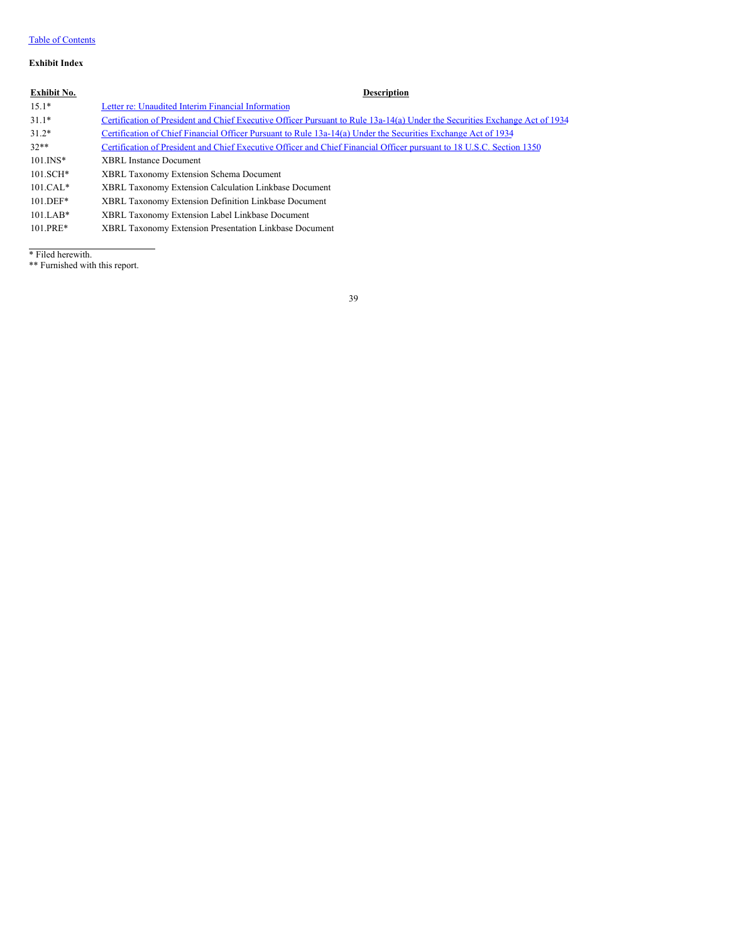### Table of [Contents](#page-1-0)

### **Exhibit Index**

### **Exhibit No. Description**

| $15.1*$     | Letter re: Unaudited Interim Financial Information                                                                          |
|-------------|-----------------------------------------------------------------------------------------------------------------------------|
| $31.1*$     | Certification of President and Chief Executive Officer Pursuant to Rule 13a-14(a) Under the Securities Exchange Act of 1934 |
| $31.2*$     | Certification of Chief Financial Officer Pursuant to Rule 13a-14(a) Under the Securities Exchange Act of 1934               |
| $32**$      | Certification of President and Chief Executive Officer and Chief Financial Officer pursuant to 18 U.S.C. Section 1350       |
| $101.$ INS* | <b>XBRL Instance Document</b>                                                                                               |
| $101.SCH*$  | <b>XBRL Taxonomy Extension Schema Document</b>                                                                              |
| $101.CAL*$  | XBRL Taxonomy Extension Calculation Linkbase Document                                                                       |
| $101.$ DEF* | XBRL Taxonomy Extension Definition Linkbase Document                                                                        |
| $101.LAB*$  | XBRL Taxonomy Extension Label Linkbase Document                                                                             |
| $101.PRE*$  | XBRL Taxonomy Extension Presentation Linkbase Document                                                                      |

\* Filed herewith.

\*\* Furnished with this report.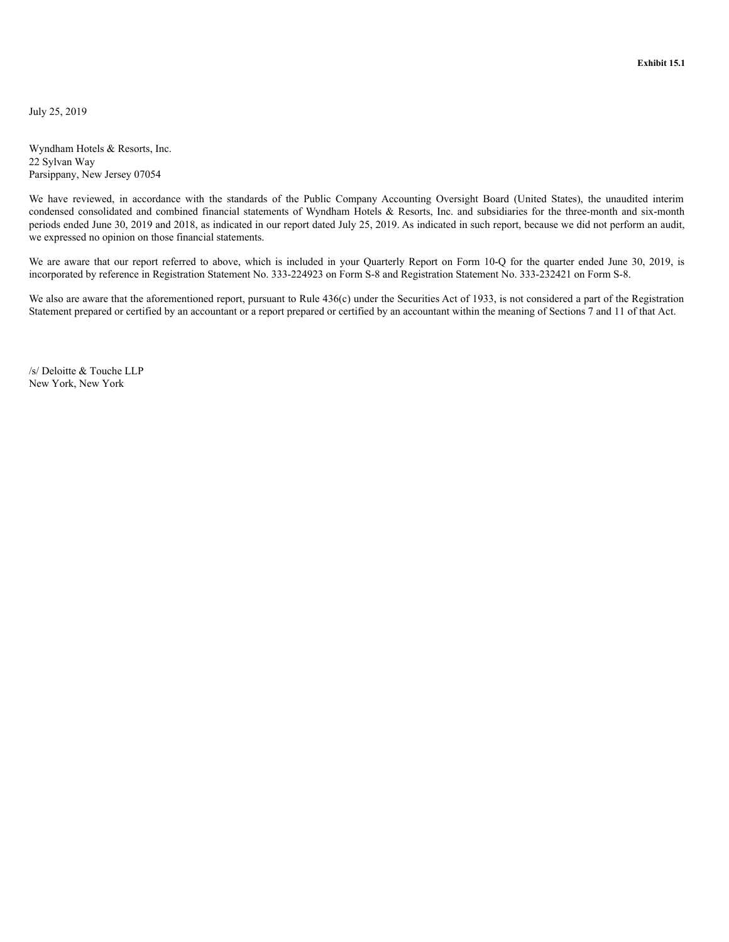<span id="page-41-0"></span>July 25, 2019

Wyndham Hotels & Resorts, Inc. 22 Sylvan Way Parsippany, New Jersey 07054

We have reviewed, in accordance with the standards of the Public Company Accounting Oversight Board (United States), the unaudited interim condensed consolidated and combined financial statements of Wyndham Hotels & Resorts, Inc. and subsidiaries for the three-month and six-month periods ended June 30, 2019 and 2018, as indicated in our report dated July 25, 2019. As indicated in such report, because we did not perform an audit, we expressed no opinion on those financial statements.

We are aware that our report referred to above, which is included in your Quarterly Report on Form 10-Q for the quarter ended June 30, 2019, is incorporated by reference in Registration Statement No. 333-224923 on Form S-8 and Registration Statement No. 333-232421 on Form S-8.

We also are aware that the aforementioned report, pursuant to Rule 436(c) under the Securities Act of 1933, is not considered a part of the Registration Statement prepared or certified by an accountant or a report prepared or certified by an accountant within the meaning of Sections 7 and 11 of that Act.

/s/ Deloitte & Touche LLP New York, New York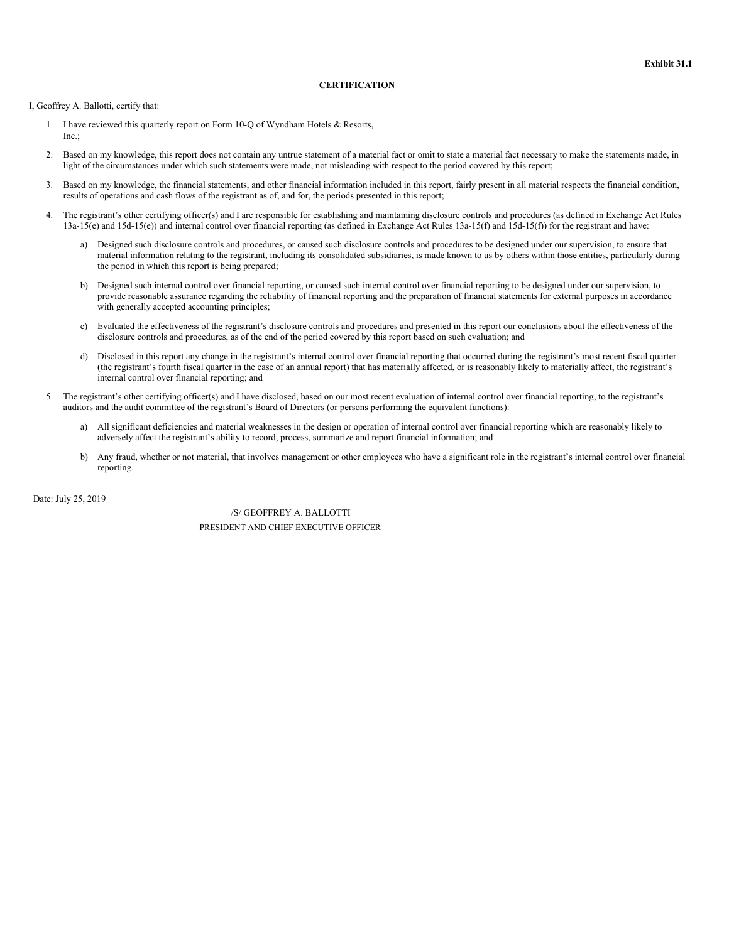### **CERTIFICATION**

<span id="page-42-0"></span>I, Geoffrey A. Ballotti, certify that:

- 1. I have reviewed this quarterly report on Form 10-Q of Wyndham Hotels & Resorts, Inc.;
- 2. Based on my knowledge, this report does not contain any untrue statement of a material fact or omit to state a material fact necessary to make the statements made, in light of the circumstances under which such statements were made, not misleading with respect to the period covered by this report;
- 3. Based on my knowledge, the financial statements, and other financial information included in this report, fairly present in all material respects the financial condition, results of operations and cash flows of the registrant as of, and for, the periods presented in this report;
- 4. The registrant's other certifying officer(s) and I are responsible for establishing and maintaining disclosure controls and procedures (as defined in Exchange Act Rules  $13a-15(e)$  and  $15d-15(e)$ ) and internal control over financial reporting (as defined in Exchange Act Rules  $13a-15(f)$  and  $15d-15(f)$ ) for the registrant and have:
	- a) Designed such disclosure controls and procedures, or caused such disclosure controls and procedures to be designed under our supervision, to ensure that material information relating to the registrant, including its consolidated subsidiaries, is made known to us by others within those entities, particularly during the period in which this report is being prepared;
	- b) Designed such internal control over financial reporting, or caused such internal control over financial reporting to be designed under our supervision, to provide reasonable assurance regarding the reliability of financial reporting and the preparation of financial statements for external purposes in accordance with generally accepted accounting principles;
	- c) Evaluated the effectiveness of the registrant's disclosure controls and procedures and presented in this report our conclusions about the effectiveness of the disclosure controls and procedures, as of the end of the period covered by this report based on such evaluation; and
	- d) Disclosed in this report any change in the registrant's internal control over financial reporting that occurred during the registrant's most recent fiscal quarter (the registrant's fourth fiscal quarter in the case of an annual report) that has materially affected, or is reasonably likely to materially affect, the registrant's internal control over financial reporting; and
- 5. The registrant's other certifying officer(s) and I have disclosed, based on our most recent evaluation of internal control over financial reporting, to the registrant's auditors and the audit committee of the registrant's Board of Directors (or persons performing the equivalent functions):
	- a) All significant deficiencies and material weaknesses in the design or operation of internal control over financial reporting which are reasonably likely to adversely affect the registrant's ability to record, process, summarize and report financial information; and
	- b) Any fraud, whether or not material, that involves management or other employees who have a significant role in the registrant's internal control over financial reporting.

Date: July 25, 2019

/S/ GEOFFREY A. BALLOTTI

PRESIDENT AND CHIEF EXECUTIVE OFFICER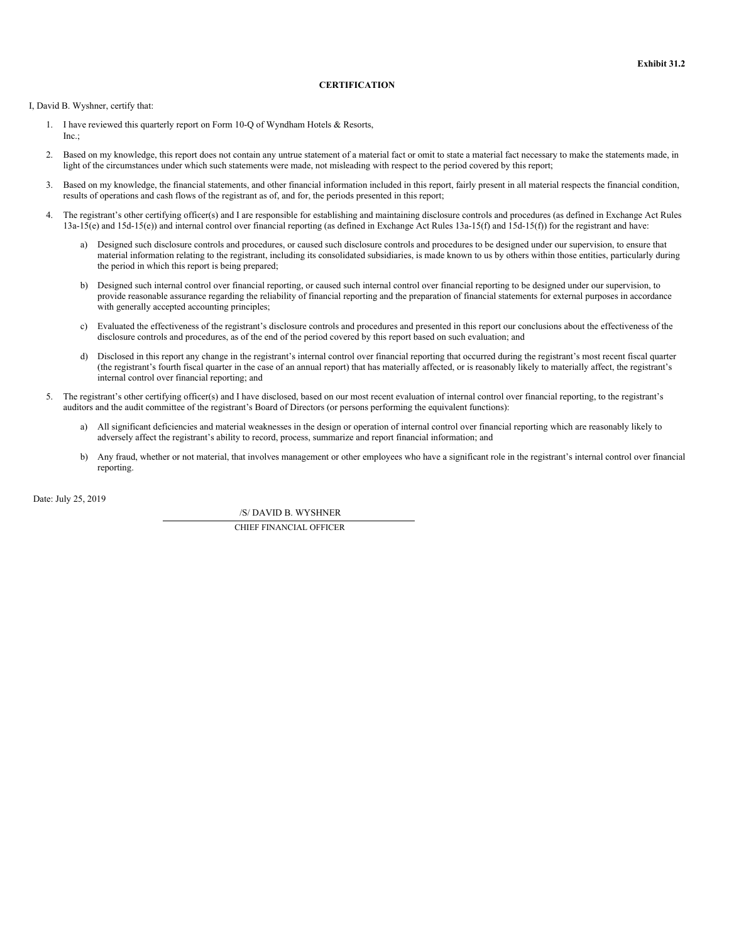### **CERTIFICATION**

<span id="page-43-0"></span>I, David B. Wyshner, certify that:

- 1. I have reviewed this quarterly report on Form 10-Q of Wyndham Hotels & Resorts, Inc.;
- 2. Based on my knowledge, this report does not contain any untrue statement of a material fact or omit to state a material fact necessary to make the statements made, in light of the circumstances under which such statements were made, not misleading with respect to the period covered by this report;
- 3. Based on my knowledge, the financial statements, and other financial information included in this report, fairly present in all material respects the financial condition, results of operations and cash flows of the registrant as of, and for, the periods presented in this report;
- 4. The registrant's other certifying officer(s) and I are responsible for establishing and maintaining disclosure controls and procedures (as defined in Exchange Act Rules  $13a-15(e)$  and  $15d-15(e)$ ) and internal control over financial reporting (as defined in Exchange Act Rules  $13a-15(f)$  and  $15d-15(f)$ ) for the registrant and have:
	- a) Designed such disclosure controls and procedures, or caused such disclosure controls and procedures to be designed under our supervision, to ensure that material information relating to the registrant, including its consolidated subsidiaries, is made known to us by others within those entities, particularly during the period in which this report is being prepared;
	- b) Designed such internal control over financial reporting, or caused such internal control over financial reporting to be designed under our supervision, to provide reasonable assurance regarding the reliability of financial reporting and the preparation of financial statements for external purposes in accordance with generally accepted accounting principles;
	- c) Evaluated the effectiveness of the registrant's disclosure controls and procedures and presented in this report our conclusions about the effectiveness of the disclosure controls and procedures, as of the end of the period covered by this report based on such evaluation; and
	- d) Disclosed in this report any change in the registrant's internal control over financial reporting that occurred during the registrant's most recent fiscal quarter (the registrant's fourth fiscal quarter in the case of an annual report) that has materially affected, or is reasonably likely to materially affect, the registrant's internal control over financial reporting; and
- 5. The registrant's other certifying officer(s) and I have disclosed, based on our most recent evaluation of internal control over financial reporting, to the registrant's auditors and the audit committee of the registrant's Board of Directors (or persons performing the equivalent functions):
	- a) All significant deficiencies and material weaknesses in the design or operation of internal control over financial reporting which are reasonably likely to adversely affect the registrant's ability to record, process, summarize and report financial information; and
	- b) Any fraud, whether or not material, that involves management or other employees who have a significant role in the registrant's internal control over financial reporting.

Date: July 25, 2019

/S/ DAVID B. WYSHNER

CHIEF FINANCIAL OFFICER